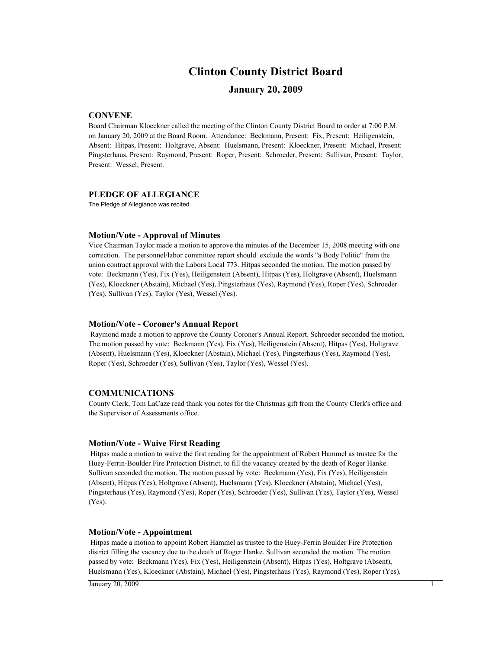# **Clinton County District Board**

# **January 20, 2009**

# **CONVENE**

Board Chairman Kloeckner called the meeting of the Clinton County District Board to order at 7:00 P.M. on January 20, 2009 at the Board Room. Attendance: Beckmann, Present: Fix, Present: Heiligenstein, Absent: Hitpas, Present: Holtgrave, Absent: Huelsmann, Present: Kloeckner, Present: Michael, Present: Pingsterhaus, Present: Raymond, Present: Roper, Present: Schroeder, Present: Sullivan, Present: Taylor, Present: Wessel, Present.

### **PLEDGE OF ALLEGIANCE**

The Pledge of Allegiance was recited.

### **Motion/Vote - Approval of Minutes**

Vice Chairman Taylor made a motion to approve the minutes of the December 15, 2008 meeting with one correction. The personnel/labor committee report should exclude the words "a Body Politic" from the union contract approval with the Labors Local 773. Hitpas seconded the motion. The motion passed by vote: Beckmann (Yes), Fix (Yes), Heiligenstein (Absent), Hitpas (Yes), Holtgrave (Absent), Huelsmann (Yes), Kloeckner (Abstain), Michael (Yes), Pingsterhaus (Yes), Raymond (Yes), Roper (Yes), Schroeder (Yes), Sullivan (Yes), Taylor (Yes), Wessel (Yes).

### **Motion/Vote - Coroner's Annual Report**

 Raymond made a motion to approve the County Coroner's Annual Report. Schroeder seconded the motion. The motion passed by vote: Beckmann (Yes), Fix (Yes), Heiligenstein (Absent), Hitpas (Yes), Holtgrave (Absent), Huelsmann (Yes), Kloeckner (Abstain), Michael (Yes), Pingsterhaus (Yes), Raymond (Yes), Roper (Yes), Schroeder (Yes), Sullivan (Yes), Taylor (Yes), Wessel (Yes).

### **COMMUNICATIONS**

County Clerk, Tom LaCaze read thank you notes for the Christmas gift from the County Clerk's office and the Supervisor of Assessments office.

### **Motion/Vote - Waive First Reading**

 Hitpas made a motion to waive the first reading for the appointment of Robert Hammel as trustee for the Huey-Ferrin-Boulder Fire Protection District, to fill the vacancy created by the death of Roger Hanke. Sullivan seconded the motion. The motion passed by vote: Beckmann (Yes), Fix (Yes), Heiligenstein (Absent), Hitpas (Yes), Holtgrave (Absent), Huelsmann (Yes), Kloeckner (Abstain), Michael (Yes), Pingsterhaus (Yes), Raymond (Yes), Roper (Yes), Schroeder (Yes), Sullivan (Yes), Taylor (Yes), Wessel (Yes).

### **Motion/Vote - Appointment**

 Hitpas made a motion to appoint Robert Hammel as trustee to the Huey-Ferrin Boulder Fire Protection district filling the vacancy due to the death of Roger Hanke. Sullivan seconded the motion. The motion passed by vote: Beckmann (Yes), Fix (Yes), Heiligenstein (Absent), Hitpas (Yes), Holtgrave (Absent), Huelsmann (Yes), Kloeckner (Abstain), Michael (Yes), Pingsterhaus (Yes), Raymond (Yes), Roper (Yes),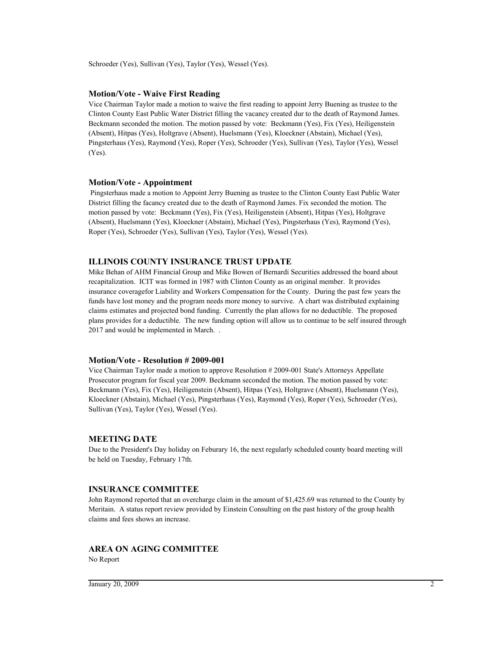Schroeder (Yes), Sullivan (Yes), Taylor (Yes), Wessel (Yes).

### **Motion/Vote - Waive First Reading**

Vice Chairman Taylor made a motion to waive the first reading to appoint Jerry Buening as trustee to the Clinton County East Public Water District filling the vacancy created dur to the death of Raymond James. Beckmann seconded the motion. The motion passed by vote: Beckmann (Yes), Fix (Yes), Heiligenstein (Absent), Hitpas (Yes), Holtgrave (Absent), Huelsmann (Yes), Kloeckner (Abstain), Michael (Yes), Pingsterhaus (Yes), Raymond (Yes), Roper (Yes), Schroeder (Yes), Sullivan (Yes), Taylor (Yes), Wessel (Yes).

### **Motion/Vote - Appointment**

 Pingsterhaus made a motion to Appoint Jerry Buening as trustee to the Clinton County East Public Water District filling the facancy created due to the death of Raymond James. Fix seconded the motion. The motion passed by vote: Beckmann (Yes), Fix (Yes), Heiligenstein (Absent), Hitpas (Yes), Holtgrave (Absent), Huelsmann (Yes), Kloeckner (Abstain), Michael (Yes), Pingsterhaus (Yes), Raymond (Yes), Roper (Yes), Schroeder (Yes), Sullivan (Yes), Taylor (Yes), Wessel (Yes).

### **ILLINOIS COUNTY INSURANCE TRUST UPDATE**

Mike Behan of AHM Financial Group and Mike Bowen of Bernardi Securities addressed the board about recapitalization. ICIT was formed in 1987 with Clinton County as an original member. It provides insurance coveragefor Liability and Workers Compensation for the County. During the past few years the funds have lost money and the program needs more money to survive. A chart was distributed explaining claims estimates and projected bond funding. Currently the plan allows for no deductible. The proposed plans provides for a deductible. The new funding option will allow us to continue to be self insured through 2017 and would be implemented in March. .

### **Motion/Vote - Resolution # 2009-001**

Vice Chairman Taylor made a motion to approve Resolution # 2009-001 State's Attorneys Appellate Prosecutor program for fiscal year 2009. Beckmann seconded the motion. The motion passed by vote: Beckmann (Yes), Fix (Yes), Heiligenstein (Absent), Hitpas (Yes), Holtgrave (Absent), Huelsmann (Yes), Kloeckner (Abstain), Michael (Yes), Pingsterhaus (Yes), Raymond (Yes), Roper (Yes), Schroeder (Yes), Sullivan (Yes), Taylor (Yes), Wessel (Yes).

#### **MEETING DATE**

Due to the President's Day holiday on Feburary 16, the next regularly scheduled county board meeting will be held on Tuesday, February 17th.

### **INSURANCE COMMITTEE**

John Raymond reported that an overcharge claim in the amount of \$1,425.69 was returned to the County by Meritain. A status report review provided by Einstein Consulting on the past history of the group health claims and fees shows an increase.

### **AREA ON AGING COMMITTEE**

No Report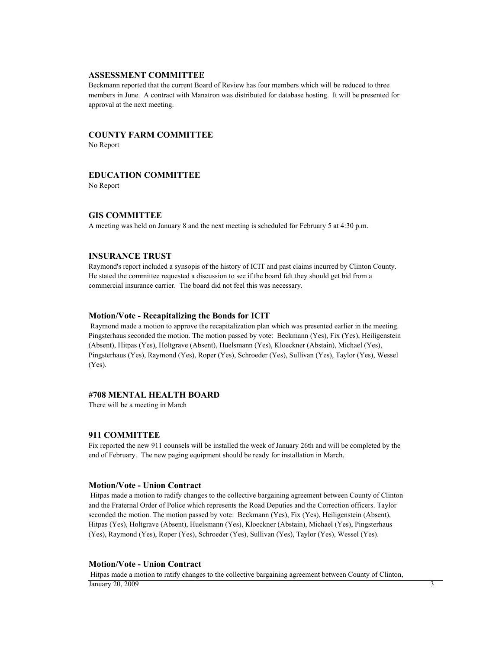#### **ASSESSMENT COMMITTEE**

Beckmann reported that the current Board of Review has four members which will be reduced to three members in June. A contract with Manatron was distributed for database hosting. It will be presented for approval at the next meeting.

# **COUNTY FARM COMMITTEE**

No Report

### **EDUCATION COMMITTEE**

No Report

### **GIS COMMITTEE**

A meeting was held on January 8 and the next meeting is scheduled for February 5 at 4:30 p.m.

# **INSURANCE TRUST**

Raymond's report included a synsopis of the history of ICIT and past claims incurred by Clinton County. He stated the committee requested a discussion to see if the board felt they should get bid from a commercial insurance carrier. The board did not feel this was necessary.

#### **Motion/Vote - Recapitalizing the Bonds for ICIT**

 Raymond made a motion to approve the recapitalization plan which was presented earlier in the meeting. Pingsterhaus seconded the motion. The motion passed by vote: Beckmann (Yes), Fix (Yes), Heiligenstein (Absent), Hitpas (Yes), Holtgrave (Absent), Huelsmann (Yes), Kloeckner (Abstain), Michael (Yes), Pingsterhaus (Yes), Raymond (Yes), Roper (Yes), Schroeder (Yes), Sullivan (Yes), Taylor (Yes), Wessel (Yes).

### **#708 MENTAL HEALTH BOARD**

There will be a meeting in March

### **911 COMMITTEE**

Fix reported the new 911 counsels will be installed the week of January 26th and will be completed by the end of February. The new paging equipment should be ready for installation in March.

### **Motion/Vote - Union Contract**

 Hitpas made a motion to radify changes to the collective bargaining agreement between County of Clinton and the Fraternal Order of Police which represents the Road Deputies and the Correction officers. Taylor seconded the motion. The motion passed by vote: Beckmann (Yes), Fix (Yes), Heiligenstein (Absent), Hitpas (Yes), Holtgrave (Absent), Huelsmann (Yes), Kloeckner (Abstain), Michael (Yes), Pingsterhaus (Yes), Raymond (Yes), Roper (Yes), Schroeder (Yes), Sullivan (Yes), Taylor (Yes), Wessel (Yes).

#### **Motion/Vote - Union Contract**

 Hitpas made a motion to ratify changes to the collective bargaining agreement between County of Clinton,  $\frac{1}{3}$  January 20, 2009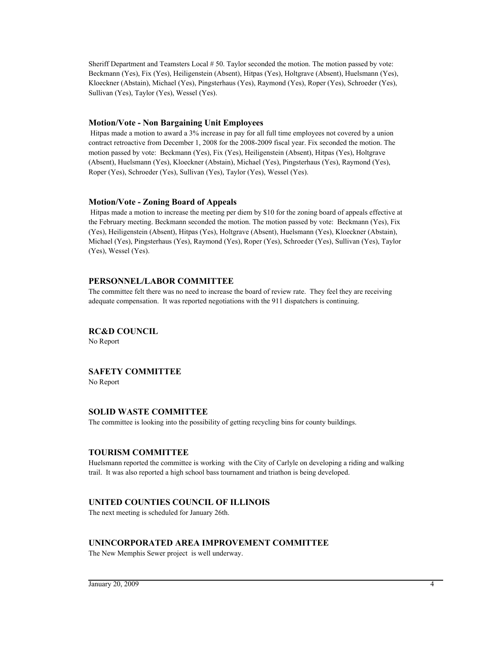Sheriff Department and Teamsters Local # 50. Taylor seconded the motion. The motion passed by vote: Beckmann (Yes), Fix (Yes), Heiligenstein (Absent), Hitpas (Yes), Holtgrave (Absent), Huelsmann (Yes), Kloeckner (Abstain), Michael (Yes), Pingsterhaus (Yes), Raymond (Yes), Roper (Yes), Schroeder (Yes), Sullivan (Yes), Taylor (Yes), Wessel (Yes).

### **Motion/Vote - Non Bargaining Unit Employees**

 Hitpas made a motion to award a 3% increase in pay for all full time employees not covered by a union contract retroactive from December 1, 2008 for the 2008-2009 fiscal year. Fix seconded the motion. The motion passed by vote: Beckmann (Yes), Fix (Yes), Heiligenstein (Absent), Hitpas (Yes), Holtgrave (Absent), Huelsmann (Yes), Kloeckner (Abstain), Michael (Yes), Pingsterhaus (Yes), Raymond (Yes), Roper (Yes), Schroeder (Yes), Sullivan (Yes), Taylor (Yes), Wessel (Yes).

### **Motion/Vote - Zoning Board of Appeals**

 Hitpas made a motion to increase the meeting per diem by \$10 for the zoning board of appeals effective at the February meeting. Beckmann seconded the motion. The motion passed by vote: Beckmann (Yes), Fix (Yes), Heiligenstein (Absent), Hitpas (Yes), Holtgrave (Absent), Huelsmann (Yes), Kloeckner (Abstain), Michael (Yes), Pingsterhaus (Yes), Raymond (Yes), Roper (Yes), Schroeder (Yes), Sullivan (Yes), Taylor (Yes), Wessel (Yes).

# **PERSONNEL/LABOR COMMITTEE**

The committee felt there was no need to increase the board of review rate. They feel they are receiving adequate compensation. It was reported negotiations with the 911 dispatchers is continuing.

# **RC&D COUNCIL**

No Report

# **SAFETY COMMITTEE**

No Report

# **SOLID WASTE COMMITTEE**

The committee is looking into the possibility of getting recycling bins for county buildings.

### **TOURISM COMMITTEE**

Huelsmann reported the committee is working with the City of Carlyle on developing a riding and walking trail. It was also reported a high school bass tournament and triathon is being developed.

# **UNITED COUNTIES COUNCIL OF ILLINOIS**

The next meeting is scheduled for January 26th.

# **UNINCORPORATED AREA IMPROVEMENT COMMITTEE**

The New Memphis Sewer project is well underway.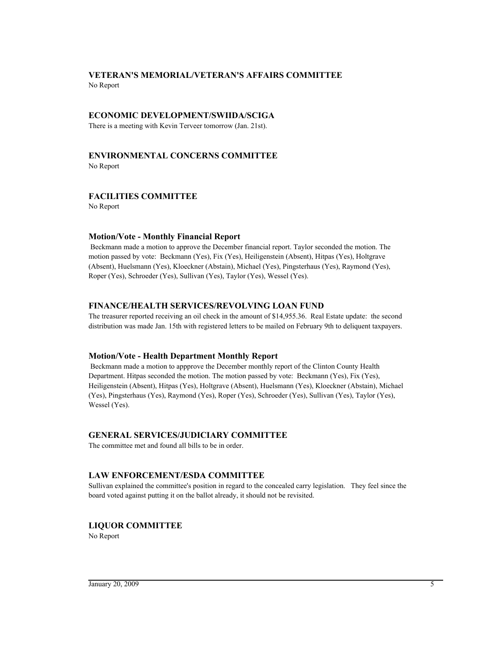# **VETERAN'S MEMORIAL/VETERAN'S AFFAIRS COMMITTEE** No Report

# **ECONOMIC DEVELOPMENT/SWIIDA/SCIGA**

There is a meeting with Kevin Terveer tomorrow (Jan. 21st).

# **ENVIRONMENTAL CONCERNS COMMITTEE**

No Report

# **FACILITIES COMMITTEE**

No Report

# **Motion/Vote - Monthly Financial Report**

 Beckmann made a motion to approve the December financial report. Taylor seconded the motion. The motion passed by vote: Beckmann (Yes), Fix (Yes), Heiligenstein (Absent), Hitpas (Yes), Holtgrave (Absent), Huelsmann (Yes), Kloeckner (Abstain), Michael (Yes), Pingsterhaus (Yes), Raymond (Yes), Roper (Yes), Schroeder (Yes), Sullivan (Yes), Taylor (Yes), Wessel (Yes).

# **FINANCE/HEALTH SERVICES/REVOLVING LOAN FUND**

The treasurer reported receiving an oil check in the amount of \$14,955.36. Real Estate update: the second distribution was made Jan. 15th with registered letters to be mailed on February 9th to deliquent taxpayers.

# **Motion/Vote - Health Department Monthly Report**

 Beckmann made a motion to appprove the December monthly report of the Clinton County Health Department. Hitpas seconded the motion. The motion passed by vote: Beckmann (Yes), Fix (Yes), Heiligenstein (Absent), Hitpas (Yes), Holtgrave (Absent), Huelsmann (Yes), Kloeckner (Abstain), Michael (Yes), Pingsterhaus (Yes), Raymond (Yes), Roper (Yes), Schroeder (Yes), Sullivan (Yes), Taylor (Yes), Wessel (Yes).

# **GENERAL SERVICES/JUDICIARY COMMITTEE**

The committee met and found all bills to be in order.

# **LAW ENFORCEMENT/ESDA COMMITTEE**

Sullivan explained the committee's position in regard to the concealed carry legislation. They feel since the board voted against putting it on the ballot already, it should not be revisited.

# **LIQUOR COMMITTEE**

No Report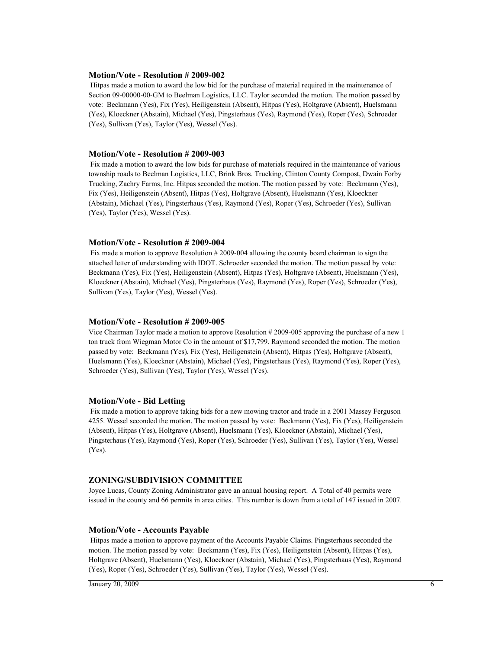#### **Motion/Vote - Resolution # 2009-002**

 Hitpas made a motion to award the low bid for the purchase of material required in the maintenance of Section 09-00000-00-GM to Beelman Logistics, LLC. Taylor seconded the motion. The motion passed by vote: Beckmann (Yes), Fix (Yes), Heiligenstein (Absent), Hitpas (Yes), Holtgrave (Absent), Huelsmann (Yes), Kloeckner (Abstain), Michael (Yes), Pingsterhaus (Yes), Raymond (Yes), Roper (Yes), Schroeder (Yes), Sullivan (Yes), Taylor (Yes), Wessel (Yes).

#### **Motion/Vote - Resolution # 2009-003**

 Fix made a motion to award the low bids for purchase of materials required in the maintenance of various township roads to Beelman Logistics, LLC, Brink Bros. Trucking, Clinton County Compost, Dwain Forby Trucking, Zachry Farms, Inc. Hitpas seconded the motion. The motion passed by vote: Beckmann (Yes), Fix (Yes), Heiligenstein (Absent), Hitpas (Yes), Holtgrave (Absent), Huelsmann (Yes), Kloeckner (Abstain), Michael (Yes), Pingsterhaus (Yes), Raymond (Yes), Roper (Yes), Schroeder (Yes), Sullivan (Yes), Taylor (Yes), Wessel (Yes).

### **Motion/Vote - Resolution # 2009-004**

 Fix made a motion to approve Resolution # 2009-004 allowing the county board chairman to sign the attached letter of understanding with IDOT. Schroeder seconded the motion. The motion passed by vote: Beckmann (Yes), Fix (Yes), Heiligenstein (Absent), Hitpas (Yes), Holtgrave (Absent), Huelsmann (Yes), Kloeckner (Abstain), Michael (Yes), Pingsterhaus (Yes), Raymond (Yes), Roper (Yes), Schroeder (Yes), Sullivan (Yes), Taylor (Yes), Wessel (Yes).

#### **Motion/Vote - Resolution # 2009-005**

Vice Chairman Taylor made a motion to approve Resolution # 2009-005 approving the purchase of a new 1 ton truck from Wiegman Motor Co in the amount of \$17,799. Raymond seconded the motion. The motion passed by vote: Beckmann (Yes), Fix (Yes), Heiligenstein (Absent), Hitpas (Yes), Holtgrave (Absent), Huelsmann (Yes), Kloeckner (Abstain), Michael (Yes), Pingsterhaus (Yes), Raymond (Yes), Roper (Yes), Schroeder (Yes), Sullivan (Yes), Taylor (Yes), Wessel (Yes).

### **Motion/Vote - Bid Letting**

 Fix made a motion to approve taking bids for a new mowing tractor and trade in a 2001 Massey Ferguson 4255. Wessel seconded the motion. The motion passed by vote: Beckmann (Yes), Fix (Yes), Heiligenstein (Absent), Hitpas (Yes), Holtgrave (Absent), Huelsmann (Yes), Kloeckner (Abstain), Michael (Yes), Pingsterhaus (Yes), Raymond (Yes), Roper (Yes), Schroeder (Yes), Sullivan (Yes), Taylor (Yes), Wessel (Yes).

### **ZONING/SUBDIVISION COMMITTEE**

Joyce Lucas, County Zoning Administrator gave an annual housing report. A Total of 40 permits were issued in the county and 66 permits in area cities. This number is down from a total of 147 issued in 2007.

#### **Motion/Vote - Accounts Payable**

 Hitpas made a motion to approve payment of the Accounts Payable Claims. Pingsterhaus seconded the motion. The motion passed by vote: Beckmann (Yes), Fix (Yes), Heiligenstein (Absent), Hitpas (Yes), Holtgrave (Absent), Huelsmann (Yes), Kloeckner (Abstain), Michael (Yes), Pingsterhaus (Yes), Raymond (Yes), Roper (Yes), Schroeder (Yes), Sullivan (Yes), Taylor (Yes), Wessel (Yes).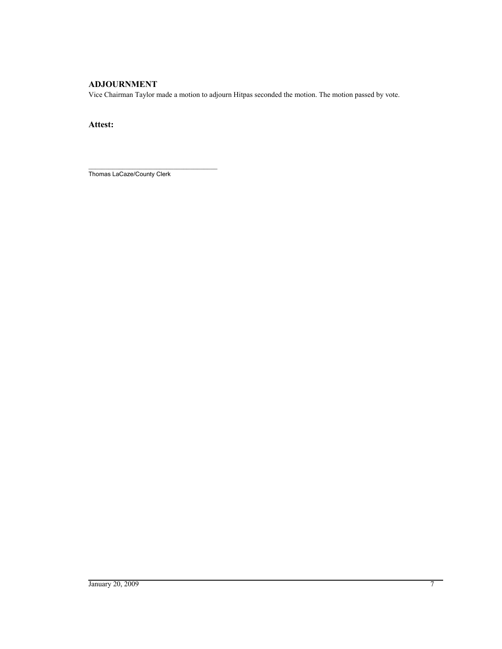# **ADJOURNMENT**

Vice Chairman Taylor made a motion to adjourn Hitpas seconded the motion. The motion passed by vote.

**Attest:**

\_\_\_\_\_\_\_\_\_\_\_\_\_\_\_\_\_\_\_\_\_\_\_\_\_\_\_\_\_\_\_\_\_\_\_\_\_\_ Thomas LaCaze/County Clerk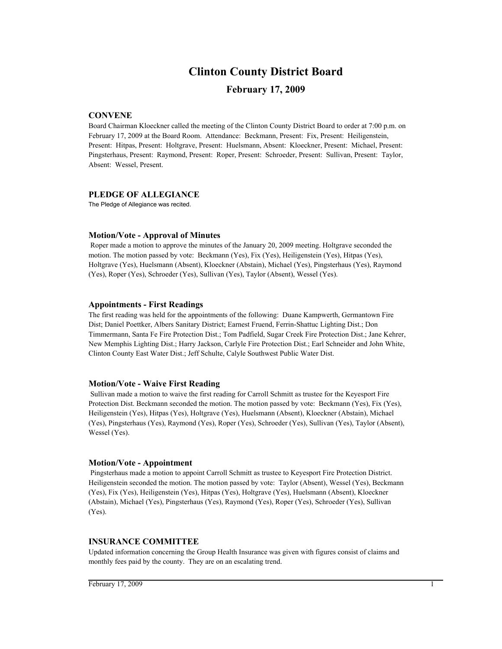# **Clinton County District Board**

# **February 17, 2009**

# **CONVENE**

Board Chairman Kloeckner called the meeting of the Clinton County District Board to order at 7:00 p.m. on February 17, 2009 at the Board Room. Attendance: Beckmann, Present: Fix, Present: Heiligenstein, Present: Hitpas, Present: Holtgrave, Present: Huelsmann, Absent: Kloeckner, Present: Michael, Present: Pingsterhaus, Present: Raymond, Present: Roper, Present: Schroeder, Present: Sullivan, Present: Taylor, Absent: Wessel, Present.

### **PLEDGE OF ALLEGIANCE**

The Pledge of Allegiance was recited.

# **Motion/Vote - Approval of Minutes**

 Roper made a motion to approve the minutes of the January 20, 2009 meeting. Holtgrave seconded the motion. The motion passed by vote: Beckmann (Yes), Fix (Yes), Heiligenstein (Yes), Hitpas (Yes), Holtgrave (Yes), Huelsmann (Absent), Kloeckner (Abstain), Michael (Yes), Pingsterhaus (Yes), Raymond (Yes), Roper (Yes), Schroeder (Yes), Sullivan (Yes), Taylor (Absent), Wessel (Yes).

# **Appointments - First Readings**

The first reading was held for the appointments of the following: Duane Kampwerth, Germantown Fire Dist; Daniel Poettker, Albers Sanitary District; Earnest Fruend, Ferrin-Shattuc Lighting Dist.; Don Timmermann, Santa Fe Fire Protection Dist.; Tom Padfield, Sugar Creek Fire Protection Dist.; Jane Kehrer, New Memphis Lighting Dist.; Harry Jackson, Carlyle Fire Protection Dist.; Earl Schneider and John White, Clinton County East Water Dist.; Jeff Schulte, Calyle Southwest Public Water Dist.

# **Motion/Vote - Waive First Reading**

 Sullivan made a motion to waive the first reading for Carroll Schmitt as trustee for the Keyesport Fire Protection Dist. Beckmann seconded the motion. The motion passed by vote: Beckmann (Yes), Fix (Yes), Heiligenstein (Yes), Hitpas (Yes), Holtgrave (Yes), Huelsmann (Absent), Kloeckner (Abstain), Michael (Yes), Pingsterhaus (Yes), Raymond (Yes), Roper (Yes), Schroeder (Yes), Sullivan (Yes), Taylor (Absent), Wessel (Yes).

# **Motion/Vote - Appointment**

 Pingsterhaus made a motion to appoint Carroll Schmitt as trustee to Keyesport Fire Protection District. Heiligenstein seconded the motion. The motion passed by vote: Taylor (Absent), Wessel (Yes), Beckmann (Yes), Fix (Yes), Heiligenstein (Yes), Hitpas (Yes), Holtgrave (Yes), Huelsmann (Absent), Kloeckner (Abstain), Michael (Yes), Pingsterhaus (Yes), Raymond (Yes), Roper (Yes), Schroeder (Yes), Sullivan (Yes).

# **INSURANCE COMMITTEE**

Updated information concerning the Group Health Insurance was given with figures consist of claims and monthly fees paid by the county. They are on an escalating trend.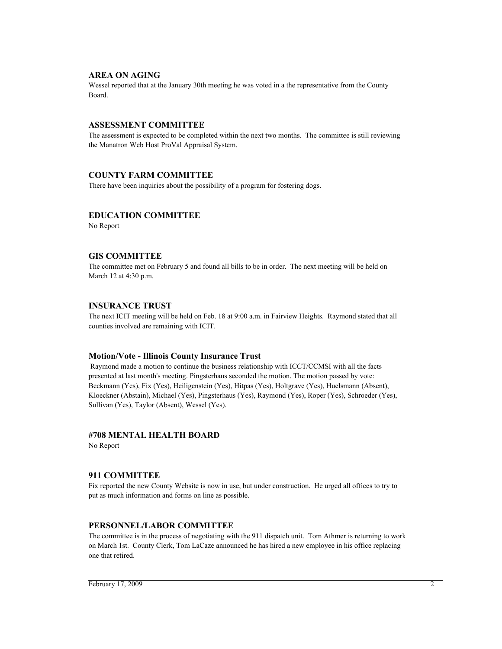# **AREA ON AGING**

Wessel reported that at the January 30th meeting he was voted in a the representative from the County Board.

### **ASSESSMENT COMMITTEE**

The assessment is expected to be completed within the next two months. The committee is still reviewing the Manatron Web Host ProVal Appraisal System.

# **COUNTY FARM COMMITTEE**

There have been inquiries about the possibility of a program for fostering dogs.

# **EDUCATION COMMITTEE**

No Report

# **GIS COMMITTEE**

The committee met on February 5 and found all bills to be in order. The next meeting will be held on March 12 at 4:30 p.m.

# **INSURANCE TRUST**

The next ICIT meeting will be held on Feb. 18 at 9:00 a.m. in Fairview Heights. Raymond stated that all counties involved are remaining with ICIT.

# **Motion/Vote - Illinois County Insurance Trust**

 Raymond made a motion to continue the business relationship with ICCT/CCMSI with all the facts presented at last month's meeting. Pingsterhaus seconded the motion. The motion passed by vote: Beckmann (Yes), Fix (Yes), Heiligenstein (Yes), Hitpas (Yes), Holtgrave (Yes), Huelsmann (Absent), Kloeckner (Abstain), Michael (Yes), Pingsterhaus (Yes), Raymond (Yes), Roper (Yes), Schroeder (Yes), Sullivan (Yes), Taylor (Absent), Wessel (Yes).

# **#708 MENTAL HEALTH BOARD**

No Report

# **911 COMMITTEE**

Fix reported the new County Website is now in use, but under construction. He urged all offices to try to put as much information and forms on line as possible.

# **PERSONNEL/LABOR COMMITTEE**

The committee is in the process of negotiating with the 911 dispatch unit. Tom Athmer is returning to work on March 1st. County Clerk, Tom LaCaze announced he has hired a new employee in his office replacing one that retired.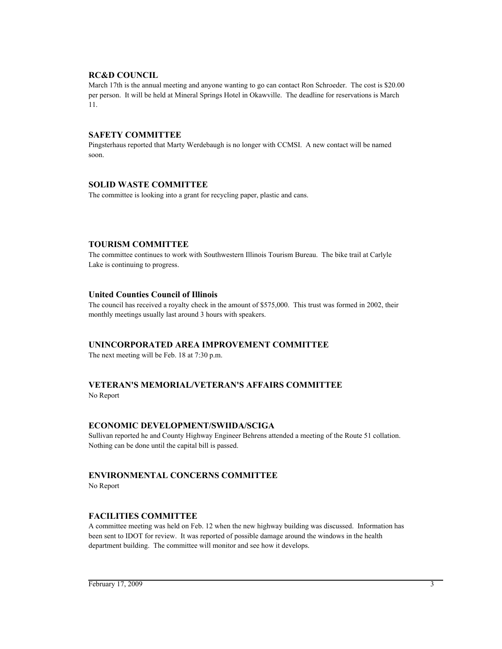# **RC&D COUNCIL**

March 17th is the annual meeting and anyone wanting to go can contact Ron Schroeder. The cost is \$20.00 per person. It will be held at Mineral Springs Hotel in Okawville. The deadline for reservations is March 11.

# **SAFETY COMMITTEE**

Pingsterhaus reported that Marty Werdebaugh is no longer with CCMSI. A new contact will be named soon.

# **SOLID WASTE COMMITTEE**

The committee is looking into a grant for recycling paper, plastic and cans.

# **TOURISM COMMITTEE**

The committee continues to work with Southwestern Illinois Tourism Bureau. The bike trail at Carlyle Lake is continuing to progress.

# **United Counties Council of Illinois**

The council has received a royalty check in the amount of \$575,000. This trust was formed in 2002, their monthly meetings usually last around 3 hours with speakers.

# **UNINCORPORATED AREA IMPROVEMENT COMMITTEE**

The next meeting will be Feb. 18 at 7:30 p.m.

# **VETERAN'S MEMORIAL/VETERAN'S AFFAIRS COMMITTEE**

No Report

# **ECONOMIC DEVELOPMENT/SWIIDA/SCIGA**

Sullivan reported he and County Highway Engineer Behrens attended a meeting of the Route 51 collation. Nothing can be done until the capital bill is passed.

# **ENVIRONMENTAL CONCERNS COMMITTEE**

No Report

# **FACILITIES COMMITTEE**

A committee meeting was held on Feb. 12 when the new highway building was discussed. Information has been sent to IDOT for review. It was reported of possible damage around the windows in the health department building. The committee will monitor and see how it develops.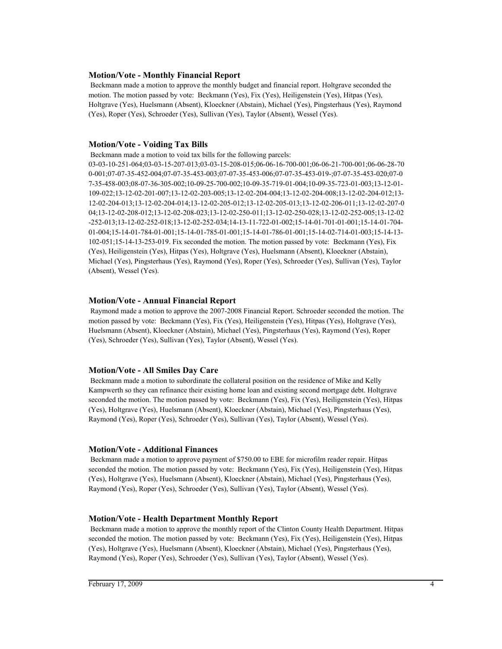### **Motion/Vote - Monthly Financial Report**

 Beckmann made a motion to approve the monthly budget and financial report. Holtgrave seconded the motion. The motion passed by vote: Beckmann (Yes), Fix (Yes), Heiligenstein (Yes), Hitpas (Yes), Holtgrave (Yes), Huelsmann (Absent), Kloeckner (Abstain), Michael (Yes), Pingsterhaus (Yes), Raymond (Yes), Roper (Yes), Schroeder (Yes), Sullivan (Yes), Taylor (Absent), Wessel (Yes).

### **Motion/Vote - Voiding Tax Bills**

Beckmann made a motion to void tax bills for the following parcels:

03-03-10-251-064;03-03-15-207-013;03-03-15-208-015;06-06-16-700-001;06-06-21-700-001;06-06-28-70 0-001;07-07-35-452-004;07-07-35-453-003;07-07-35-453-006;07-07-35-453-019-;07-07-35-453-020;07-0 7-35-458-003;08-07-36-305-002;10-09-25-700-002;10-09-35-719-01-004;10-09-35-723-01-003;13-12-01- 109-022;13-12-02-201-007;13-12-02-203-005;13-12-02-204-004;13-12-02-204-008;13-12-02-204-012;13- 12-02-204-013;13-12-02-204-014;13-12-02-205-012;13-12-02-205-013;13-12-02-206-011;13-12-02-207-0 04;13-12-02-208-012;13-12-02-208-023;13-12-02-250-011;13-12-02-250-028;13-12-02-252-005;13-12-02 -252-013;13-12-02-252-018;13-12-02-252-034;14-13-11-722-01-002;15-14-01-701-01-001;15-14-01-704- 01-004;15-14-01-784-01-001;15-14-01-785-01-001;15-14-01-786-01-001;15-14-02-714-01-003;15-14-13- 102-051;15-14-13-253-019. Fix seconded the motion. The motion passed by vote: Beckmann (Yes), Fix (Yes), Heiligenstein (Yes), Hitpas (Yes), Holtgrave (Yes), Huelsmann (Absent), Kloeckner (Abstain), Michael (Yes), Pingsterhaus (Yes), Raymond (Yes), Roper (Yes), Schroeder (Yes), Sullivan (Yes), Taylor (Absent), Wessel (Yes).

### **Motion/Vote - Annual Financial Report**

 Raymond made a motion to approve the 2007-2008 Financial Report. Schroeder seconded the motion. The motion passed by vote: Beckmann (Yes), Fix (Yes), Heiligenstein (Yes), Hitpas (Yes), Holtgrave (Yes), Huelsmann (Absent), Kloeckner (Abstain), Michael (Yes), Pingsterhaus (Yes), Raymond (Yes), Roper (Yes), Schroeder (Yes), Sullivan (Yes), Taylor (Absent), Wessel (Yes).

### **Motion/Vote - All Smiles Day Care**

 Beckmann made a motion to subordinate the collateral position on the residence of Mike and Kelly Kampwerth so they can refinance their existing home loan and existing second mortgage debt. Holtgrave seconded the motion. The motion passed by vote: Beckmann (Yes), Fix (Yes), Heiligenstein (Yes), Hitpas (Yes), Holtgrave (Yes), Huelsmann (Absent), Kloeckner (Abstain), Michael (Yes), Pingsterhaus (Yes), Raymond (Yes), Roper (Yes), Schroeder (Yes), Sullivan (Yes), Taylor (Absent), Wessel (Yes).

### **Motion/Vote - Additional Finances**

 Beckmann made a motion to approve payment of \$750.00 to EBE for microfilm reader repair. Hitpas seconded the motion. The motion passed by vote: Beckmann (Yes), Fix (Yes), Heiligenstein (Yes), Hitpas (Yes), Holtgrave (Yes), Huelsmann (Absent), Kloeckner (Abstain), Michael (Yes), Pingsterhaus (Yes), Raymond (Yes), Roper (Yes), Schroeder (Yes), Sullivan (Yes), Taylor (Absent), Wessel (Yes).

# **Motion/Vote - Health Department Monthly Report**

 Beckmann made a motion to approve the monthly report of the Clinton County Health Department. Hitpas seconded the motion. The motion passed by vote: Beckmann (Yes), Fix (Yes), Heiligenstein (Yes), Hitpas (Yes), Holtgrave (Yes), Huelsmann (Absent), Kloeckner (Abstain), Michael (Yes), Pingsterhaus (Yes), Raymond (Yes), Roper (Yes), Schroeder (Yes), Sullivan (Yes), Taylor (Absent), Wessel (Yes).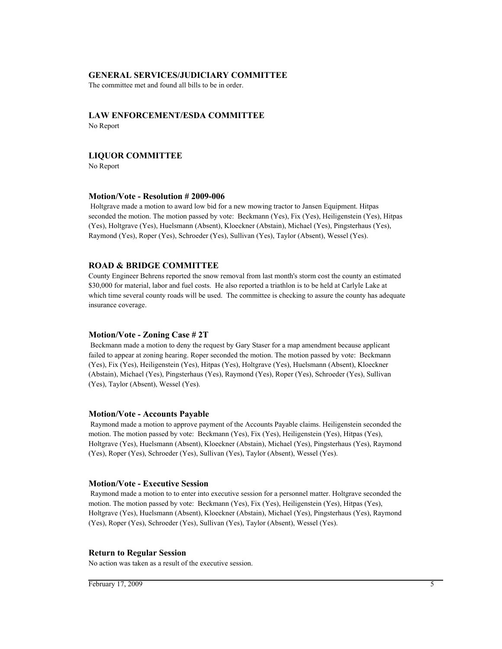### **GENERAL SERVICES/JUDICIARY COMMITTEE**

The committee met and found all bills to be in order.

# **LAW ENFORCEMENT/ESDA COMMITTEE**

No Report

# **LIQUOR COMMITTEE**

No Report

### **Motion/Vote - Resolution # 2009-006**

 Holtgrave made a motion to award low bid for a new mowing tractor to Jansen Equipment. Hitpas seconded the motion. The motion passed by vote: Beckmann (Yes), Fix (Yes), Heiligenstein (Yes), Hitpas (Yes), Holtgrave (Yes), Huelsmann (Absent), Kloeckner (Abstain), Michael (Yes), Pingsterhaus (Yes), Raymond (Yes), Roper (Yes), Schroeder (Yes), Sullivan (Yes), Taylor (Absent), Wessel (Yes).

# **ROAD & BRIDGE COMMITTEE**

County Engineer Behrens reported the snow removal from last month's storm cost the county an estimated \$30,000 for material, labor and fuel costs. He also reported a triathlon is to be held at Carlyle Lake at which time several county roads will be used. The committee is checking to assure the county has adequate insurance coverage.

### **Motion/Vote - Zoning Case # 2T**

 Beckmann made a motion to deny the request by Gary Staser for a map amendment because applicant failed to appear at zoning hearing. Roper seconded the motion. The motion passed by vote: Beckmann (Yes), Fix (Yes), Heiligenstein (Yes), Hitpas (Yes), Holtgrave (Yes), Huelsmann (Absent), Kloeckner (Abstain), Michael (Yes), Pingsterhaus (Yes), Raymond (Yes), Roper (Yes), Schroeder (Yes), Sullivan (Yes), Taylor (Absent), Wessel (Yes).

### **Motion/Vote - Accounts Payable**

 Raymond made a motion to approve payment of the Accounts Payable claims. Heiligenstein seconded the motion. The motion passed by vote: Beckmann (Yes), Fix (Yes), Heiligenstein (Yes), Hitpas (Yes), Holtgrave (Yes), Huelsmann (Absent), Kloeckner (Abstain), Michael (Yes), Pingsterhaus (Yes), Raymond (Yes), Roper (Yes), Schroeder (Yes), Sullivan (Yes), Taylor (Absent), Wessel (Yes).

### **Motion/Vote - Executive Session**

 Raymond made a motion to to enter into executive session for a personnel matter. Holtgrave seconded the motion. The motion passed by vote: Beckmann (Yes), Fix (Yes), Heiligenstein (Yes), Hitpas (Yes), Holtgrave (Yes), Huelsmann (Absent), Kloeckner (Abstain), Michael (Yes), Pingsterhaus (Yes), Raymond (Yes), Roper (Yes), Schroeder (Yes), Sullivan (Yes), Taylor (Absent), Wessel (Yes).

### **Return to Regular Session**

No action was taken as a result of the executive session.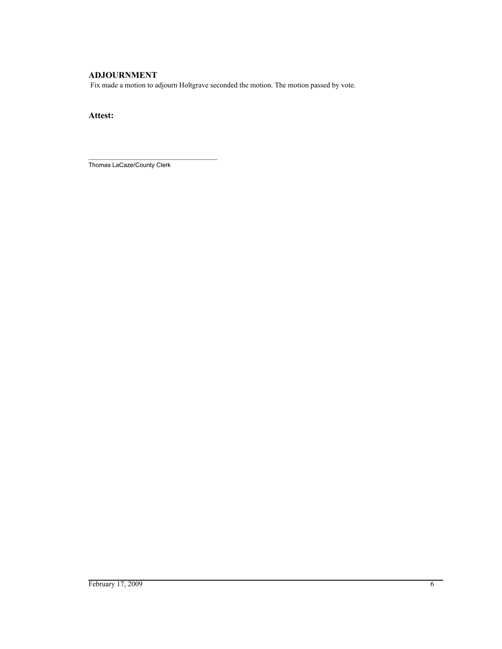# **ADJOURNMENT**

Fix made a motion to adjourn Holtgrave seconded the motion. The motion passed by vote.

# **Attest:**

\_\_\_\_\_\_\_\_\_\_\_\_\_\_\_\_\_\_\_\_\_\_\_\_\_\_\_\_\_\_\_\_\_\_\_\_\_\_ Thomas LaCaze/County Clerk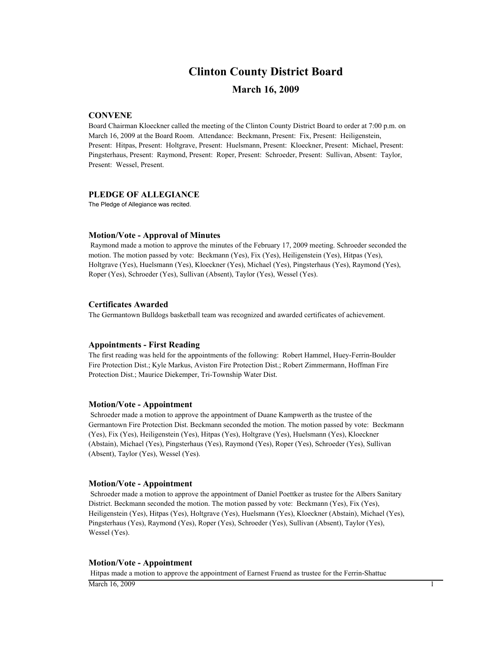# **Clinton County District Board**

# **March 16, 2009**

# **CONVENE**

Board Chairman Kloeckner called the meeting of the Clinton County District Board to order at 7:00 p.m. on March 16, 2009 at the Board Room. Attendance: Beckmann, Present: Fix, Present: Heiligenstein, Present: Hitpas, Present: Holtgrave, Present: Huelsmann, Present: Kloeckner, Present: Michael, Present: Pingsterhaus, Present: Raymond, Present: Roper, Present: Schroeder, Present: Sullivan, Absent: Taylor, Present: Wessel, Present.

### **PLEDGE OF ALLEGIANCE**

The Pledge of Allegiance was recited.

### **Motion/Vote - Approval of Minutes**

 Raymond made a motion to approve the minutes of the February 17, 2009 meeting. Schroeder seconded the motion. The motion passed by vote: Beckmann (Yes), Fix (Yes), Heiligenstein (Yes), Hitpas (Yes), Holtgrave (Yes), Huelsmann (Yes), Kloeckner (Yes), Michael (Yes), Pingsterhaus (Yes), Raymond (Yes), Roper (Yes), Schroeder (Yes), Sullivan (Absent), Taylor (Yes), Wessel (Yes).

#### **Certificates Awarded**

The Germantown Bulldogs basketball team was recognized and awarded certificates of achievement.

#### **Appointments - First Reading**

The first reading was held for the appointments of the following: Robert Hammel, Huey-Ferrin-Boulder Fire Protection Dist.; Kyle Markus, Aviston Fire Protection Dist.; Robert Zimmermann, Hoffman Fire Protection Dist.; Maurice Diekemper, Tri-Township Water Dist.

## **Motion/Vote - Appointment**

 Schroeder made a motion to approve the appointment of Duane Kampwerth as the trustee of the Germantown Fire Protection Dist. Beckmann seconded the motion. The motion passed by vote: Beckmann (Yes), Fix (Yes), Heiligenstein (Yes), Hitpas (Yes), Holtgrave (Yes), Huelsmann (Yes), Kloeckner (Abstain), Michael (Yes), Pingsterhaus (Yes), Raymond (Yes), Roper (Yes), Schroeder (Yes), Sullivan (Absent), Taylor (Yes), Wessel (Yes).

#### **Motion/Vote - Appointment**

 Schroeder made a motion to approve the appointment of Daniel Poettker as trustee for the Albers Sanitary District. Beckmann seconded the motion. The motion passed by vote: Beckmann (Yes), Fix (Yes), Heiligenstein (Yes), Hitpas (Yes), Holtgrave (Yes), Huelsmann (Yes), Kloeckner (Abstain), Michael (Yes), Pingsterhaus (Yes), Raymond (Yes), Roper (Yes), Schroeder (Yes), Sullivan (Absent), Taylor (Yes), Wessel (Yes).

### **Motion/Vote - Appointment**

Hitpas made a motion to approve the appointment of Earnest Fruend as trustee for the Ferrin-Shattuc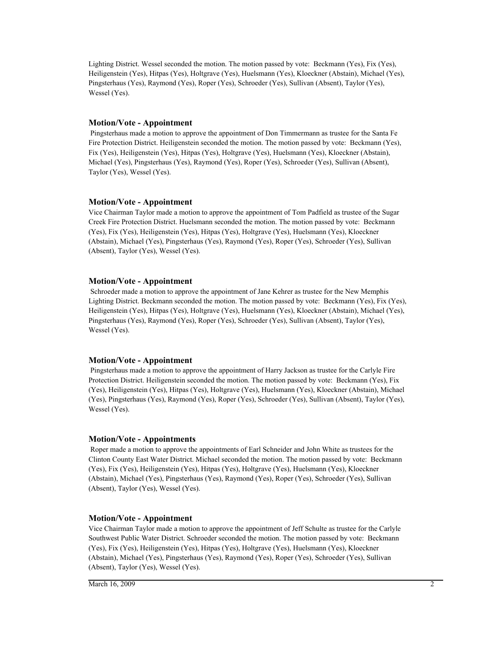Lighting District. Wessel seconded the motion. The motion passed by vote: Beckmann (Yes), Fix (Yes), Heiligenstein (Yes), Hitpas (Yes), Holtgrave (Yes), Huelsmann (Yes), Kloeckner (Abstain), Michael (Yes), Pingsterhaus (Yes), Raymond (Yes), Roper (Yes), Schroeder (Yes), Sullivan (Absent), Taylor (Yes), Wessel (Yes).

### **Motion/Vote - Appointment**

 Pingsterhaus made a motion to approve the appointment of Don Timmermann as trustee for the Santa Fe Fire Protection District. Heiligenstein seconded the motion. The motion passed by vote: Beckmann (Yes), Fix (Yes), Heiligenstein (Yes), Hitpas (Yes), Holtgrave (Yes), Huelsmann (Yes), Kloeckner (Abstain), Michael (Yes), Pingsterhaus (Yes), Raymond (Yes), Roper (Yes), Schroeder (Yes), Sullivan (Absent), Taylor (Yes), Wessel (Yes).

# **Motion/Vote - Appointment**

Vice Chairman Taylor made a motion to approve the appointment of Tom Padfield as trustee of the Sugar Creek Fire Protection District. Huelsmann seconded the motion. The motion passed by vote: Beckmann (Yes), Fix (Yes), Heiligenstein (Yes), Hitpas (Yes), Holtgrave (Yes), Huelsmann (Yes), Kloeckner (Abstain), Michael (Yes), Pingsterhaus (Yes), Raymond (Yes), Roper (Yes), Schroeder (Yes), Sullivan (Absent), Taylor (Yes), Wessel (Yes).

# **Motion/Vote - Appointment**

 Schroeder made a motion to approve the appointment of Jane Kehrer as trustee for the New Memphis Lighting District. Beckmann seconded the motion. The motion passed by vote: Beckmann (Yes), Fix (Yes), Heiligenstein (Yes), Hitpas (Yes), Holtgrave (Yes), Huelsmann (Yes), Kloeckner (Abstain), Michael (Yes), Pingsterhaus (Yes), Raymond (Yes), Roper (Yes), Schroeder (Yes), Sullivan (Absent), Taylor (Yes), Wessel (Yes).

# **Motion/Vote - Appointment**

 Pingsterhaus made a motion to approve the appointment of Harry Jackson as trustee for the Carlyle Fire Protection District. Heiligenstein seconded the motion. The motion passed by vote: Beckmann (Yes), Fix (Yes), Heiligenstein (Yes), Hitpas (Yes), Holtgrave (Yes), Huelsmann (Yes), Kloeckner (Abstain), Michael (Yes), Pingsterhaus (Yes), Raymond (Yes), Roper (Yes), Schroeder (Yes), Sullivan (Absent), Taylor (Yes), Wessel (Yes).

# **Motion/Vote - Appointments**

 Roper made a motion to approve the appointments of Earl Schneider and John White as trustees for the Clinton County East Water District. Michael seconded the motion. The motion passed by vote: Beckmann (Yes), Fix (Yes), Heiligenstein (Yes), Hitpas (Yes), Holtgrave (Yes), Huelsmann (Yes), Kloeckner (Abstain), Michael (Yes), Pingsterhaus (Yes), Raymond (Yes), Roper (Yes), Schroeder (Yes), Sullivan (Absent), Taylor (Yes), Wessel (Yes).

### **Motion/Vote - Appointment**

Vice Chairman Taylor made a motion to approve the appointment of Jeff Schulte as trustee for the Carlyle Southwest Public Water District. Schroeder seconded the motion. The motion passed by vote: Beckmann (Yes), Fix (Yes), Heiligenstein (Yes), Hitpas (Yes), Holtgrave (Yes), Huelsmann (Yes), Kloeckner (Abstain), Michael (Yes), Pingsterhaus (Yes), Raymond (Yes), Roper (Yes), Schroeder (Yes), Sullivan (Absent), Taylor (Yes), Wessel (Yes).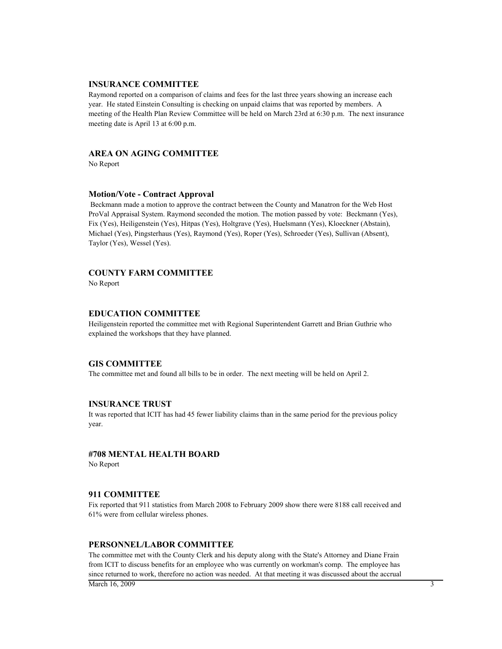### **INSURANCE COMMITTEE**

Raymond reported on a comparison of claims and fees for the last three years showing an increase each year. He stated Einstein Consulting is checking on unpaid claims that was reported by members. A meeting of the Health Plan Review Committee will be held on March 23rd at 6:30 p.m. The next insurance meeting date is April 13 at 6:00 p.m.

### **AREA ON AGING COMMITTEE**

No Report

#### **Motion/Vote - Contract Approval**

 Beckmann made a motion to approve the contract between the County and Manatron for the Web Host ProVal Appraisal System. Raymond seconded the motion. The motion passed by vote: Beckmann (Yes), Fix (Yes), Heiligenstein (Yes), Hitpas (Yes), Holtgrave (Yes), Huelsmann (Yes), Kloeckner (Abstain), Michael (Yes), Pingsterhaus (Yes), Raymond (Yes), Roper (Yes), Schroeder (Yes), Sullivan (Absent), Taylor (Yes), Wessel (Yes).

### **COUNTY FARM COMMITTEE**

No Report

### **EDUCATION COMMITTEE**

Heiligenstein reported the committee met with Regional Superintendent Garrett and Brian Guthrie who explained the workshops that they have planned.

#### **GIS COMMITTEE**

The committee met and found all bills to be in order. The next meeting will be held on April 2.

### **INSURANCE TRUST**

It was reported that ICIT has had 45 fewer liability claims than in the same period for the previous policy year.

### **#708 MENTAL HEALTH BOARD**

No Report

### **911 COMMITTEE**

Fix reported that 911 statistics from March 2008 to February 2009 show there were 8188 call received and 61% were from cellular wireless phones.

### **PERSONNEL/LABOR COMMITTEE**

The committee met with the County Clerk and his deputy along with the State's Attorney and Diane Frain from ICIT to discuss benefits for an employee who was currently on workman's comp. The employee has since returned to work, therefore no action was needed. At that meeting it was discussed about the accrual March 16, 2009  $\frac{3}{2}$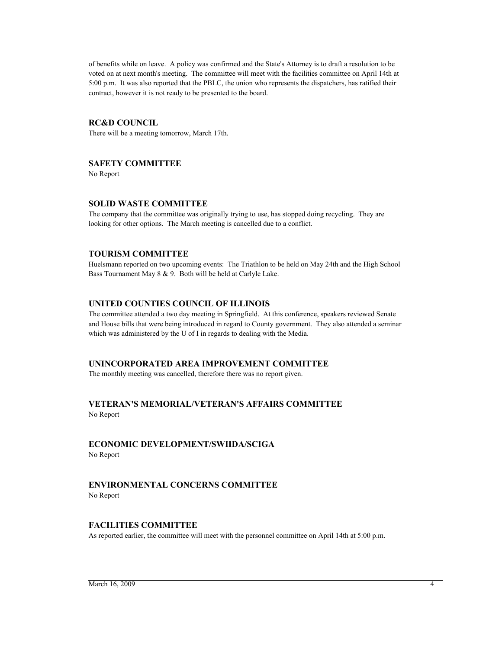of benefits while on leave. A policy was confirmed and the State's Attorney is to draft a resolution to be voted on at next month's meeting. The committee will meet with the facilities committee on April 14th at 5:00 p.m. It was also reported that the PBLC, the union who represents the dispatchers, has ratified their contract, however it is not ready to be presented to the board.

# **RC&D COUNCIL**

There will be a meeting tomorrow, March 17th.

# **SAFETY COMMITTEE**

No Report

# **SOLID WASTE COMMITTEE**

The company that the committee was originally trying to use, has stopped doing recycling. They are looking for other options. The March meeting is cancelled due to a conflict.

# **TOURISM COMMITTEE**

Huelsmann reported on two upcoming events: The Triathlon to be held on May 24th and the High School Bass Tournament May 8 & 9. Both will be held at Carlyle Lake.

# **UNITED COUNTIES COUNCIL OF ILLINOIS**

The committee attended a two day meeting in Springfield. At this conference, speakers reviewed Senate and House bills that were being introduced in regard to County government. They also attended a seminar which was administered by the U of I in regards to dealing with the Media.

# **UNINCORPORATED AREA IMPROVEMENT COMMITTEE**

The monthly meeting was cancelled, therefore there was no report given.

# **VETERAN'S MEMORIAL/VETERAN'S AFFAIRS COMMITTEE**

No Report

# **ECONOMIC DEVELOPMENT/SWIIDA/SCIGA**

No Report

# **ENVIRONMENTAL CONCERNS COMMITTEE**

No Report

# **FACILITIES COMMITTEE**

As reported earlier, the committee will meet with the personnel committee on April 14th at 5:00 p.m.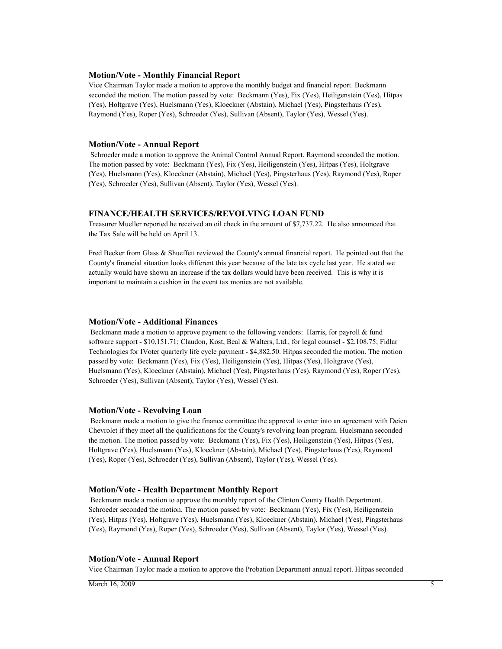#### **Motion/Vote - Monthly Financial Report**

Vice Chairman Taylor made a motion to approve the monthly budget and financial report. Beckmann seconded the motion. The motion passed by vote: Beckmann (Yes), Fix (Yes), Heiligenstein (Yes), Hitpas (Yes), Holtgrave (Yes), Huelsmann (Yes), Kloeckner (Abstain), Michael (Yes), Pingsterhaus (Yes), Raymond (Yes), Roper (Yes), Schroeder (Yes), Sullivan (Absent), Taylor (Yes), Wessel (Yes).

### **Motion/Vote - Annual Report**

 Schroeder made a motion to approve the Animal Control Annual Report. Raymond seconded the motion. The motion passed by vote: Beckmann (Yes), Fix (Yes), Heiligenstein (Yes), Hitpas (Yes), Holtgrave (Yes), Huelsmann (Yes), Kloeckner (Abstain), Michael (Yes), Pingsterhaus (Yes), Raymond (Yes), Roper (Yes), Schroeder (Yes), Sullivan (Absent), Taylor (Yes), Wessel (Yes).

## **FINANCE/HEALTH SERVICES/REVOLVING LOAN FUND**

Treasurer Mueller reported he received an oil check in the amount of \$7,737.22. He also announced that the Tax Sale will be held on April 13.

Fred Becker from Glass & Shueffett reviewed the County's annual financial report. He pointed out that the County's financial situation looks different this year because of the late tax cycle last year. He stated we actually would have shown an increase if the tax dollars would have been received. This is why it is important to maintain a cushion in the event tax monies are not available.

### **Motion/Vote - Additional Finances**

Beckmann made a motion to approve payment to the following vendors: Harris, for payroll  $\&$  fund software support - \$10,151.71; Claudon, Kost, Beal & Walters, Ltd., for legal counsel - \$2,108.75; Fidlar Technologies for IVoter quarterly life cycle payment - \$4,882.50. Hitpas seconded the motion. The motion passed by vote: Beckmann (Yes), Fix (Yes), Heiligenstein (Yes), Hitpas (Yes), Holtgrave (Yes), Huelsmann (Yes), Kloeckner (Abstain), Michael (Yes), Pingsterhaus (Yes), Raymond (Yes), Roper (Yes), Schroeder (Yes), Sullivan (Absent), Taylor (Yes), Wessel (Yes).

### **Motion/Vote - Revolving Loan**

 Beckmann made a motion to give the finance committee the approval to enter into an agreement with Deien Chevrolet if they meet all the qualifications for the County's revolving loan program. Huelsmann seconded the motion. The motion passed by vote: Beckmann (Yes), Fix (Yes), Heiligenstein (Yes), Hitpas (Yes), Holtgrave (Yes), Huelsmann (Yes), Kloeckner (Abstain), Michael (Yes), Pingsterhaus (Yes), Raymond (Yes), Roper (Yes), Schroeder (Yes), Sullivan (Absent), Taylor (Yes), Wessel (Yes).

## **Motion/Vote - Health Department Monthly Report**

 Beckmann made a motion to approve the monthly report of the Clinton County Health Department. Schroeder seconded the motion. The motion passed by vote: Beckmann (Yes), Fix (Yes), Heiligenstein (Yes), Hitpas (Yes), Holtgrave (Yes), Huelsmann (Yes), Kloeckner (Abstain), Michael (Yes), Pingsterhaus (Yes), Raymond (Yes), Roper (Yes), Schroeder (Yes), Sullivan (Absent), Taylor (Yes), Wessel (Yes).

### **Motion/Vote - Annual Report**

Vice Chairman Taylor made a motion to approve the Probation Department annual report. Hitpas seconded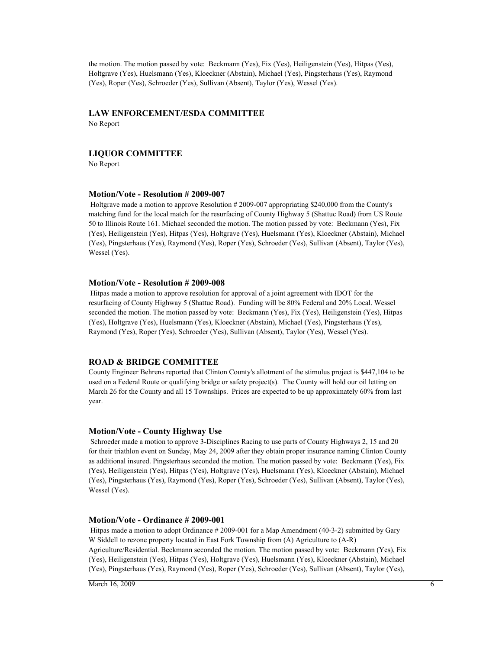the motion. The motion passed by vote: Beckmann (Yes), Fix (Yes), Heiligenstein (Yes), Hitpas (Yes), Holtgrave (Yes), Huelsmann (Yes), Kloeckner (Abstain), Michael (Yes), Pingsterhaus (Yes), Raymond (Yes), Roper (Yes), Schroeder (Yes), Sullivan (Absent), Taylor (Yes), Wessel (Yes).

# **LAW ENFORCEMENT/ESDA COMMITTEE**

No Report

# **LIQUOR COMMITTEE**

No Report

### **Motion/Vote - Resolution # 2009-007**

 Holtgrave made a motion to approve Resolution # 2009-007 appropriating \$240,000 from the County's matching fund for the local match for the resurfacing of County Highway 5 (Shattuc Road) from US Route 50 to Illinois Route 161. Michael seconded the motion. The motion passed by vote: Beckmann (Yes), Fix (Yes), Heiligenstein (Yes), Hitpas (Yes), Holtgrave (Yes), Huelsmann (Yes), Kloeckner (Abstain), Michael (Yes), Pingsterhaus (Yes), Raymond (Yes), Roper (Yes), Schroeder (Yes), Sullivan (Absent), Taylor (Yes), Wessel (Yes).

### **Motion/Vote - Resolution # 2009-008**

 Hitpas made a motion to approve resolution for approval of a joint agreement with IDOT for the resurfacing of County Highway 5 (Shattuc Road). Funding will be 80% Federal and 20% Local. Wessel seconded the motion. The motion passed by vote: Beckmann (Yes), Fix (Yes), Heiligenstein (Yes), Hitpas (Yes), Holtgrave (Yes), Huelsmann (Yes), Kloeckner (Abstain), Michael (Yes), Pingsterhaus (Yes), Raymond (Yes), Roper (Yes), Schroeder (Yes), Sullivan (Absent), Taylor (Yes), Wessel (Yes).

### **ROAD & BRIDGE COMMITTEE**

County Engineer Behrens reported that Clinton County's allotment of the stimulus project is \$447,104 to be used on a Federal Route or qualifying bridge or safety project(s). The County will hold our oil letting on March 26 for the County and all 15 Townships. Prices are expected to be up approximately 60% from last year.

#### **Motion/Vote - County Highway Use**

 Schroeder made a motion to approve 3-Disciplines Racing to use parts of County Highways 2, 15 and 20 for their triathlon event on Sunday, May 24, 2009 after they obtain proper insurance naming Clinton County as additional insured. Pingsterhaus seconded the motion. The motion passed by vote: Beckmann (Yes), Fix (Yes), Heiligenstein (Yes), Hitpas (Yes), Holtgrave (Yes), Huelsmann (Yes), Kloeckner (Abstain), Michael (Yes), Pingsterhaus (Yes), Raymond (Yes), Roper (Yes), Schroeder (Yes), Sullivan (Absent), Taylor (Yes), Wessel (Yes).

### **Motion/Vote - Ordinance # 2009-001**

 Hitpas made a motion to adopt Ordinance # 2009-001 for a Map Amendment (40-3-2) submitted by Gary W Siddell to rezone property located in East Fork Township from (A) Agriculture to  $(A-R)$ Agriculture/Residential. Beckmann seconded the motion. The motion passed by vote: Beckmann (Yes), Fix (Yes), Heiligenstein (Yes), Hitpas (Yes), Holtgrave (Yes), Huelsmann (Yes), Kloeckner (Abstain), Michael (Yes), Pingsterhaus (Yes), Raymond (Yes), Roper (Yes), Schroeder (Yes), Sullivan (Absent), Taylor (Yes),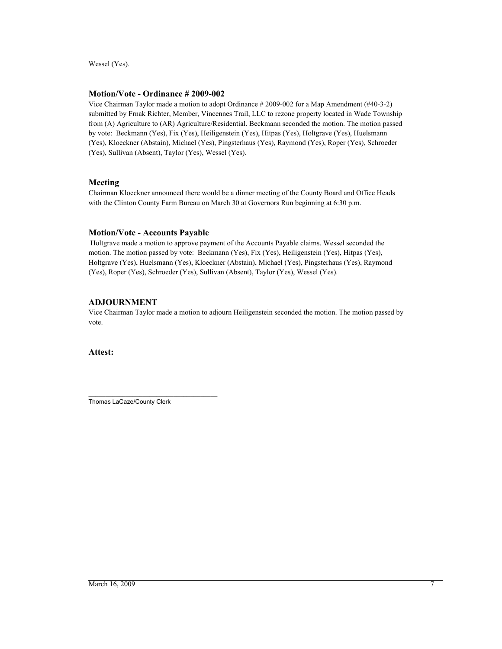Wessel (Yes).

# **Motion/Vote - Ordinance # 2009-002**

Vice Chairman Taylor made a motion to adopt Ordinance # 2009-002 for a Map Amendment (#40-3-2) submitted by Frnak Richter, Member, Vincennes Trail, LLC to rezone property located in Wade Township from (A) Agriculture to (AR) Agriculture/Residential. Beckmann seconded the motion. The motion passed by vote: Beckmann (Yes), Fix (Yes), Heiligenstein (Yes), Hitpas (Yes), Holtgrave (Yes), Huelsmann (Yes), Kloeckner (Abstain), Michael (Yes), Pingsterhaus (Yes), Raymond (Yes), Roper (Yes), Schroeder (Yes), Sullivan (Absent), Taylor (Yes), Wessel (Yes).

# **Meeting**

Chairman Kloeckner announced there would be a dinner meeting of the County Board and Office Heads with the Clinton County Farm Bureau on March 30 at Governors Run beginning at 6:30 p.m.

# **Motion/Vote - Accounts Payable**

 Holtgrave made a motion to approve payment of the Accounts Payable claims. Wessel seconded the motion. The motion passed by vote: Beckmann (Yes), Fix (Yes), Heiligenstein (Yes), Hitpas (Yes), Holtgrave (Yes), Huelsmann (Yes), Kloeckner (Abstain), Michael (Yes), Pingsterhaus (Yes), Raymond (Yes), Roper (Yes), Schroeder (Yes), Sullivan (Absent), Taylor (Yes), Wessel (Yes).

# **ADJOURNMENT**

Vice Chairman Taylor made a motion to adjourn Heiligenstein seconded the motion. The motion passed by vote.

**Attest:**

\_\_\_\_\_\_\_\_\_\_\_\_\_\_\_\_\_\_\_\_\_\_\_\_\_\_\_\_\_\_\_\_\_\_\_\_\_\_ Thomas LaCaze/County Clerk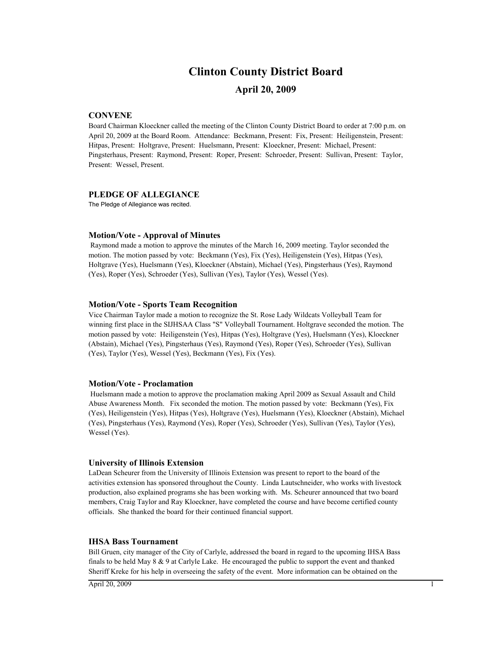# **Clinton County District Board**

# **April 20, 2009**

## **CONVENE**

Board Chairman Kloeckner called the meeting of the Clinton County District Board to order at 7:00 p.m. on April 20, 2009 at the Board Room. Attendance: Beckmann, Present: Fix, Present: Heiligenstein, Present: Hitpas, Present: Holtgrave, Present: Huelsmann, Present: Kloeckner, Present: Michael, Present: Pingsterhaus, Present: Raymond, Present: Roper, Present: Schroeder, Present: Sullivan, Present: Taylor, Present: Wessel, Present.

### **PLEDGE OF ALLEGIANCE**

The Pledge of Allegiance was recited.

### **Motion/Vote - Approval of Minutes**

 Raymond made a motion to approve the minutes of the March 16, 2009 meeting. Taylor seconded the motion. The motion passed by vote: Beckmann (Yes), Fix (Yes), Heiligenstein (Yes), Hitpas (Yes), Holtgrave (Yes), Huelsmann (Yes), Kloeckner (Abstain), Michael (Yes), Pingsterhaus (Yes), Raymond (Yes), Roper (Yes), Schroeder (Yes), Sullivan (Yes), Taylor (Yes), Wessel (Yes).

### **Motion/Vote - Sports Team Recognition**

Vice Chairman Taylor made a motion to recognize the St. Rose Lady Wildcats Volleyball Team for winning first place in the SIJHSAA Class "S" Volleyball Tournament. Holtgrave seconded the motion. The motion passed by vote: Heiligenstein (Yes), Hitpas (Yes), Holtgrave (Yes), Huelsmann (Yes), Kloeckner (Abstain), Michael (Yes), Pingsterhaus (Yes), Raymond (Yes), Roper (Yes), Schroeder (Yes), Sullivan (Yes), Taylor (Yes), Wessel (Yes), Beckmann (Yes), Fix (Yes).

### **Motion/Vote - Proclamation**

 Huelsmann made a motion to approve the proclamation making April 2009 as Sexual Assault and Child Abuse Awareness Month. Fix seconded the motion. The motion passed by vote: Beckmann (Yes), Fix (Yes), Heiligenstein (Yes), Hitpas (Yes), Holtgrave (Yes), Huelsmann (Yes), Kloeckner (Abstain), Michael (Yes), Pingsterhaus (Yes), Raymond (Yes), Roper (Yes), Schroeder (Yes), Sullivan (Yes), Taylor (Yes), Wessel (Yes).

#### **University of Illinois Extension**

LaDean Scheurer from the University of Illinois Extension was present to report to the board of the activities extension has sponsored throughout the County. Linda Lautschneider, who works with livestock production, also explained programs she has been working with. Ms. Scheurer announced that two board members, Craig Taylor and Ray Kloeckner, have completed the course and have become certified county officials. She thanked the board for their continued financial support.

### **IHSA Bass Tournament**

Bill Gruen, city manager of the City of Carlyle, addressed the board in regard to the upcoming IHSA Bass finals to be held May 8 & 9 at Carlyle Lake. He encouraged the public to support the event and thanked Sheriff Kreke for his help in overseeing the safety of the event. More information can be obtained on the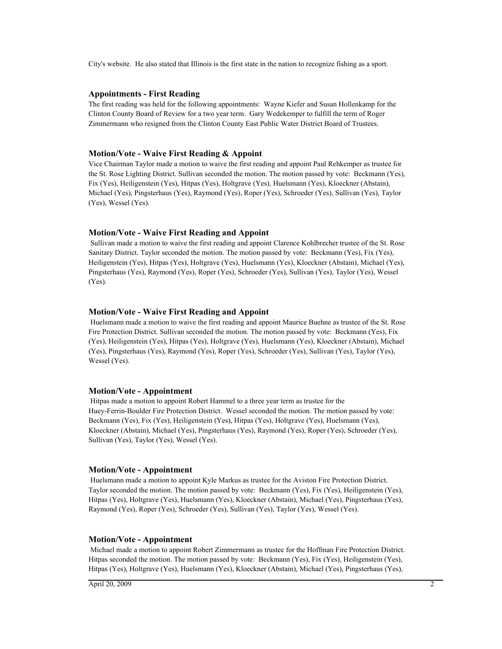City's website. He also stated that Illinois is the first state in the nation to recognize fishing as a sport.

### **Appointments - First Reading**

The first reading was held for the following appointments: Wayne Kiefer and Susan Hollenkamp for the Clinton County Board of Review for a two year term. Gary Wedekemper to fulfill the term of Roger Zimmermann who resigned from the Clinton County East Public Water District Board of Trustees.

### **Motion/Vote - Waive First Reading & Appoint**

Vice Chairman Taylor made a motion to waive the first reading and appoint Paul Rehkemper as trustee for the St. Rose Lighting District. Sullivan seconded the motion. The motion passed by vote: Beckmann (Yes), Fix (Yes), Heiligenstein (Yes), Hitpas (Yes), Holtgrave (Yes), Huelsmann (Yes), Kloeckner (Abstain), Michael (Yes), Pingsterhaus (Yes), Raymond (Yes), Roper (Yes), Schroeder (Yes), Sullivan (Yes), Taylor (Yes), Wessel (Yes).

### **Motion/Vote - Waive First Reading and Appoint**

 Sullivan made a motion to waive the first reading and appoint Clarence Kohlbrecher trustee of the St. Rose Sanitary District. Taylor seconded the motion. The motion passed by vote: Beckmann (Yes), Fix (Yes), Heiligenstein (Yes), Hitpas (Yes), Holtgrave (Yes), Huelsmann (Yes), Kloeckner (Abstain), Michael (Yes), Pingsterhaus (Yes), Raymond (Yes), Roper (Yes), Schroeder (Yes), Sullivan (Yes), Taylor (Yes), Wessel (Yes).

### **Motion/Vote - Waive First Reading and Appoint**

 Huelsmann made a motion to waive the first reading and appoint Maurice Buehne as trustee of the St. Rose Fire Protection District. Sullivan seconded the motion. The motion passed by vote: Beckmann (Yes), Fix (Yes), Heiligenstein (Yes), Hitpas (Yes), Holtgrave (Yes), Huelsmann (Yes), Kloeckner (Abstain), Michael (Yes), Pingsterhaus (Yes), Raymond (Yes), Roper (Yes), Schroeder (Yes), Sullivan (Yes), Taylor (Yes), Wessel (Yes).

#### **Motion/Vote - Appointment**

 Hitpas made a motion to appoint Robert Hammel to a three year term as trustee for the Huey-Ferrin-Boulder Fire Protection District. Wessel seconded the motion. The motion passed by vote: Beckmann (Yes), Fix (Yes), Heiligenstein (Yes), Hitpas (Yes), Holtgrave (Yes), Huelsmann (Yes), Kloeckner (Abstain), Michael (Yes), Pingsterhaus (Yes), Raymond (Yes), Roper (Yes), Schroeder (Yes), Sullivan (Yes), Taylor (Yes), Wessel (Yes).

#### **Motion/Vote - Appointment**

 Huelsmann made a motion to appoint Kyle Markus as trustee for the Aviston Fire Protection District. Taylor seconded the motion. The motion passed by vote: Beckmann (Yes), Fix (Yes), Heiligenstein (Yes), Hitpas (Yes), Holtgrave (Yes), Huelsmann (Yes), Kloeckner (Abstain), Michael (Yes), Pingsterhaus (Yes), Raymond (Yes), Roper (Yes), Schroeder (Yes), Sullivan (Yes), Taylor (Yes), Wessel (Yes).

#### **Motion/Vote - Appointment**

 Michael made a motion to appoint Robert Zimmermann as trustee for the Hoffman Fire Protection District. Hitpas seconded the motion. The motion passed by vote: Beckmann (Yes), Fix (Yes), Heiligenstein (Yes), Hitpas (Yes), Holtgrave (Yes), Huelsmann (Yes), Kloeckner (Abstain), Michael (Yes), Pingsterhaus (Yes),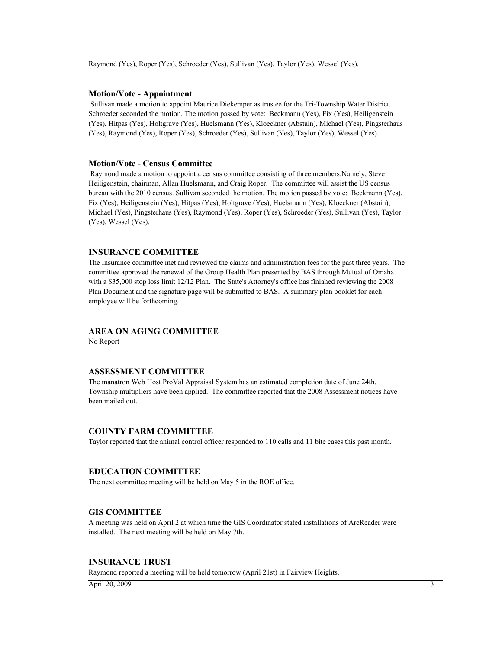Raymond (Yes), Roper (Yes), Schroeder (Yes), Sullivan (Yes), Taylor (Yes), Wessel (Yes).

### **Motion/Vote - Appointment**

 Sullivan made a motion to appoint Maurice Diekemper as trustee for the Tri-Township Water District. Schroeder seconded the motion. The motion passed by vote: Beckmann (Yes), Fix (Yes), Heiligenstein (Yes), Hitpas (Yes), Holtgrave (Yes), Huelsmann (Yes), Kloeckner (Abstain), Michael (Yes), Pingsterhaus (Yes), Raymond (Yes), Roper (Yes), Schroeder (Yes), Sullivan (Yes), Taylor (Yes), Wessel (Yes).

## **Motion/Vote - Census Committee**

 Raymond made a motion to appoint a census committee consisting of three members.Namely, Steve Heiligenstein, chairman, Allan Huelsmann, and Craig Roper. The committee will assist the US census bureau with the 2010 census. Sullivan seconded the motion. The motion passed by vote: Beckmann (Yes), Fix (Yes), Heiligenstein (Yes), Hitpas (Yes), Holtgrave (Yes), Huelsmann (Yes), Kloeckner (Abstain), Michael (Yes), Pingsterhaus (Yes), Raymond (Yes), Roper (Yes), Schroeder (Yes), Sullivan (Yes), Taylor (Yes), Wessel (Yes).

# **INSURANCE COMMITTEE**

The Insurance committee met and reviewed the claims and administration fees for the past three years. The committee approved the renewal of the Group Health Plan presented by BAS through Mutual of Omaha with a \$35,000 stop loss limit 12/12 Plan. The State's Attorney's office has finiahed reviewing the 2008 Plan Document and the signature page will be submitted to BAS. A summary plan booklet for each employee will be forthcoming.

## **AREA ON AGING COMMITTEE**

No Report

## **ASSESSMENT COMMITTEE**

The manatron Web Host ProVal Appraisal System has an estimated completion date of June 24th. Township multipliers have been applied. The committee reported that the 2008 Assessment notices have been mailed out.

# **COUNTY FARM COMMITTEE**

Taylor reported that the animal control officer responded to 110 calls and 11 bite cases this past month.

### **EDUCATION COMMITTEE**

The next committee meeting will be held on May 5 in the ROE office.

### **GIS COMMITTEE**

A meeting was held on April 2 at which time the GIS Coordinator stated installations of ArcReader were installed. The next meeting will be held on May 7th.

#### **INSURANCE TRUST**

Raymond reported a meeting will be held tomorrow (April 21st) in Fairview Heights.

 $\overline{A}$ pril 20, 2009  $\overline{A}$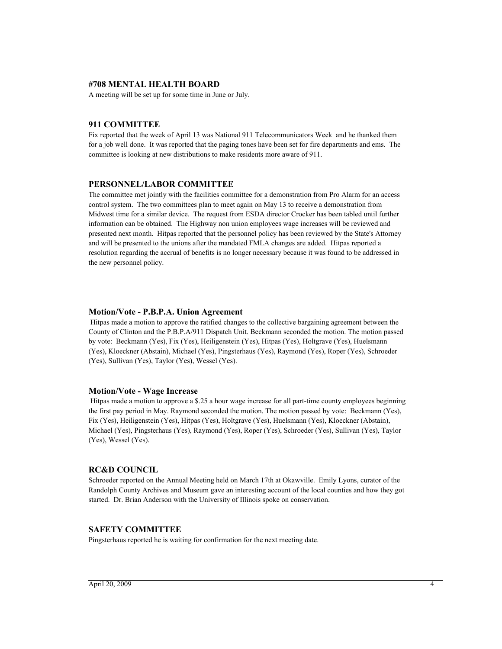# **#708 MENTAL HEALTH BOARD**

A meeting will be set up for some time in June or July.

### **911 COMMITTEE**

Fix reported that the week of April 13 was National 911 Telecommunicators Week and he thanked them for a job well done. It was reported that the paging tones have been set for fire departments and ems. The committee is looking at new distributions to make residents more aware of 911.

### **PERSONNEL/LABOR COMMITTEE**

The committee met jointly with the facilities committee for a demonstration from Pro Alarm for an access control system. The two committees plan to meet again on May 13 to receive a demonstration from Midwest time for a similar device. The request from ESDA director Crocker has been tabled until further information can be obtained. The Highway non union employees wage increases will be reviewed and presented next month. Hitpas reported that the personnel policy has been reviewed by the State's Attorney and will be presented to the unions after the mandated FMLA changes are added. Hitpas reported a resolution regarding the accrual of benefits is no longer necessary because it was found to be addressed in the new personnel policy.

### **Motion/Vote - P.B.P.A. Union Agreement**

 Hitpas made a motion to approve the ratified changes to the collective bargaining agreement between the County of Clinton and the P.B.P.A/911 Dispatch Unit. Beckmann seconded the motion. The motion passed by vote: Beckmann (Yes), Fix (Yes), Heiligenstein (Yes), Hitpas (Yes), Holtgrave (Yes), Huelsmann (Yes), Kloeckner (Abstain), Michael (Yes), Pingsterhaus (Yes), Raymond (Yes), Roper (Yes), Schroeder (Yes), Sullivan (Yes), Taylor (Yes), Wessel (Yes).

### **Motion/Vote - Wage Increase**

 Hitpas made a motion to approve a \$.25 a hour wage increase for all part-time county employees beginning the first pay period in May. Raymond seconded the motion. The motion passed by vote: Beckmann (Yes), Fix (Yes), Heiligenstein (Yes), Hitpas (Yes), Holtgrave (Yes), Huelsmann (Yes), Kloeckner (Abstain), Michael (Yes), Pingsterhaus (Yes), Raymond (Yes), Roper (Yes), Schroeder (Yes), Sullivan (Yes), Taylor (Yes), Wessel (Yes).

### **RC&D COUNCIL**

Schroeder reported on the Annual Meeting held on March 17th at Okawville. Emily Lyons, curator of the Randolph County Archives and Museum gave an interesting account of the local counties and how they got started. Dr. Brian Anderson with the University of Illinois spoke on conservation.

### **SAFETY COMMITTEE**

Pingsterhaus reported he is waiting for confirmation for the next meeting date.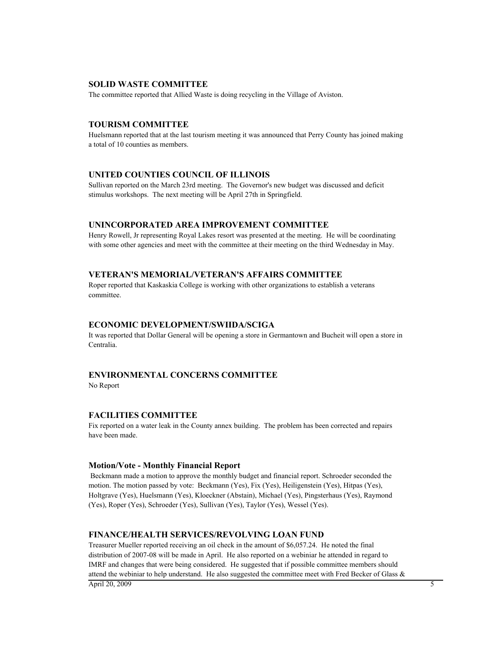### **SOLID WASTE COMMITTEE**

The committee reported that Allied Waste is doing recycling in the Village of Aviston.

#### **TOURISM COMMITTEE**

Huelsmann reported that at the last tourism meeting it was announced that Perry County has joined making a total of 10 counties as members.

## **UNITED COUNTIES COUNCIL OF ILLINOIS**

Sullivan reported on the March 23rd meeting. The Governor's new budget was discussed and deficit stimulus workshops. The next meeting will be April 27th in Springfield.

### **UNINCORPORATED AREA IMPROVEMENT COMMITTEE**

Henry Rowell, Jr representing Royal Lakes resort was presented at the meeting. He will be coordinating with some other agencies and meet with the committee at their meeting on the third Wednesday in May.

# **VETERAN'S MEMORIAL/VETERAN'S AFFAIRS COMMITTEE**

Roper reported that Kaskaskia College is working with other organizations to establish a veterans committee.

### **ECONOMIC DEVELOPMENT/SWIIDA/SCIGA**

It was reported that Dollar General will be opening a store in Germantown and Bucheit will open a store in Centralia.

# **ENVIRONMENTAL CONCERNS COMMITTEE**

No Report

### **FACILITIES COMMITTEE**

Fix reported on a water leak in the County annex building. The problem has been corrected and repairs have been made.

### **Motion/Vote - Monthly Financial Report**

 Beckmann made a motion to approve the monthly budget and financial report. Schroeder seconded the motion. The motion passed by vote: Beckmann (Yes), Fix (Yes), Heiligenstein (Yes), Hitpas (Yes), Holtgrave (Yes), Huelsmann (Yes), Kloeckner (Abstain), Michael (Yes), Pingsterhaus (Yes), Raymond (Yes), Roper (Yes), Schroeder (Yes), Sullivan (Yes), Taylor (Yes), Wessel (Yes).

### **FINANCE/HEALTH SERVICES/REVOLVING LOAN FUND**

Treasurer Mueller reported receiving an oil check in the amount of \$6,057.24. He noted the final distribution of 2007-08 will be made in April. He also reported on a webiniar he attended in regard to IMRF and changes that were being considered. He suggested that if possible committee members should attend the webiniar to help understand. He also suggested the committee meet with Fred Becker of Glass  $\&$  $\Delta$ pril 20, 2009 5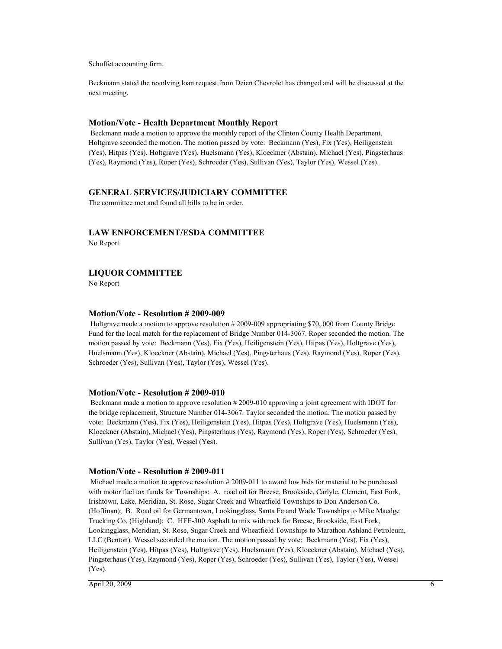Schuffet accounting firm.

Beckmann stated the revolving loan request from Deien Chevrolet has changed and will be discussed at the next meeting.

### **Motion/Vote - Health Department Monthly Report**

 Beckmann made a motion to approve the monthly report of the Clinton County Health Department. Holtgrave seconded the motion. The motion passed by vote: Beckmann (Yes), Fix (Yes), Heiligenstein (Yes), Hitpas (Yes), Holtgrave (Yes), Huelsmann (Yes), Kloeckner (Abstain), Michael (Yes), Pingsterhaus (Yes), Raymond (Yes), Roper (Yes), Schroeder (Yes), Sullivan (Yes), Taylor (Yes), Wessel (Yes).

### **GENERAL SERVICES/JUDICIARY COMMITTEE**

The committee met and found all bills to be in order.

# **LAW ENFORCEMENT/ESDA COMMITTEE**

No Report

# **LIQUOR COMMITTEE**

No Report

### **Motion/Vote - Resolution # 2009-009**

 Holtgrave made a motion to approve resolution # 2009-009 appropriating \$70,.000 from County Bridge Fund for the local match for the replacement of Bridge Number 014-3067. Roper seconded the motion. The motion passed by vote: Beckmann (Yes), Fix (Yes), Heiligenstein (Yes), Hitpas (Yes), Holtgrave (Yes), Huelsmann (Yes), Kloeckner (Abstain), Michael (Yes), Pingsterhaus (Yes), Raymond (Yes), Roper (Yes), Schroeder (Yes), Sullivan (Yes), Taylor (Yes), Wessel (Yes).

### **Motion/Vote - Resolution # 2009-010**

 Beckmann made a motion to approve resolution # 2009-010 approving a joint agreement with IDOT for the bridge replacement, Structure Number 014-3067. Taylor seconded the motion. The motion passed by vote: Beckmann (Yes), Fix (Yes), Heiligenstein (Yes), Hitpas (Yes), Holtgrave (Yes), Huelsmann (Yes), Kloeckner (Abstain), Michael (Yes), Pingsterhaus (Yes), Raymond (Yes), Roper (Yes), Schroeder (Yes), Sullivan (Yes), Taylor (Yes), Wessel (Yes).

### **Motion/Vote - Resolution # 2009-011**

 Michael made a motion to approve resolution # 2009-011 to award low bids for material to be purchased with motor fuel tax funds for Townships: A. road oil for Breese, Brookside, Carlyle, Clement, East Fork, Irishtown, Lake, Meridian, St. Rose, Sugar Creek and Wheatfield Townships to Don Anderson Co. (Hoffman); B. Road oil for Germantown, Lookingglass, Santa Fe and Wade Townships to Mike Maedge Trucking Co. (Highland); C. HFE-300 Asphalt to mix with rock for Breese, Brookside, East Fork, Lookingglass, Meridian, St. Rose, Sugar Creek and Wheatfield Townships to Marathon Ashland Petroleum, LLC (Benton). Wessel seconded the motion. The motion passed by vote: Beckmann (Yes), Fix (Yes), Heiligenstein (Yes), Hitpas (Yes), Holtgrave (Yes), Huelsmann (Yes), Kloeckner (Abstain), Michael (Yes), Pingsterhaus (Yes), Raymond (Yes), Roper (Yes), Schroeder (Yes), Sullivan (Yes), Taylor (Yes), Wessel (Yes).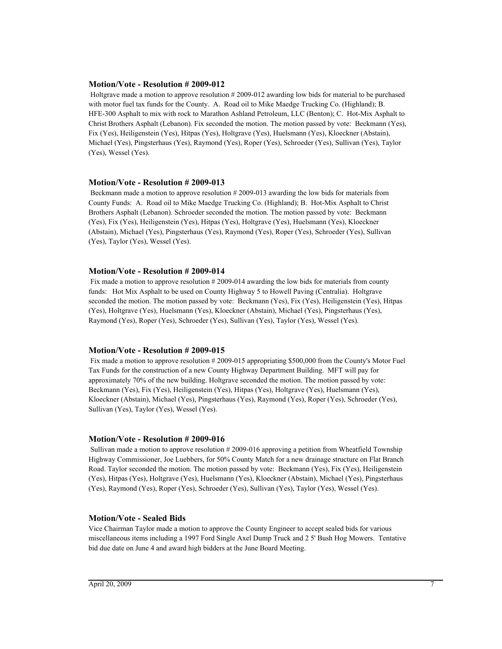### **Motion/Vote - Resolution # 2009-012**

 Holtgrave made a motion to approve resolution # 2009-012 awarding low bids for material to be purchased with motor fuel tax funds for the County. A. Road oil to Mike Maedge Trucking Co. (Highland); B. HFE-300 Asphalt to mix with rock to Marathon Ashland Petroleum, LLC (Benton); C. Hot-Mix Asphalt to Christ Brothers Asphalt (Lebanon). Fix seconded the motion. The motion passed by vote: Beckmann (Yes), Fix (Yes), Heiligenstein (Yes), Hitpas (Yes), Holtgrave (Yes), Huelsmann (Yes), Kloeckner (Abstain), Michael (Yes), Pingsterhaus (Yes), Raymond (Yes), Roper (Yes), Schroeder (Yes), Sullivan (Yes), Taylor (Yes), Wessel (Yes).

### **Motion/Vote - Resolution # 2009-013**

 Beckmann made a motion to approve resolution # 2009-013 awarding the low bids for materials from County Funds: A. Road oil to Mike Maedge Trucking Co. (Highland); B. Hot-Mix Asphalt to Christ Brothers Asphalt (Lebanon). Schroeder seconded the motion. The motion passed by vote: Beckmann (Yes), Fix (Yes), Heiligenstein (Yes), Hitpas (Yes), Holtgrave (Yes), Huelsmann (Yes), Kloeckner (Abstain), Michael (Yes), Pingsterhaus (Yes), Raymond (Yes), Roper (Yes), Schroeder (Yes), Sullivan (Yes), Taylor (Yes), Wessel (Yes).

### **Motion/Vote - Resolution # 2009-014**

Fix made a motion to approve resolution #2009-014 awarding the low bids for materials from county funds: Hot Mix Asphalt to be used on County Highway 5 to Howell Paving (Centralia). Holtgrave seconded the motion. The motion passed by vote: Beckmann (Yes), Fix (Yes), Heiligenstein (Yes), Hitpas (Yes), Holtgrave (Yes), Huelsmann (Yes), Kloeckner (Abstain), Michael (Yes), Pingsterhaus (Yes), Raymond (Yes), Roper (Yes), Schroeder (Yes), Sullivan (Yes), Taylor (Yes), Wessel (Yes).

### **Motion/Vote - Resolution # 2009-015**

Fix made a motion to approve resolution #2009-015 appropriating \$500,000 from the County's Motor Fuel Tax Funds for the construction of a new County Highway Department Building. MFT will pay for approximately 70% of the new building. Holtgrave seconded the motion. The motion passed by vote: Beckmann (Yes), Fix (Yes), Heiligenstein (Yes), Hitpas (Yes), Holtgrave (Yes), Huelsmann (Yes), Kloeckner (Abstain), Michael (Yes), Pingsterhaus (Yes), Raymond (Yes), Roper (Yes), Schroeder (Yes), Sullivan (Yes), Taylor (Yes), Wessel (Yes).

#### **Motion/Vote - Resolution # 2009-016**

 Sullivan made a motion to approve resolution # 2009-016 approving a petition from Wheatfield Township Highway Commissioner, Joe Luebbers, for 50% County Match for a new drainage structure on Flat Branch Road. Taylor seconded the motion. The motion passed by vote: Beckmann (Yes), Fix (Yes), Heiligenstein (Yes), Hitpas (Yes), Holtgrave (Yes), Huelsmann (Yes), Kloeckner (Abstain), Michael (Yes), Pingsterhaus (Yes), Raymond (Yes), Roper (Yes), Schroeder (Yes), Sullivan (Yes), Taylor (Yes), Wessel (Yes).

#### **Motion/Vote - Sealed Bids**

Vice Chairman Taylor made a motion to approve the County Engineer to accept sealed bids for various miscellaneous items including a 1997 Ford Single Axel Dump Truck and 2 5' Bush Hog Mowers. Tentative bid due date on June 4 and award high bidders at the June Board Meeting.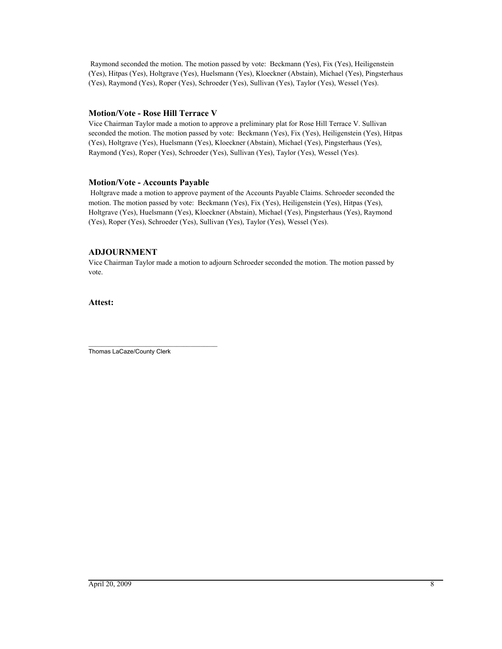Raymond seconded the motion. The motion passed by vote: Beckmann (Yes), Fix (Yes), Heiligenstein (Yes), Hitpas (Yes), Holtgrave (Yes), Huelsmann (Yes), Kloeckner (Abstain), Michael (Yes), Pingsterhaus (Yes), Raymond (Yes), Roper (Yes), Schroeder (Yes), Sullivan (Yes), Taylor (Yes), Wessel (Yes).

# **Motion/Vote - Rose Hill Terrace V**

Vice Chairman Taylor made a motion to approve a preliminary plat for Rose Hill Terrace V. Sullivan seconded the motion. The motion passed by vote: Beckmann (Yes), Fix (Yes), Heiligenstein (Yes), Hitpas (Yes), Holtgrave (Yes), Huelsmann (Yes), Kloeckner (Abstain), Michael (Yes), Pingsterhaus (Yes), Raymond (Yes), Roper (Yes), Schroeder (Yes), Sullivan (Yes), Taylor (Yes), Wessel (Yes).

# **Motion/Vote - Accounts Payable**

 Holtgrave made a motion to approve payment of the Accounts Payable Claims. Schroeder seconded the motion. The motion passed by vote: Beckmann (Yes), Fix (Yes), Heiligenstein (Yes), Hitpas (Yes), Holtgrave (Yes), Huelsmann (Yes), Kloeckner (Abstain), Michael (Yes), Pingsterhaus (Yes), Raymond (Yes), Roper (Yes), Schroeder (Yes), Sullivan (Yes), Taylor (Yes), Wessel (Yes).

# **ADJOURNMENT**

Vice Chairman Taylor made a motion to adjourn Schroeder seconded the motion. The motion passed by vote.

**Attest:**

\_\_\_\_\_\_\_\_\_\_\_\_\_\_\_\_\_\_\_\_\_\_\_\_\_\_\_\_\_\_\_\_\_\_\_\_\_\_ Thomas LaCaze/County Clerk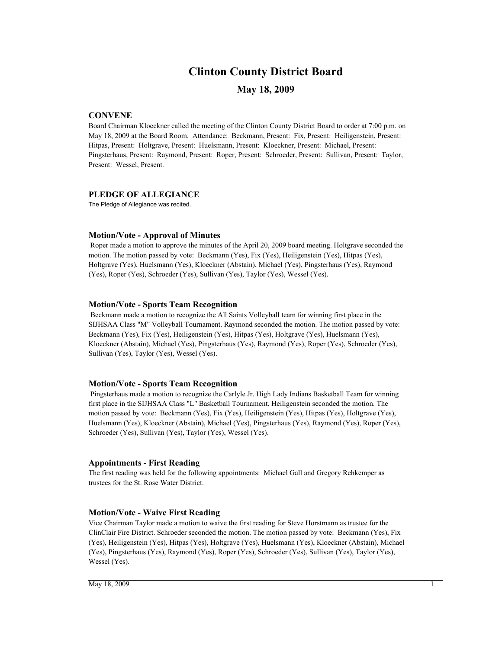# **Clinton County District Board**

# **May 18, 2009**

# **CONVENE**

Board Chairman Kloeckner called the meeting of the Clinton County District Board to order at 7:00 p.m. on May 18, 2009 at the Board Room. Attendance: Beckmann, Present: Fix, Present: Heiligenstein, Present: Hitpas, Present: Holtgrave, Present: Huelsmann, Present: Kloeckner, Present: Michael, Present: Pingsterhaus, Present: Raymond, Present: Roper, Present: Schroeder, Present: Sullivan, Present: Taylor, Present: Wessel, Present.

### **PLEDGE OF ALLEGIANCE**

The Pledge of Allegiance was recited.

### **Motion/Vote - Approval of Minutes**

 Roper made a motion to approve the minutes of the April 20, 2009 board meeting. Holtgrave seconded the motion. The motion passed by vote: Beckmann (Yes), Fix (Yes), Heiligenstein (Yes), Hitpas (Yes), Holtgrave (Yes), Huelsmann (Yes), Kloeckner (Abstain), Michael (Yes), Pingsterhaus (Yes), Raymond (Yes), Roper (Yes), Schroeder (Yes), Sullivan (Yes), Taylor (Yes), Wessel (Yes).

### **Motion/Vote - Sports Team Recognition**

 Beckmann made a motion to recognize the All Saints Volleyball team for winning first place in the SIJHSAA Class "M" Volleyball Tournament. Raymond seconded the motion. The motion passed by vote: Beckmann (Yes), Fix (Yes), Heiligenstein (Yes), Hitpas (Yes), Holtgrave (Yes), Huelsmann (Yes), Kloeckner (Abstain), Michael (Yes), Pingsterhaus (Yes), Raymond (Yes), Roper (Yes), Schroeder (Yes), Sullivan (Yes), Taylor (Yes), Wessel (Yes).

### **Motion/Vote - Sports Team Recognition**

 Pingsterhaus made a motion to recognize the Carlyle Jr. High Lady Indians Basketball Team for winning first place in the SIJHSAA Class "L" Basketball Tournament. Heiligenstein seconded the motion. The motion passed by vote: Beckmann (Yes), Fix (Yes), Heiligenstein (Yes), Hitpas (Yes), Holtgrave (Yes), Huelsmann (Yes), Kloeckner (Abstain), Michael (Yes), Pingsterhaus (Yes), Raymond (Yes), Roper (Yes), Schroeder (Yes), Sullivan (Yes), Taylor (Yes), Wessel (Yes).

### **Appointments - First Reading**

The first reading was held for the following appointments: Michael Gall and Gregory Rehkemper as trustees for the St. Rose Water District.

## **Motion/Vote - Waive First Reading**

Vice Chairman Taylor made a motion to waive the first reading for Steve Horstmann as trustee for the ClinClair Fire District. Schroeder seconded the motion. The motion passed by vote: Beckmann (Yes), Fix (Yes), Heiligenstein (Yes), Hitpas (Yes), Holtgrave (Yes), Huelsmann (Yes), Kloeckner (Abstain), Michael (Yes), Pingsterhaus (Yes), Raymond (Yes), Roper (Yes), Schroeder (Yes), Sullivan (Yes), Taylor (Yes), Wessel (Yes).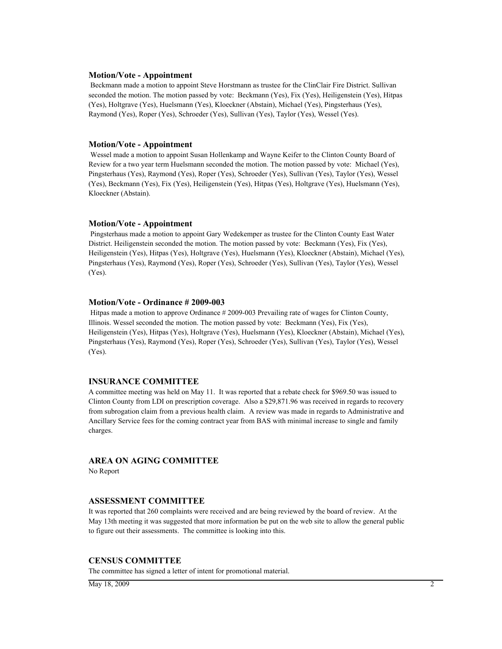#### **Motion/Vote - Appointment**

 Beckmann made a motion to appoint Steve Horstmann as trustee for the ClinClair Fire District. Sullivan seconded the motion. The motion passed by vote: Beckmann (Yes), Fix (Yes), Heiligenstein (Yes), Hitpas (Yes), Holtgrave (Yes), Huelsmann (Yes), Kloeckner (Abstain), Michael (Yes), Pingsterhaus (Yes), Raymond (Yes), Roper (Yes), Schroeder (Yes), Sullivan (Yes), Taylor (Yes), Wessel (Yes).

### **Motion/Vote - Appointment**

 Wessel made a motion to appoint Susan Hollenkamp and Wayne Keifer to the Clinton County Board of Review for a two year term Huelsmann seconded the motion. The motion passed by vote: Michael (Yes), Pingsterhaus (Yes), Raymond (Yes), Roper (Yes), Schroeder (Yes), Sullivan (Yes), Taylor (Yes), Wessel (Yes), Beckmann (Yes), Fix (Yes), Heiligenstein (Yes), Hitpas (Yes), Holtgrave (Yes), Huelsmann (Yes), Kloeckner (Abstain).

### **Motion/Vote - Appointment**

 Pingsterhaus made a motion to appoint Gary Wedekemper as trustee for the Clinton County East Water District. Heiligenstein seconded the motion. The motion passed by vote: Beckmann (Yes), Fix (Yes), Heiligenstein (Yes), Hitpas (Yes), Holtgrave (Yes), Huelsmann (Yes), Kloeckner (Abstain), Michael (Yes), Pingsterhaus (Yes), Raymond (Yes), Roper (Yes), Schroeder (Yes), Sullivan (Yes), Taylor (Yes), Wessel (Yes).

### **Motion/Vote - Ordinance # 2009-003**

 Hitpas made a motion to approve Ordinance # 2009-003 Prevailing rate of wages for Clinton County, Illinois. Wessel seconded the motion. The motion passed by vote: Beckmann (Yes), Fix (Yes), Heiligenstein (Yes), Hitpas (Yes), Holtgrave (Yes), Huelsmann (Yes), Kloeckner (Abstain), Michael (Yes), Pingsterhaus (Yes), Raymond (Yes), Roper (Yes), Schroeder (Yes), Sullivan (Yes), Taylor (Yes), Wessel (Yes).

### **INSURANCE COMMITTEE**

A committee meeting was held on May 11. It was reported that a rebate check for \$969.50 was issued to Clinton County from LDI on prescription coverage. Also a \$29,871.96 was received in regards to recovery from subrogation claim from a previous health claim. A review was made in regards to Administrative and Ancillary Service fees for the coming contract year from BAS with minimal increase to single and family charges.

### **AREA ON AGING COMMITTEE**

No Report

### **ASSESSMENT COMMITTEE**

It was reported that 260 complaints were received and are being reviewed by the board of review. At the May 13th meeting it was suggested that more information be put on the web site to allow the general public to figure out their assessments. The committee is looking into this.

### **CENSUS COMMITTEE**

The committee has signed a letter of intent for promotional material.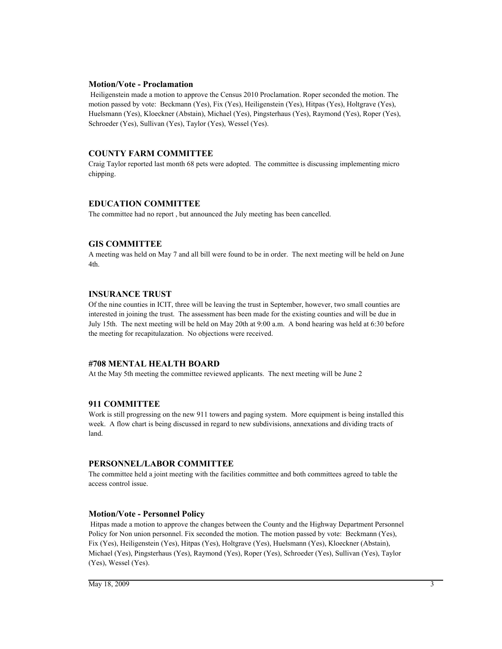### **Motion/Vote - Proclamation**

 Heiligenstein made a motion to approve the Census 2010 Proclamation. Roper seconded the motion. The motion passed by vote: Beckmann (Yes), Fix (Yes), Heiligenstein (Yes), Hitpas (Yes), Holtgrave (Yes), Huelsmann (Yes), Kloeckner (Abstain), Michael (Yes), Pingsterhaus (Yes), Raymond (Yes), Roper (Yes), Schroeder (Yes), Sullivan (Yes), Taylor (Yes), Wessel (Yes).

# **COUNTY FARM COMMITTEE**

Craig Taylor reported last month 68 pets were adopted. The committee is discussing implementing micro chipping.

# **EDUCATION COMMITTEE**

The committee had no report , but announced the July meeting has been cancelled.

# **GIS COMMITTEE**

A meeting was held on May 7 and all bill were found to be in order. The next meeting will be held on June 4th.

# **INSURANCE TRUST**

Of the nine counties in ICIT, three will be leaving the trust in September, however, two small counties are interested in joining the trust. The assessment has been made for the existing counties and will be due in July 15th. The next meeting will be held on May 20th at 9:00 a.m. A bond hearing was held at 6:30 before the meeting for recapitulazation. No objections were received.

# **#708 MENTAL HEALTH BOARD**

At the May 5th meeting the committee reviewed applicants. The next meeting will be June 2

# **911 COMMITTEE**

Work is still progressing on the new 911 towers and paging system. More equipment is being installed this week. A flow chart is being discussed in regard to new subdivisions, annexations and dividing tracts of land.

# **PERSONNEL/LABOR COMMITTEE**

The committee held a joint meeting with the facilities committee and both committees agreed to table the access control issue.

# **Motion/Vote - Personnel Policy**

 Hitpas made a motion to approve the changes between the County and the Highway Department Personnel Policy for Non union personnel. Fix seconded the motion. The motion passed by vote: Beckmann (Yes), Fix (Yes), Heiligenstein (Yes), Hitpas (Yes), Holtgrave (Yes), Huelsmann (Yes), Kloeckner (Abstain), Michael (Yes), Pingsterhaus (Yes), Raymond (Yes), Roper (Yes), Schroeder (Yes), Sullivan (Yes), Taylor (Yes), Wessel (Yes).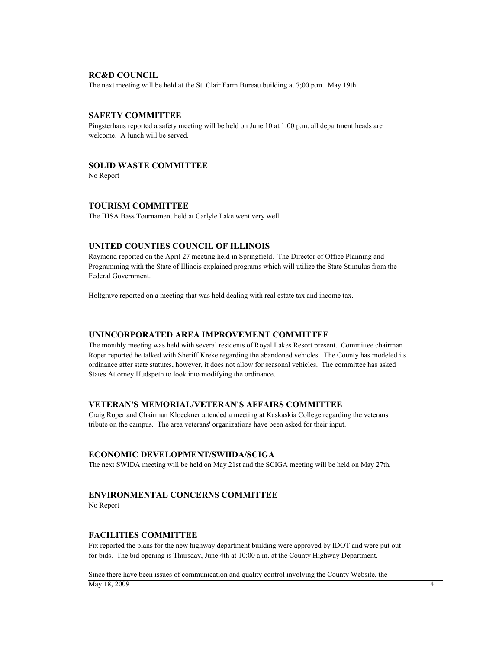### **RC&D COUNCIL**

The next meeting will be held at the St. Clair Farm Bureau building at 7;00 p.m. May 19th.

### **SAFETY COMMITTEE**

Pingsterhaus reported a safety meeting will be held on June 10 at 1:00 p.m. all department heads are welcome. A lunch will be served.

# **SOLID WASTE COMMITTEE**

No Report

### **TOURISM COMMITTEE**

The IHSA Bass Tournament held at Carlyle Lake went very well.

## **UNITED COUNTIES COUNCIL OF ILLINOIS**

Raymond reported on the April 27 meeting held in Springfield. The Director of Office Planning and Programming with the State of Illinois explained programs which will utilize the State Stimulus from the Federal Government.

Holtgrave reported on a meeting that was held dealing with real estate tax and income tax.

### **UNINCORPORATED AREA IMPROVEMENT COMMITTEE**

The monthly meeting was held with several residents of Royal Lakes Resort present. Committee chairman Roper reported he talked with Sheriff Kreke regarding the abandoned vehicles. The County has modeled its ordinance after state statutes, however, it does not allow for seasonal vehicles. The committee has asked States Attorney Hudspeth to look into modifying the ordinance.

### **VETERAN'S MEMORIAL/VETERAN'S AFFAIRS COMMITTEE**

Craig Roper and Chairman Kloeckner attended a meeting at Kaskaskia College regarding the veterans tribute on the campus. The area veterans' organizations have been asked for their input.

### **ECONOMIC DEVELOPMENT/SWIIDA/SCIGA**

The next SWIDA meeting will be held on May 21st and the SCIGA meeting will be held on May 27th.

## **ENVIRONMENTAL CONCERNS COMMITTEE**

No Report

#### **FACILITIES COMMITTEE**

Fix reported the plans for the new highway department building were approved by IDOT and were put out for bids. The bid opening is Thursday, June 4th at 10:00 a.m. at the County Highway Department.

Since there have been issues of communication and quality control involving the County Website, the  $\overline{M}$ ay 18, 2009 4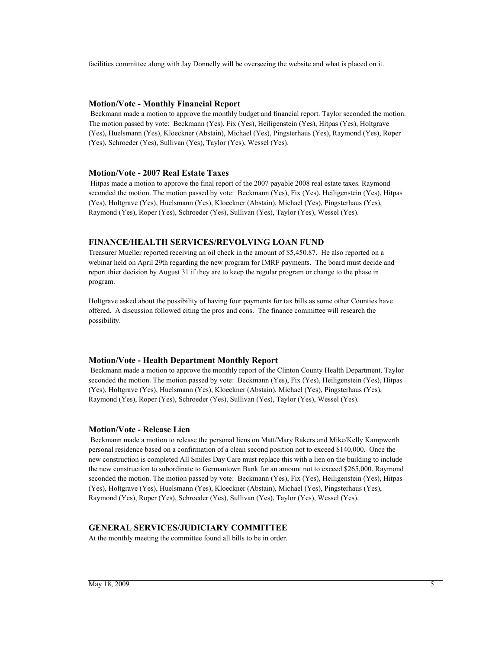facilities committee along with Jay Donnelly will be overseeing the website and what is placed on it.

# **Motion/Vote - Monthly Financial Report**

 Beckmann made a motion to approve the monthly budget and financial report. Taylor seconded the motion. The motion passed by vote: Beckmann (Yes), Fix (Yes), Heiligenstein (Yes), Hitpas (Yes), Holtgrave (Yes), Huelsmann (Yes), Kloeckner (Abstain), Michael (Yes), Pingsterhaus (Yes), Raymond (Yes), Roper (Yes), Schroeder (Yes), Sullivan (Yes), Taylor (Yes), Wessel (Yes).

### **Motion/Vote - 2007 Real Estate Taxes**

 Hitpas made a motion to approve the final report of the 2007 payable 2008 real estate taxes. Raymond seconded the motion. The motion passed by vote: Beckmann (Yes), Fix (Yes), Heiligenstein (Yes), Hitpas (Yes), Holtgrave (Yes), Huelsmann (Yes), Kloeckner (Abstain), Michael (Yes), Pingsterhaus (Yes), Raymond (Yes), Roper (Yes), Schroeder (Yes), Sullivan (Yes), Taylor (Yes), Wessel (Yes).

# **FINANCE/HEALTH SERVICES/REVOLVING LOAN FUND**

Treasurer Mueller reported receiving an oil check in the amount of \$5,450.87. He also reported on a webinar held on April 29th regarding the new program for IMRF payments. The board must decide and report thier decision by August 31 if they are to keep the regular program or change to the phase in program.

Holtgrave asked about the possibility of having four payments for tax bills as some other Counties have offered. A discussion followed citing the pros and cons. The finance committee will research the possibility.

### **Motion/Vote - Health Department Monthly Report**

 Beckmann made a motion to approve the monthly report of the Clinton County Health Department. Taylor seconded the motion. The motion passed by vote: Beckmann (Yes), Fix (Yes), Heiligenstein (Yes), Hitpas (Yes), Holtgrave (Yes), Huelsmann (Yes), Kloeckner (Abstain), Michael (Yes), Pingsterhaus (Yes), Raymond (Yes), Roper (Yes), Schroeder (Yes), Sullivan (Yes), Taylor (Yes), Wessel (Yes).

### **Motion/Vote - Release Lien**

 Beckmann made a motion to release the personal liens on Matt/Mary Rakers and Mike/Kelly Kampwerth personal residence based on a confirmation of a clean second position not to exceed \$140,000. Once the new construction is completed All Smiles Day Care must replace this with a lien on the building to include the new construction to subordinate to Germantown Bank for an amount not to exceed \$265,000. Raymond seconded the motion. The motion passed by vote: Beckmann (Yes), Fix (Yes), Heiligenstein (Yes), Hitpas (Yes), Holtgrave (Yes), Huelsmann (Yes), Kloeckner (Abstain), Michael (Yes), Pingsterhaus (Yes), Raymond (Yes), Roper (Yes), Schroeder (Yes), Sullivan (Yes), Taylor (Yes), Wessel (Yes).

# **GENERAL SERVICES/JUDICIARY COMMITTEE**

At the monthly meeting the committee found all bills to be in order.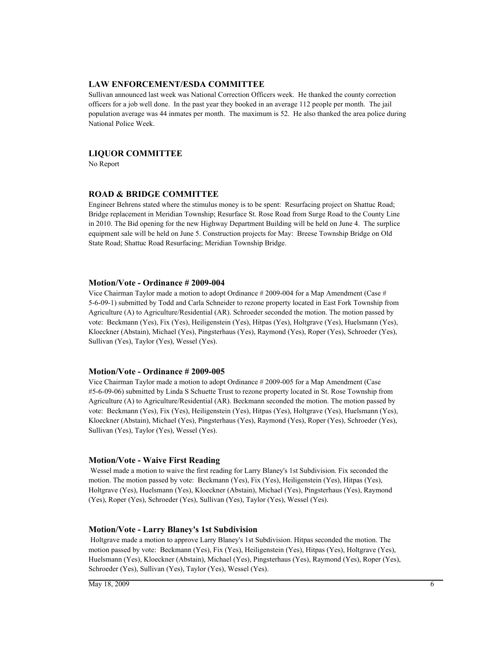### **LAW ENFORCEMENT/ESDA COMMITTEE**

Sullivan announced last week was National Correction Officers week. He thanked the county correction officers for a job well done. In the past year they booked in an average 112 people per month. The jail population average was 44 inmates per month. The maximum is 52. He also thanked the area police during National Police Week.

### **LIQUOR COMMITTEE**

No Report

### **ROAD & BRIDGE COMMITTEE**

Engineer Behrens stated where the stimulus money is to be spent: Resurfacing project on Shattuc Road; Bridge replacement in Meridian Township; Resurface St. Rose Road from Surge Road to the County Line in 2010. The Bid opening for the new Highway Department Building will be held on June 4. The surplice equipment sale will be held on June 5. Construction projects for May: Breese Township Bridge on Old State Road; Shattuc Road Resurfacing; Meridian Township Bridge.

### **Motion/Vote - Ordinance # 2009-004**

Vice Chairman Taylor made a motion to adopt Ordinance # 2009-004 for a Map Amendment (Case # 5-6-09-1) submitted by Todd and Carla Schneider to rezone property located in East Fork Township from Agriculture (A) to Agriculture/Residential (AR). Schroeder seconded the motion. The motion passed by vote: Beckmann (Yes), Fix (Yes), Heiligenstein (Yes), Hitpas (Yes), Holtgrave (Yes), Huelsmann (Yes), Kloeckner (Abstain), Michael (Yes), Pingsterhaus (Yes), Raymond (Yes), Roper (Yes), Schroeder (Yes), Sullivan (Yes), Taylor (Yes), Wessel (Yes).

#### **Motion/Vote - Ordinance # 2009-005**

Vice Chairman Taylor made a motion to adopt Ordinance # 2009-005 for a Map Amendment (Case #5-6-09-06) submitted by Linda S Schuette Trust to rezone property located in St. Rose Township from Agriculture (A) to Agriculture/Residential (AR). Beckmann seconded the motion. The motion passed by vote: Beckmann (Yes), Fix (Yes), Heiligenstein (Yes), Hitpas (Yes), Holtgrave (Yes), Huelsmann (Yes), Kloeckner (Abstain), Michael (Yes), Pingsterhaus (Yes), Raymond (Yes), Roper (Yes), Schroeder (Yes), Sullivan (Yes), Taylor (Yes), Wessel (Yes).

#### **Motion/Vote - Waive First Reading**

 Wessel made a motion to waive the first reading for Larry Blaney's 1st Subdivision. Fix seconded the motion. The motion passed by vote: Beckmann (Yes), Fix (Yes), Heiligenstein (Yes), Hitpas (Yes), Holtgrave (Yes), Huelsmann (Yes), Kloeckner (Abstain), Michael (Yes), Pingsterhaus (Yes), Raymond (Yes), Roper (Yes), Schroeder (Yes), Sullivan (Yes), Taylor (Yes), Wessel (Yes).

### **Motion/Vote - Larry Blaney's 1st Subdivision**

 Holtgrave made a motion to approve Larry Blaney's 1st Subdivision. Hitpas seconded the motion. The motion passed by vote: Beckmann (Yes), Fix (Yes), Heiligenstein (Yes), Hitpas (Yes), Holtgrave (Yes), Huelsmann (Yes), Kloeckner (Abstain), Michael (Yes), Pingsterhaus (Yes), Raymond (Yes), Roper (Yes), Schroeder (Yes), Sullivan (Yes), Taylor (Yes), Wessel (Yes).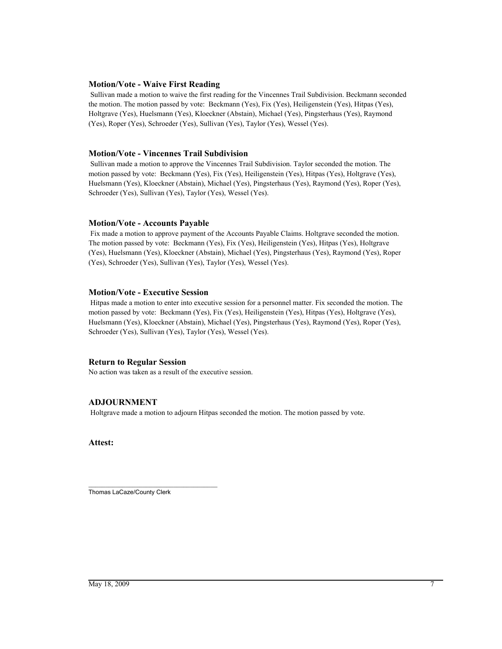# **Motion/Vote - Waive First Reading**

 Sullivan made a motion to waive the first reading for the Vincennes Trail Subdivision. Beckmann seconded the motion. The motion passed by vote: Beckmann (Yes), Fix (Yes), Heiligenstein (Yes), Hitpas (Yes), Holtgrave (Yes), Huelsmann (Yes), Kloeckner (Abstain), Michael (Yes), Pingsterhaus (Yes), Raymond (Yes), Roper (Yes), Schroeder (Yes), Sullivan (Yes), Taylor (Yes), Wessel (Yes).

# **Motion/Vote - Vincennes Trail Subdivision**

 Sullivan made a motion to approve the Vincennes Trail Subdivision. Taylor seconded the motion. The motion passed by vote: Beckmann (Yes), Fix (Yes), Heiligenstein (Yes), Hitpas (Yes), Holtgrave (Yes), Huelsmann (Yes), Kloeckner (Abstain), Michael (Yes), Pingsterhaus (Yes), Raymond (Yes), Roper (Yes), Schroeder (Yes), Sullivan (Yes), Taylor (Yes), Wessel (Yes).

# **Motion/Vote - Accounts Payable**

 Fix made a motion to approve payment of the Accounts Payable Claims. Holtgrave seconded the motion. The motion passed by vote: Beckmann (Yes), Fix (Yes), Heiligenstein (Yes), Hitpas (Yes), Holtgrave (Yes), Huelsmann (Yes), Kloeckner (Abstain), Michael (Yes), Pingsterhaus (Yes), Raymond (Yes), Roper (Yes), Schroeder (Yes), Sullivan (Yes), Taylor (Yes), Wessel (Yes).

### **Motion/Vote - Executive Session**

 Hitpas made a motion to enter into executive session for a personnel matter. Fix seconded the motion. The motion passed by vote: Beckmann (Yes), Fix (Yes), Heiligenstein (Yes), Hitpas (Yes), Holtgrave (Yes), Huelsmann (Yes), Kloeckner (Abstain), Michael (Yes), Pingsterhaus (Yes), Raymond (Yes), Roper (Yes), Schroeder (Yes), Sullivan (Yes), Taylor (Yes), Wessel (Yes).

# **Return to Regular Session**

No action was taken as a result of the executive session.

# **ADJOURNMENT**

Holtgrave made a motion to adjourn Hitpas seconded the motion. The motion passed by vote.

### **Attest:**

\_\_\_\_\_\_\_\_\_\_\_\_\_\_\_\_\_\_\_\_\_\_\_\_\_\_\_\_\_\_\_\_\_\_\_\_\_\_ Thomas LaCaze/County Clerk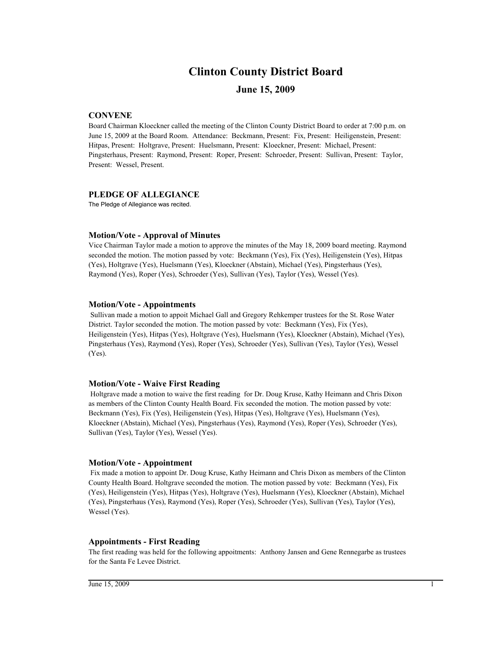# **Clinton County District Board**

# **June 15, 2009**

# **CONVENE**

Board Chairman Kloeckner called the meeting of the Clinton County District Board to order at 7:00 p.m. on June 15, 2009 at the Board Room. Attendance: Beckmann, Present: Fix, Present: Heiligenstein, Present: Hitpas, Present: Holtgrave, Present: Huelsmann, Present: Kloeckner, Present: Michael, Present: Pingsterhaus, Present: Raymond, Present: Roper, Present: Schroeder, Present: Sullivan, Present: Taylor, Present: Wessel, Present.

### **PLEDGE OF ALLEGIANCE**

The Pledge of Allegiance was recited.

### **Motion/Vote - Approval of Minutes**

Vice Chairman Taylor made a motion to approve the minutes of the May 18, 2009 board meeting. Raymond seconded the motion. The motion passed by vote: Beckmann (Yes), Fix (Yes), Heiligenstein (Yes), Hitpas (Yes), Holtgrave (Yes), Huelsmann (Yes), Kloeckner (Abstain), Michael (Yes), Pingsterhaus (Yes), Raymond (Yes), Roper (Yes), Schroeder (Yes), Sullivan (Yes), Taylor (Yes), Wessel (Yes).

### **Motion/Vote - Appointments**

 Sullivan made a motion to appoit Michael Gall and Gregory Rehkemper trustees for the St. Rose Water District. Taylor seconded the motion. The motion passed by vote: Beckmann (Yes), Fix (Yes), Heiligenstein (Yes), Hitpas (Yes), Holtgrave (Yes), Huelsmann (Yes), Kloeckner (Abstain), Michael (Yes), Pingsterhaus (Yes), Raymond (Yes), Roper (Yes), Schroeder (Yes), Sullivan (Yes), Taylor (Yes), Wessel (Yes).

### **Motion/Vote - Waive First Reading**

 Holtgrave made a motion to waive the first reading for Dr. Doug Kruse, Kathy Heimann and Chris Dixon as members of the Clinton County Health Board. Fix seconded the motion. The motion passed by vote: Beckmann (Yes), Fix (Yes), Heiligenstein (Yes), Hitpas (Yes), Holtgrave (Yes), Huelsmann (Yes), Kloeckner (Abstain), Michael (Yes), Pingsterhaus (Yes), Raymond (Yes), Roper (Yes), Schroeder (Yes), Sullivan (Yes), Taylor (Yes), Wessel (Yes).

### **Motion/Vote - Appointment**

 Fix made a motion to appoint Dr. Doug Kruse, Kathy Heimann and Chris Dixon as members of the Clinton County Health Board. Holtgrave seconded the motion. The motion passed by vote: Beckmann (Yes), Fix (Yes), Heiligenstein (Yes), Hitpas (Yes), Holtgrave (Yes), Huelsmann (Yes), Kloeckner (Abstain), Michael (Yes), Pingsterhaus (Yes), Raymond (Yes), Roper (Yes), Schroeder (Yes), Sullivan (Yes), Taylor (Yes), Wessel (Yes).

### **Appointments - First Reading**

The first reading was held for the following appoitments: Anthony Jansen and Gene Rennegarbe as trustees for the Santa Fe Levee District.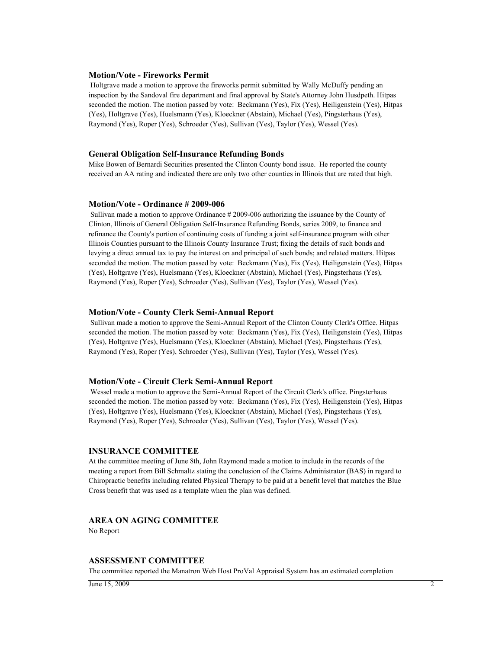#### **Motion/Vote - Fireworks Permit**

 Holtgrave made a motion to approve the fireworks permit submitted by Wally McDuffy pending an inspection by the Sandoval fire department and final approval by State's Attorney John Husdpeth. Hitpas seconded the motion. The motion passed by vote: Beckmann (Yes), Fix (Yes), Heiligenstein (Yes), Hitpas (Yes), Holtgrave (Yes), Huelsmann (Yes), Kloeckner (Abstain), Michael (Yes), Pingsterhaus (Yes), Raymond (Yes), Roper (Yes), Schroeder (Yes), Sullivan (Yes), Taylor (Yes), Wessel (Yes).

#### **General Obligation Self-Insurance Refunding Bonds**

Mike Bowen of Bernardi Securities presented the Clinton County bond issue. He reported the county received an AA rating and indicated there are only two other counties in Illinois that are rated that high.

#### **Motion/Vote - Ordinance # 2009-006**

 Sullivan made a motion to approve Ordinance # 2009-006 authorizing the issuance by the County of Clinton, Illinois of General Obligation Self-Insurance Refunding Bonds, series 2009, to finance and refinance the County's portion of continuing costs of funding a joint self-insurance program with other Illinois Counties pursuant to the Illinois County Insurance Trust; fixing the details of such bonds and levying a direct annual tax to pay the interest on and principal of such bonds; and related matters. Hitpas seconded the motion. The motion passed by vote: Beckmann (Yes), Fix (Yes), Heiligenstein (Yes), Hitpas (Yes), Holtgrave (Yes), Huelsmann (Yes), Kloeckner (Abstain), Michael (Yes), Pingsterhaus (Yes), Raymond (Yes), Roper (Yes), Schroeder (Yes), Sullivan (Yes), Taylor (Yes), Wessel (Yes).

#### **Motion/Vote - County Clerk Semi-Annual Report**

 Sullivan made a motion to approve the Semi-Annual Report of the Clinton County Clerk's Office. Hitpas seconded the motion. The motion passed by vote: Beckmann (Yes), Fix (Yes), Heiligenstein (Yes), Hitpas (Yes), Holtgrave (Yes), Huelsmann (Yes), Kloeckner (Abstain), Michael (Yes), Pingsterhaus (Yes), Raymond (Yes), Roper (Yes), Schroeder (Yes), Sullivan (Yes), Taylor (Yes), Wessel (Yes).

#### **Motion/Vote - Circuit Clerk Semi-Annual Report**

 Wessel made a motion to approve the Semi-Annual Report of the Circuit Clerk's office. Pingsterhaus seconded the motion. The motion passed by vote: Beckmann (Yes), Fix (Yes), Heiligenstein (Yes), Hitpas (Yes), Holtgrave (Yes), Huelsmann (Yes), Kloeckner (Abstain), Michael (Yes), Pingsterhaus (Yes), Raymond (Yes), Roper (Yes), Schroeder (Yes), Sullivan (Yes), Taylor (Yes), Wessel (Yes).

#### **INSURANCE COMMITTEE**

At the committee meeting of June 8th, John Raymond made a motion to include in the records of the meeting a report from Bill Schmaltz stating the conclusion of the Claims Administrator (BAS) in regard to Chiropractic benefits including related Physical Therapy to be paid at a benefit level that matches the Blue Cross benefit that was used as a template when the plan was defined.

# **AREA ON AGING COMMITTEE**

No Report

#### **ASSESSMENT COMMITTEE**

The committee reported the Manatron Web Host ProVal Appraisal System has an estimated completion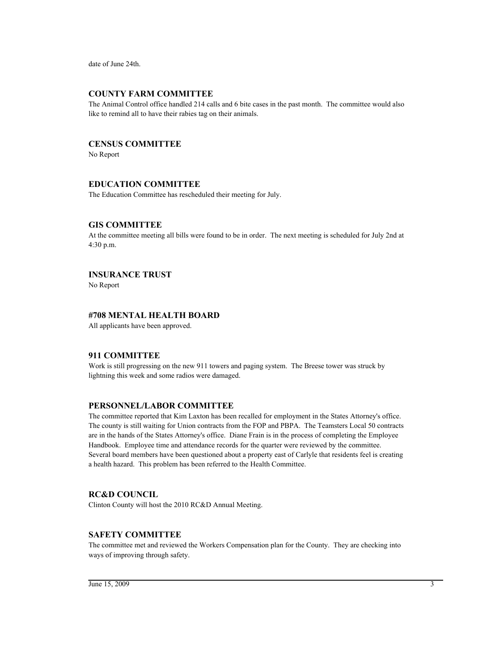date of June 24th.

# **COUNTY FARM COMMITTEE**

The Animal Control office handled 214 calls and 6 bite cases in the past month. The committee would also like to remind all to have their rabies tag on their animals.

# **CENSUS COMMITTEE**

No Report

# **EDUCATION COMMITTEE**

The Education Committee has rescheduled their meeting for July.

#### **GIS COMMITTEE**

At the committee meeting all bills were found to be in order. The next meeting is scheduled for July 2nd at 4:30 p.m.

# **INSURANCE TRUST**

No Report

# **#708 MENTAL HEALTH BOARD**

All applicants have been approved.

# **911 COMMITTEE**

Work is still progressing on the new 911 towers and paging system. The Breese tower was struck by lightning this week and some radios were damaged.

# **PERSONNEL/LABOR COMMITTEE**

The committee reported that Kim Laxton has been recalled for employment in the States Attorney's office. The county is still waiting for Union contracts from the FOP and PBPA. The Teamsters Local 50 contracts are in the hands of the States Attorney's office. Diane Frain is in the process of completing the Employee Handbook. Employee time and attendance records for the quarter were reviewed by the committee. Several board members have been questioned about a property east of Carlyle that residents feel is creating a health hazard. This problem has been referred to the Health Committee.

# **RC&D COUNCIL**

Clinton County will host the 2010 RC&D Annual Meeting.

# **SAFETY COMMITTEE**

The committee met and reviewed the Workers Compensation plan for the County. They are checking into ways of improving through safety.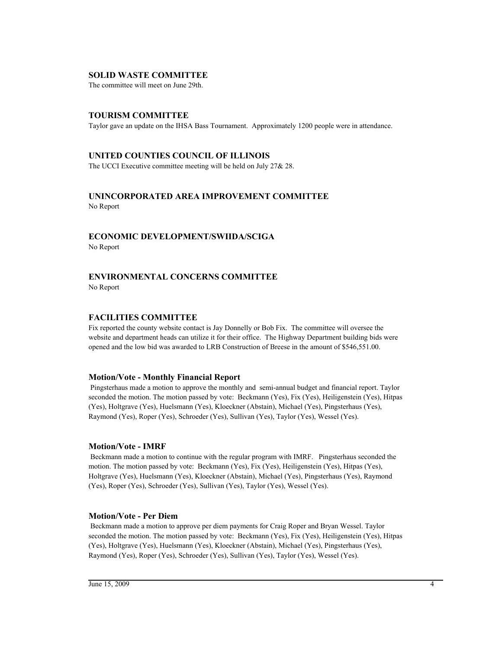# **SOLID WASTE COMMITTEE**

The committee will meet on June 29th.

# **TOURISM COMMITTEE**

Taylor gave an update on the IHSA Bass Tournament. Approximately 1200 people were in attendance.

#### **UNITED COUNTIES COUNCIL OF ILLINOIS**

The UCCI Executive committee meeting will be held on July 27& 28.

# **UNINCORPORATED AREA IMPROVEMENT COMMITTEE** No Report

# **ECONOMIC DEVELOPMENT/SWIIDA/SCIGA**

No Report

# **ENVIRONMENTAL CONCERNS COMMITTEE**

No Report

#### **FACILITIES COMMITTEE**

Fix reported the county website contact is Jay Donnelly or Bob Fix. The committee will oversee the website and department heads can utilize it for their office. The Highway Department building bids were opened and the low bid was awarded to LRB Construction of Breese in the amount of \$546,551.00.

#### **Motion/Vote - Monthly Financial Report**

 Pingsterhaus made a motion to approve the monthly and semi-annual budget and financial report. Taylor seconded the motion. The motion passed by vote: Beckmann (Yes), Fix (Yes), Heiligenstein (Yes), Hitpas (Yes), Holtgrave (Yes), Huelsmann (Yes), Kloeckner (Abstain), Michael (Yes), Pingsterhaus (Yes), Raymond (Yes), Roper (Yes), Schroeder (Yes), Sullivan (Yes), Taylor (Yes), Wessel (Yes).

#### **Motion/Vote - IMRF**

 Beckmann made a motion to continue with the regular program with IMRF. Pingsterhaus seconded the motion. The motion passed by vote: Beckmann (Yes), Fix (Yes), Heiligenstein (Yes), Hitpas (Yes), Holtgrave (Yes), Huelsmann (Yes), Kloeckner (Abstain), Michael (Yes), Pingsterhaus (Yes), Raymond (Yes), Roper (Yes), Schroeder (Yes), Sullivan (Yes), Taylor (Yes), Wessel (Yes).

#### **Motion/Vote - Per Diem**

 Beckmann made a motion to approve per diem payments for Craig Roper and Bryan Wessel. Taylor seconded the motion. The motion passed by vote: Beckmann (Yes), Fix (Yes), Heiligenstein (Yes), Hitpas (Yes), Holtgrave (Yes), Huelsmann (Yes), Kloeckner (Abstain), Michael (Yes), Pingsterhaus (Yes), Raymond (Yes), Roper (Yes), Schroeder (Yes), Sullivan (Yes), Taylor (Yes), Wessel (Yes).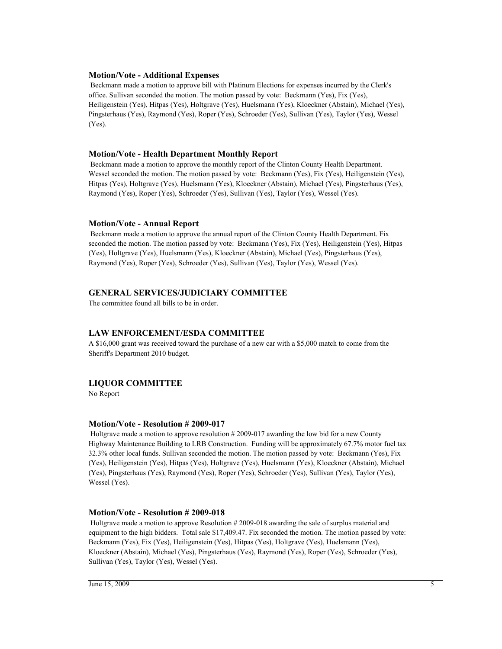# **Motion/Vote - Additional Expenses**

 Beckmann made a motion to approve bill with Platinum Elections for expenses incurred by the Clerk's office. Sullivan seconded the motion. The motion passed by vote: Beckmann (Yes), Fix (Yes), Heiligenstein (Yes), Hitpas (Yes), Holtgrave (Yes), Huelsmann (Yes), Kloeckner (Abstain), Michael (Yes), Pingsterhaus (Yes), Raymond (Yes), Roper (Yes), Schroeder (Yes), Sullivan (Yes), Taylor (Yes), Wessel (Yes).

#### **Motion/Vote - Health Department Monthly Report**

 Beckmann made a motion to approve the monthly report of the Clinton County Health Department. Wessel seconded the motion. The motion passed by vote: Beckmann (Yes), Fix (Yes), Heiligenstein (Yes), Hitpas (Yes), Holtgrave (Yes), Huelsmann (Yes), Kloeckner (Abstain), Michael (Yes), Pingsterhaus (Yes), Raymond (Yes), Roper (Yes), Schroeder (Yes), Sullivan (Yes), Taylor (Yes), Wessel (Yes).

#### **Motion/Vote - Annual Report**

 Beckmann made a motion to approve the annual report of the Clinton County Health Department. Fix seconded the motion. The motion passed by vote: Beckmann (Yes), Fix (Yes), Heiligenstein (Yes), Hitpas (Yes), Holtgrave (Yes), Huelsmann (Yes), Kloeckner (Abstain), Michael (Yes), Pingsterhaus (Yes), Raymond (Yes), Roper (Yes), Schroeder (Yes), Sullivan (Yes), Taylor (Yes), Wessel (Yes).

# **GENERAL SERVICES/JUDICIARY COMMITTEE**

The committee found all bills to be in order.

# **LAW ENFORCEMENT/ESDA COMMITTEE**

A \$16,000 grant was received toward the purchase of a new car with a \$5,000 match to come from the Sheriff's Department 2010 budget.

# **LIQUOR COMMITTEE**

No Report

#### **Motion/Vote - Resolution # 2009-017**

 Holtgrave made a motion to approve resolution # 2009-017 awarding the low bid for a new County Highway Maintenance Building to LRB Construction. Funding will be approximately 67.7% motor fuel tax 32.3% other local funds. Sullivan seconded the motion. The motion passed by vote: Beckmann (Yes), Fix (Yes), Heiligenstein (Yes), Hitpas (Yes), Holtgrave (Yes), Huelsmann (Yes), Kloeckner (Abstain), Michael (Yes), Pingsterhaus (Yes), Raymond (Yes), Roper (Yes), Schroeder (Yes), Sullivan (Yes), Taylor (Yes), Wessel (Yes).

#### **Motion/Vote - Resolution # 2009-018**

 Holtgrave made a motion to approve Resolution # 2009-018 awarding the sale of surplus material and equipment to the high bidders. Total sale \$17,409.47. Fix seconded the motion. The motion passed by vote: Beckmann (Yes), Fix (Yes), Heiligenstein (Yes), Hitpas (Yes), Holtgrave (Yes), Huelsmann (Yes), Kloeckner (Abstain), Michael (Yes), Pingsterhaus (Yes), Raymond (Yes), Roper (Yes), Schroeder (Yes), Sullivan (Yes), Taylor (Yes), Wessel (Yes).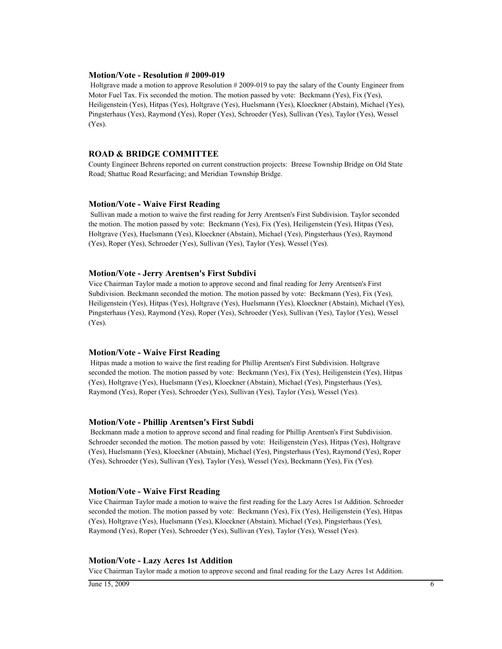#### **Motion/Vote - Resolution # 2009-019**

 Holtgrave made a motion to approve Resolution # 2009-019 to pay the salary of the County Engineer from Motor Fuel Tax. Fix seconded the motion. The motion passed by vote: Beckmann (Yes), Fix (Yes), Heiligenstein (Yes), Hitpas (Yes), Holtgrave (Yes), Huelsmann (Yes), Kloeckner (Abstain), Michael (Yes), Pingsterhaus (Yes), Raymond (Yes), Roper (Yes), Schroeder (Yes), Sullivan (Yes), Taylor (Yes), Wessel (Yes).

#### **ROAD & BRIDGE COMMITTEE**

County Engineer Behrens reported on current construction projects: Breese Township Bridge on Old State Road; Shattuc Road Resurfacing; and Meridian Township Bridge.

#### **Motion/Vote - Waive First Reading**

 Sullivan made a motion to waive the first reading for Jerry Arentsen's First Subdivision. Taylor seconded the motion. The motion passed by vote: Beckmann (Yes), Fix (Yes), Heiligenstein (Yes), Hitpas (Yes), Holtgrave (Yes), Huelsmann (Yes), Kloeckner (Abstain), Michael (Yes), Pingsterhaus (Yes), Raymond (Yes), Roper (Yes), Schroeder (Yes), Sullivan (Yes), Taylor (Yes), Wessel (Yes).

#### **Motion/Vote - Jerry Arentsen's First Subdivi**

Vice Chairman Taylor made a motion to approve second and final reading for Jerry Arentsen's First Subdivision. Beckmann seconded the motion. The motion passed by vote: Beckmann (Yes), Fix (Yes), Heiligenstein (Yes), Hitpas (Yes), Holtgrave (Yes), Huelsmann (Yes), Kloeckner (Abstain), Michael (Yes), Pingsterhaus (Yes), Raymond (Yes), Roper (Yes), Schroeder (Yes), Sullivan (Yes), Taylor (Yes), Wessel (Yes).

#### **Motion/Vote - Waive First Reading**

 Hitpas made a motion to waive the first reading for Phillip Arentsen's First Subdivision. Holtgrave seconded the motion. The motion passed by vote: Beckmann (Yes), Fix (Yes), Heiligenstein (Yes), Hitpas (Yes), Holtgrave (Yes), Huelsmann (Yes), Kloeckner (Abstain), Michael (Yes), Pingsterhaus (Yes), Raymond (Yes), Roper (Yes), Schroeder (Yes), Sullivan (Yes), Taylor (Yes), Wessel (Yes).

#### **Motion/Vote - Phillip Arentsen's First Subdi**

 Beckmann made a motion to approve second and final reading for Phillip Arentsen's First Subdivision. Schroeder seconded the motion. The motion passed by vote: Heiligenstein (Yes), Hitpas (Yes), Holtgrave (Yes), Huelsmann (Yes), Kloeckner (Abstain), Michael (Yes), Pingsterhaus (Yes), Raymond (Yes), Roper (Yes), Schroeder (Yes), Sullivan (Yes), Taylor (Yes), Wessel (Yes), Beckmann (Yes), Fix (Yes).

#### **Motion/Vote - Waive First Reading**

Vice Chairman Taylor made a motion to waive the first reading for the Lazy Acres 1st Addition. Schroeder seconded the motion. The motion passed by vote: Beckmann (Yes), Fix (Yes), Heiligenstein (Yes), Hitpas (Yes), Holtgrave (Yes), Huelsmann (Yes), Kloeckner (Abstain), Michael (Yes), Pingsterhaus (Yes), Raymond (Yes), Roper (Yes), Schroeder (Yes), Sullivan (Yes), Taylor (Yes), Wessel (Yes).

#### **Motion/Vote - Lazy Acres 1st Addition**

Vice Chairman Taylor made a motion to approve second and final reading for the Lazy Acres 1st Addition.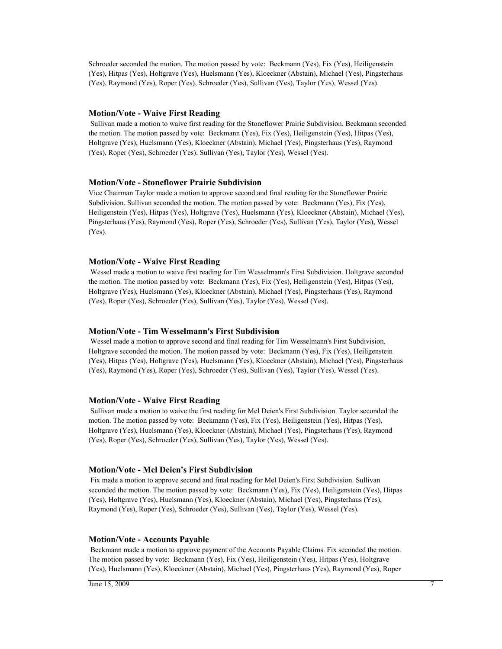Schroeder seconded the motion. The motion passed by vote: Beckmann (Yes), Fix (Yes), Heiligenstein (Yes), Hitpas (Yes), Holtgrave (Yes), Huelsmann (Yes), Kloeckner (Abstain), Michael (Yes), Pingsterhaus (Yes), Raymond (Yes), Roper (Yes), Schroeder (Yes), Sullivan (Yes), Taylor (Yes), Wessel (Yes).

#### **Motion/Vote - Waive First Reading**

 Sullivan made a motion to waive first reading for the Stoneflower Prairie Subdivision. Beckmann seconded the motion. The motion passed by vote: Beckmann (Yes), Fix (Yes), Heiligenstein (Yes), Hitpas (Yes), Holtgrave (Yes), Huelsmann (Yes), Kloeckner (Abstain), Michael (Yes), Pingsterhaus (Yes), Raymond (Yes), Roper (Yes), Schroeder (Yes), Sullivan (Yes), Taylor (Yes), Wessel (Yes).

#### **Motion/Vote - Stoneflower Prairie Subdivision**

Vice Chairman Taylor made a motion to approve second and final reading for the Stoneflower Prairie Subdivision. Sullivan seconded the motion. The motion passed by vote: Beckmann (Yes), Fix (Yes), Heiligenstein (Yes), Hitpas (Yes), Holtgrave (Yes), Huelsmann (Yes), Kloeckner (Abstain), Michael (Yes), Pingsterhaus (Yes), Raymond (Yes), Roper (Yes), Schroeder (Yes), Sullivan (Yes), Taylor (Yes), Wessel (Yes).

#### **Motion/Vote - Waive First Reading**

 Wessel made a motion to waive first reading for Tim Wesselmann's First Subdivision. Holtgrave seconded the motion. The motion passed by vote: Beckmann (Yes), Fix (Yes), Heiligenstein (Yes), Hitpas (Yes), Holtgrave (Yes), Huelsmann (Yes), Kloeckner (Abstain), Michael (Yes), Pingsterhaus (Yes), Raymond (Yes), Roper (Yes), Schroeder (Yes), Sullivan (Yes), Taylor (Yes), Wessel (Yes).

#### **Motion/Vote - Tim Wesselmann's First Subdivision**

 Wessel made a motion to approve second and final reading for Tim Wesselmann's First Subdivision. Holtgrave seconded the motion. The motion passed by vote: Beckmann (Yes), Fix (Yes), Heiligenstein (Yes), Hitpas (Yes), Holtgrave (Yes), Huelsmann (Yes), Kloeckner (Abstain), Michael (Yes), Pingsterhaus (Yes), Raymond (Yes), Roper (Yes), Schroeder (Yes), Sullivan (Yes), Taylor (Yes), Wessel (Yes).

#### **Motion/Vote - Waive First Reading**

 Sullivan made a motion to waive the first reading for Mel Deien's First Subdivision. Taylor seconded the motion. The motion passed by vote: Beckmann (Yes), Fix (Yes), Heiligenstein (Yes), Hitpas (Yes), Holtgrave (Yes), Huelsmann (Yes), Kloeckner (Abstain), Michael (Yes), Pingsterhaus (Yes), Raymond (Yes), Roper (Yes), Schroeder (Yes), Sullivan (Yes), Taylor (Yes), Wessel (Yes).

#### **Motion/Vote - Mel Deien's First Subdivision**

 Fix made a motion to approve second and final reading for Mel Deien's First Subdivision. Sullivan seconded the motion. The motion passed by vote: Beckmann (Yes), Fix (Yes), Heiligenstein (Yes), Hitpas (Yes), Holtgrave (Yes), Huelsmann (Yes), Kloeckner (Abstain), Michael (Yes), Pingsterhaus (Yes), Raymond (Yes), Roper (Yes), Schroeder (Yes), Sullivan (Yes), Taylor (Yes), Wessel (Yes).

#### **Motion/Vote - Accounts Payable**

 Beckmann made a motion to approve payment of the Accounts Payable Claims. Fix seconded the motion. The motion passed by vote: Beckmann (Yes), Fix (Yes), Heiligenstein (Yes), Hitpas (Yes), Holtgrave (Yes), Huelsmann (Yes), Kloeckner (Abstain), Michael (Yes), Pingsterhaus (Yes), Raymond (Yes), Roper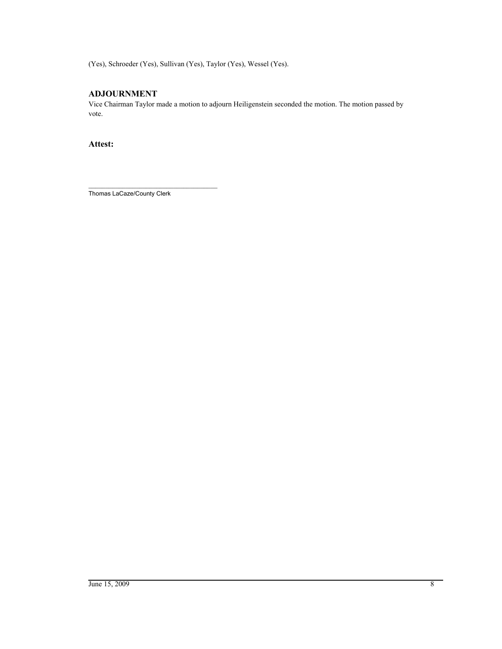(Yes), Schroeder (Yes), Sullivan (Yes), Taylor (Yes), Wessel (Yes).

# **ADJOURNMENT**

Vice Chairman Taylor made a motion to adjourn Heiligenstein seconded the motion. The motion passed by vote.

**Attest:**

\_\_\_\_\_\_\_\_\_\_\_\_\_\_\_\_\_\_\_\_\_\_\_\_\_\_\_\_\_\_\_\_\_\_\_\_\_\_ Thomas LaCaze/County Clerk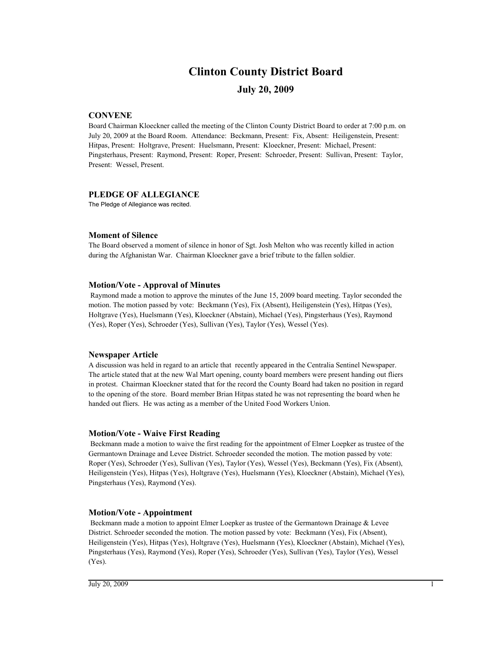# **Clinton County District Board**

# **July 20, 2009**

#### **CONVENE**

Board Chairman Kloeckner called the meeting of the Clinton County District Board to order at 7:00 p.m. on July 20, 2009 at the Board Room. Attendance: Beckmann, Present: Fix, Absent: Heiligenstein, Present: Hitpas, Present: Holtgrave, Present: Huelsmann, Present: Kloeckner, Present: Michael, Present: Pingsterhaus, Present: Raymond, Present: Roper, Present: Schroeder, Present: Sullivan, Present: Taylor, Present: Wessel, Present.

#### **PLEDGE OF ALLEGIANCE**

The Pledge of Allegiance was recited.

# **Moment of Silence**

The Board observed a moment of silence in honor of Sgt. Josh Melton who was recently killed in action during the Afghanistan War. Chairman Kloeckner gave a brief tribute to the fallen soldier.

#### **Motion/Vote - Approval of Minutes**

 Raymond made a motion to approve the minutes of the June 15, 2009 board meeting. Taylor seconded the motion. The motion passed by vote: Beckmann (Yes), Fix (Absent), Heiligenstein (Yes), Hitpas (Yes), Holtgrave (Yes), Huelsmann (Yes), Kloeckner (Abstain), Michael (Yes), Pingsterhaus (Yes), Raymond (Yes), Roper (Yes), Schroeder (Yes), Sullivan (Yes), Taylor (Yes), Wessel (Yes).

#### **Newspaper Article**

A discussion was held in regard to an article that recently appeared in the Centralia Sentinel Newspaper. The article stated that at the new Wal Mart opening, county board members were present handing out fliers in protest. Chairman Kloeckner stated that for the record the County Board had taken no position in regard to the opening of the store. Board member Brian Hitpas stated he was not representing the board when he handed out fliers. He was acting as a member of the United Food Workers Union.

#### **Motion/Vote - Waive First Reading**

 Beckmann made a motion to waive the first reading for the appointment of Elmer Loepker as trustee of the Germantown Drainage and Levee District. Schroeder seconded the motion. The motion passed by vote: Roper (Yes), Schroeder (Yes), Sullivan (Yes), Taylor (Yes), Wessel (Yes), Beckmann (Yes), Fix (Absent), Heiligenstein (Yes), Hitpas (Yes), Holtgrave (Yes), Huelsmann (Yes), Kloeckner (Abstain), Michael (Yes), Pingsterhaus (Yes), Raymond (Yes).

#### **Motion/Vote - Appointment**

 Beckmann made a motion to appoint Elmer Loepker as trustee of the Germantown Drainage & Levee District. Schroeder seconded the motion. The motion passed by vote: Beckmann (Yes), Fix (Absent), Heiligenstein (Yes), Hitpas (Yes), Holtgrave (Yes), Huelsmann (Yes), Kloeckner (Abstain), Michael (Yes), Pingsterhaus (Yes), Raymond (Yes), Roper (Yes), Schroeder (Yes), Sullivan (Yes), Taylor (Yes), Wessel (Yes).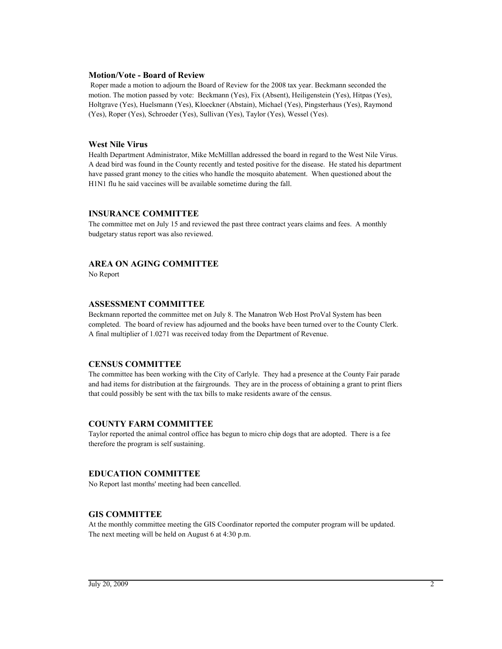#### **Motion/Vote - Board of Review**

 Roper made a motion to adjourn the Board of Review for the 2008 tax year. Beckmann seconded the motion. The motion passed by vote: Beckmann (Yes), Fix (Absent), Heiligenstein (Yes), Hitpas (Yes), Holtgrave (Yes), Huelsmann (Yes), Kloeckner (Abstain), Michael (Yes), Pingsterhaus (Yes), Raymond (Yes), Roper (Yes), Schroeder (Yes), Sullivan (Yes), Taylor (Yes), Wessel (Yes).

#### **West Nile Virus**

Health Department Administrator, Mike McMilllan addressed the board in regard to the West Nile Virus. A dead bird was found in the County recently and tested positive for the disease. He stated his department have passed grant money to the cities who handle the mosquito abatement. When questioned about the H1N1 flu he said vaccines will be available sometime during the fall.

#### **INSURANCE COMMITTEE**

The committee met on July 15 and reviewed the past three contract years claims and fees. A monthly budgetary status report was also reviewed.

# **AREA ON AGING COMMITTEE**

No Report

# **ASSESSMENT COMMITTEE**

Beckmann reported the committee met on July 8. The Manatron Web Host ProVal System has been completed. The board of review has adjourned and the books have been turned over to the County Clerk. A final multiplier of 1.0271 was received today from the Department of Revenue.

# **CENSUS COMMITTEE**

The committee has been working with the City of Carlyle. They had a presence at the County Fair parade and had items for distribution at the fairgrounds. They are in the process of obtaining a grant to print fliers that could possibly be sent with the tax bills to make residents aware of the census.

# **COUNTY FARM COMMITTEE**

Taylor reported the animal control office has begun to micro chip dogs that are adopted. There is a fee therefore the program is self sustaining.

# **EDUCATION COMMITTEE**

No Report last months' meeting had been cancelled.

# **GIS COMMITTEE**

At the monthly committee meeting the GIS Coordinator reported the computer program will be updated. The next meeting will be held on August 6 at 4:30 p.m.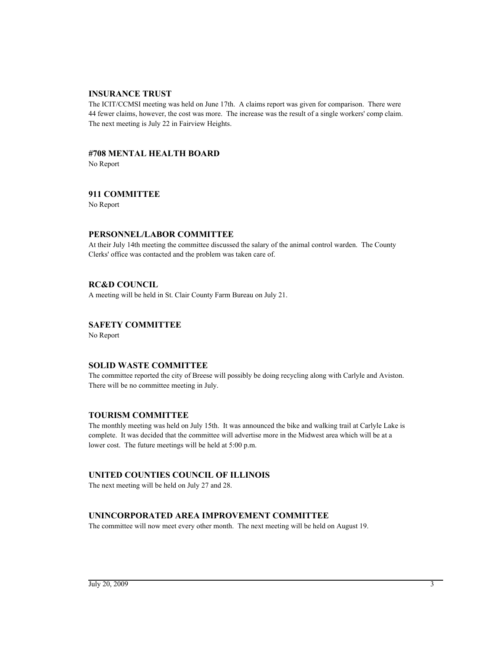# **INSURANCE TRUST**

The ICIT/CCMSI meeting was held on June 17th. A claims report was given for comparison. There were 44 fewer claims, however, the cost was more. The increase was the result of a single workers' comp claim. The next meeting is July 22 in Fairview Heights.

# **#708 MENTAL HEALTH BOARD**

No Report

# **911 COMMITTEE**

No Report

# **PERSONNEL/LABOR COMMITTEE**

At their July 14th meeting the committee discussed the salary of the animal control warden. The County Clerks' office was contacted and the problem was taken care of.

# **RC&D COUNCIL**

A meeting will be held in St. Clair County Farm Bureau on July 21.

# **SAFETY COMMITTEE**

No Report

# **SOLID WASTE COMMITTEE**

The committee reported the city of Breese will possibly be doing recycling along with Carlyle and Aviston. There will be no committee meeting in July.

# **TOURISM COMMITTEE**

The monthly meeting was held on July 15th. It was announced the bike and walking trail at Carlyle Lake is complete. It was decided that the committee will advertise more in the Midwest area which will be at a lower cost. The future meetings will be held at 5:00 p.m.

# **UNITED COUNTIES COUNCIL OF ILLINOIS**

The next meeting will be held on July 27 and 28.

# **UNINCORPORATED AREA IMPROVEMENT COMMITTEE**

The committee will now meet every other month. The next meeting will be held on August 19.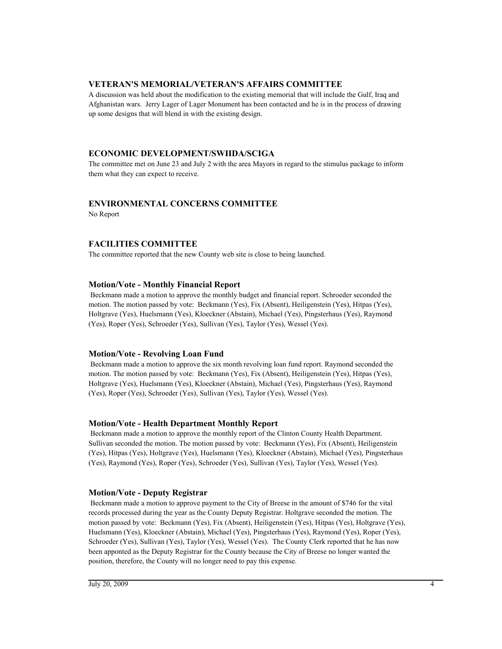# **VETERAN'S MEMORIAL/VETERAN'S AFFAIRS COMMITTEE**

A discussion was held about the modification to the existing memorial that will include the Gulf, Iraq and Afghanistan wars. Jerry Lager of Lager Monument has been contacted and he is in the process of drawing up some designs that will blend in with the existing design.

# **ECONOMIC DEVELOPMENT/SWIIDA/SCIGA**

The committee met on June 23 and July 2 with the area Mayors in regard to the stimulus package to inform them what they can expect to receive.

# **ENVIRONMENTAL CONCERNS COMMITTEE**

No Report

# **FACILITIES COMMITTEE**

The committee reported that the new County web site is close to being launched.

#### **Motion/Vote - Monthly Financial Report**

 Beckmann made a motion to approve the monthly budget and financial report. Schroeder seconded the motion. The motion passed by vote: Beckmann (Yes), Fix (Absent), Heiligenstein (Yes), Hitpas (Yes), Holtgrave (Yes), Huelsmann (Yes), Kloeckner (Abstain), Michael (Yes), Pingsterhaus (Yes), Raymond (Yes), Roper (Yes), Schroeder (Yes), Sullivan (Yes), Taylor (Yes), Wessel (Yes).

#### **Motion/Vote - Revolving Loan Fund**

 Beckmann made a motion to approve the six month revolving loan fund report. Raymond seconded the motion. The motion passed by vote: Beckmann (Yes), Fix (Absent), Heiligenstein (Yes), Hitpas (Yes), Holtgrave (Yes), Huelsmann (Yes), Kloeckner (Abstain), Michael (Yes), Pingsterhaus (Yes), Raymond (Yes), Roper (Yes), Schroeder (Yes), Sullivan (Yes), Taylor (Yes), Wessel (Yes).

# **Motion/Vote - Health Department Monthly Report**

 Beckmann made a motion to approve the monthly report of the Clinton County Health Department. Sullivan seconded the motion. The motion passed by vote: Beckmann (Yes), Fix (Absent), Heiligenstein (Yes), Hitpas (Yes), Holtgrave (Yes), Huelsmann (Yes), Kloeckner (Abstain), Michael (Yes), Pingsterhaus (Yes), Raymond (Yes), Roper (Yes), Schroeder (Yes), Sullivan (Yes), Taylor (Yes), Wessel (Yes).

# **Motion/Vote - Deputy Registrar**

 Beckmann made a motion to approve payment to the City of Breese in the amount of \$746 for the vital records processed during the year as the County Deputy Registrar. Holtgrave seconded the motion. The motion passed by vote: Beckmann (Yes), Fix (Absent), Heiligenstein (Yes), Hitpas (Yes), Holtgrave (Yes), Huelsmann (Yes), Kloeckner (Abstain), Michael (Yes), Pingsterhaus (Yes), Raymond (Yes), Roper (Yes), Schroeder (Yes), Sullivan (Yes), Taylor (Yes), Wessel (Yes). The County Clerk reported that he has now been apponted as the Deputy Registrar for the County because the City of Breese no longer wanted the position, therefore, the County will no longer need to pay this expense.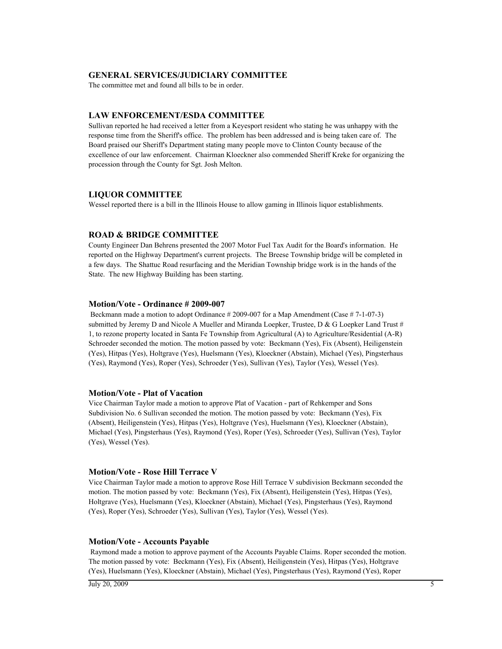#### **GENERAL SERVICES/JUDICIARY COMMITTEE**

The committee met and found all bills to be in order.

#### **LAW ENFORCEMENT/ESDA COMMITTEE**

Sullivan reported he had received a letter from a Keyesport resident who stating he was unhappy with the response time from the Sheriff's office. The problem has been addressed and is being taken care of. The Board praised our Sheriff's Department stating many people move to Clinton County because of the excellence of our law enforcement. Chairman Kloeckner also commended Sheriff Kreke for organizing the procession through the County for Sgt. Josh Melton.

#### **LIQUOR COMMITTEE**

Wessel reported there is a bill in the Illinois House to allow gaming in Illinois liquor establishments.

# **ROAD & BRIDGE COMMITTEE**

County Engineer Dan Behrens presented the 2007 Motor Fuel Tax Audit for the Board's information. He reported on the Highway Department's current projects. The Breese Township bridge will be completed in a few days. The Shattuc Road resurfacing and the Meridian Township bridge work is in the hands of the State. The new Highway Building has been starting.

#### **Motion/Vote - Ordinance # 2009-007**

 Beckmann made a motion to adopt Ordinance # 2009-007 for a Map Amendment (Case # 7-1-07-3) submitted by Jeremy D and Nicole A Mueller and Miranda Loepker, Trustee, D & G Loepker Land Trust  $#$ 1, to rezone property located in Santa Fe Township from Agricultural (A) to Agriculture/Residential (A-R) Schroeder seconded the motion. The motion passed by vote: Beckmann (Yes), Fix (Absent), Heiligenstein (Yes), Hitpas (Yes), Holtgrave (Yes), Huelsmann (Yes), Kloeckner (Abstain), Michael (Yes), Pingsterhaus (Yes), Raymond (Yes), Roper (Yes), Schroeder (Yes), Sullivan (Yes), Taylor (Yes), Wessel (Yes).

#### **Motion/Vote - Plat of Vacation**

Vice Chairman Taylor made a motion to approve Plat of Vacation - part of Rehkemper and Sons Subdivision No. 6 Sullivan seconded the motion. The motion passed by vote: Beckmann (Yes), Fix (Absent), Heiligenstein (Yes), Hitpas (Yes), Holtgrave (Yes), Huelsmann (Yes), Kloeckner (Abstain), Michael (Yes), Pingsterhaus (Yes), Raymond (Yes), Roper (Yes), Schroeder (Yes), Sullivan (Yes), Taylor (Yes), Wessel (Yes).

#### **Motion/Vote - Rose Hill Terrace V**

Vice Chairman Taylor made a motion to approve Rose Hill Terrace V subdivision Beckmann seconded the motion. The motion passed by vote: Beckmann (Yes), Fix (Absent), Heiligenstein (Yes), Hitpas (Yes), Holtgrave (Yes), Huelsmann (Yes), Kloeckner (Abstain), Michael (Yes), Pingsterhaus (Yes), Raymond (Yes), Roper (Yes), Schroeder (Yes), Sullivan (Yes), Taylor (Yes), Wessel (Yes).

#### **Motion/Vote - Accounts Payable**

 Raymond made a motion to approve payment of the Accounts Payable Claims. Roper seconded the motion. The motion passed by vote: Beckmann (Yes), Fix (Absent), Heiligenstein (Yes), Hitpas (Yes), Holtgrave (Yes), Huelsmann (Yes), Kloeckner (Abstain), Michael (Yes), Pingsterhaus (Yes), Raymond (Yes), Roper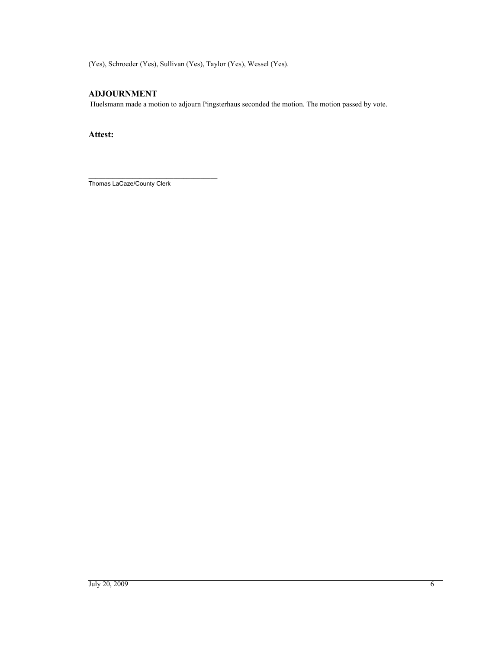(Yes), Schroeder (Yes), Sullivan (Yes), Taylor (Yes), Wessel (Yes).

# **ADJOURNMENT**

Huelsmann made a motion to adjourn Pingsterhaus seconded the motion. The motion passed by vote.

**Attest:**

\_\_\_\_\_\_\_\_\_\_\_\_\_\_\_\_\_\_\_\_\_\_\_\_\_\_\_\_\_\_\_\_\_\_\_\_\_\_ Thomas LaCaze/County Clerk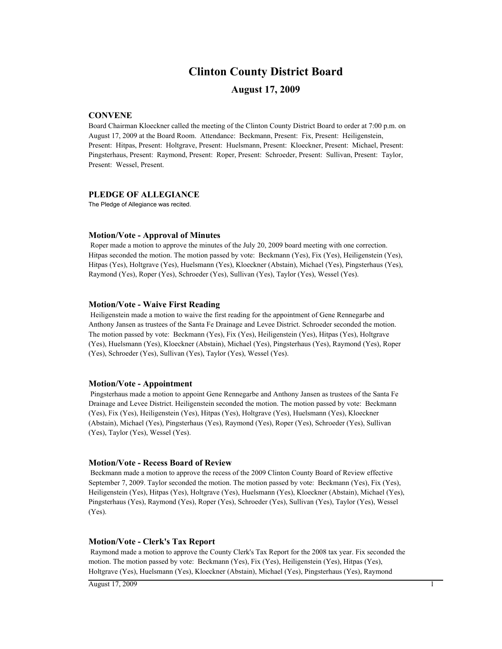# **Clinton County District Board**

# **August 17, 2009**

#### **CONVENE**

Board Chairman Kloeckner called the meeting of the Clinton County District Board to order at 7:00 p.m. on August 17, 2009 at the Board Room. Attendance: Beckmann, Present: Fix, Present: Heiligenstein, Present: Hitpas, Present: Holtgrave, Present: Huelsmann, Present: Kloeckner, Present: Michael, Present: Pingsterhaus, Present: Raymond, Present: Roper, Present: Schroeder, Present: Sullivan, Present: Taylor, Present: Wessel, Present.

#### **PLEDGE OF ALLEGIANCE**

The Pledge of Allegiance was recited.

#### **Motion/Vote - Approval of Minutes**

 Roper made a motion to approve the minutes of the July 20, 2009 board meeting with one correction. Hitpas seconded the motion. The motion passed by vote: Beckmann (Yes), Fix (Yes), Heiligenstein (Yes), Hitpas (Yes), Holtgrave (Yes), Huelsmann (Yes), Kloeckner (Abstain), Michael (Yes), Pingsterhaus (Yes), Raymond (Yes), Roper (Yes), Schroeder (Yes), Sullivan (Yes), Taylor (Yes), Wessel (Yes).

#### **Motion/Vote - Waive First Reading**

 Heiligenstein made a motion to waive the first reading for the appointment of Gene Rennegarbe and Anthony Jansen as trustees of the Santa Fe Drainage and Levee District. Schroeder seconded the motion. The motion passed by vote: Beckmann (Yes), Fix (Yes), Heiligenstein (Yes), Hitpas (Yes), Holtgrave (Yes), Huelsmann (Yes), Kloeckner (Abstain), Michael (Yes), Pingsterhaus (Yes), Raymond (Yes), Roper (Yes), Schroeder (Yes), Sullivan (Yes), Taylor (Yes), Wessel (Yes).

#### **Motion/Vote - Appointment**

 Pingsterhaus made a motion to appoint Gene Rennegarbe and Anthony Jansen as trustees of the Santa Fe Drainage and Levee District. Heiligenstein seconded the motion. The motion passed by vote: Beckmann (Yes), Fix (Yes), Heiligenstein (Yes), Hitpas (Yes), Holtgrave (Yes), Huelsmann (Yes), Kloeckner (Abstain), Michael (Yes), Pingsterhaus (Yes), Raymond (Yes), Roper (Yes), Schroeder (Yes), Sullivan (Yes), Taylor (Yes), Wessel (Yes).

#### **Motion/Vote - Recess Board of Review**

 Beckmann made a motion to approve the recess of the 2009 Clinton County Board of Review effective September 7, 2009. Taylor seconded the motion. The motion passed by vote: Beckmann (Yes), Fix (Yes), Heiligenstein (Yes), Hitpas (Yes), Holtgrave (Yes), Huelsmann (Yes), Kloeckner (Abstain), Michael (Yes), Pingsterhaus (Yes), Raymond (Yes), Roper (Yes), Schroeder (Yes), Sullivan (Yes), Taylor (Yes), Wessel (Yes).

#### **Motion/Vote - Clerk's Tax Report**

 Raymond made a motion to approve the County Clerk's Tax Report for the 2008 tax year. Fix seconded the motion. The motion passed by vote: Beckmann (Yes), Fix (Yes), Heiligenstein (Yes), Hitpas (Yes), Holtgrave (Yes), Huelsmann (Yes), Kloeckner (Abstain), Michael (Yes), Pingsterhaus (Yes), Raymond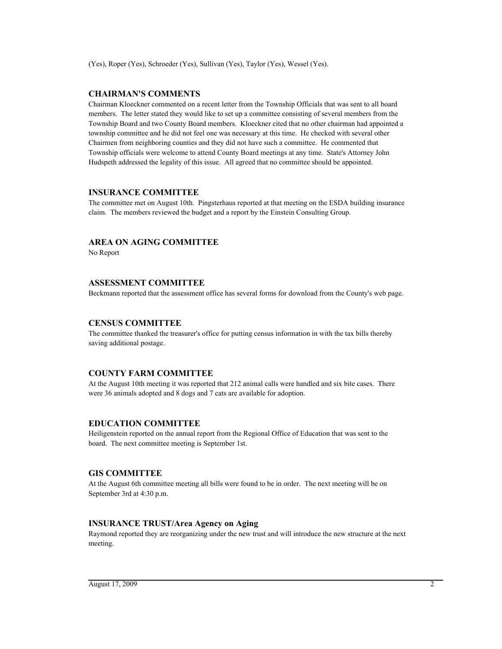# **CHAIRMAN'S COMMENTS**

Chairman Kloeckner commented on a recent letter from the Township Officials that was sent to all board members. The letter stated they would like to set up a committee consisting of several members from the Township Board and two County Board members. Kloeckner cited that no other chairman had appointed a township committee and he did not feel one was necessary at this time. He checked with several other Chairmen from neighboring counties and they did not have such a committee. He commented that Township officials were welcome to attend County Board meetings at any time. State's Attorney John Hudspeth addressed the legality of this issue. All agreed that no committee should be appointed.

#### **INSURANCE COMMITTEE**

The committee met on August 10th. Pingsterhaus reported at that meeting on the ESDA building insurance claim. The members reviewed the budget and a report by the Einstein Consulting Group.

# **AREA ON AGING COMMITTEE**

No Report

#### **ASSESSMENT COMMITTEE**

Beckmann reported that the assessment office has several forms for download from the County's web page.

#### **CENSUS COMMITTEE**

The committee thanked the treasurer's office for putting census information in with the tax bills thereby saving additional postage.

#### **COUNTY FARM COMMITTEE**

At the August 10th meeting it was reported that 212 animal calls were handled and six bite cases. There were 36 animals adopted and 8 dogs and 7 cats are available for adoption.

# **EDUCATION COMMITTEE**

Heiligenstein reported on the annual report from the Regional Office of Education that was sent to the board. The next committee meeting is September 1st.

# **GIS COMMITTEE**

At the August 6th committee meeting all bills were found to be in order. The next meeting will be on September 3rd at 4:30 p.m.

#### **INSURANCE TRUST/Area Agency on Aging**

Raymond reported they are reorganizing under the new trust and will introduce the new structure at the next meeting.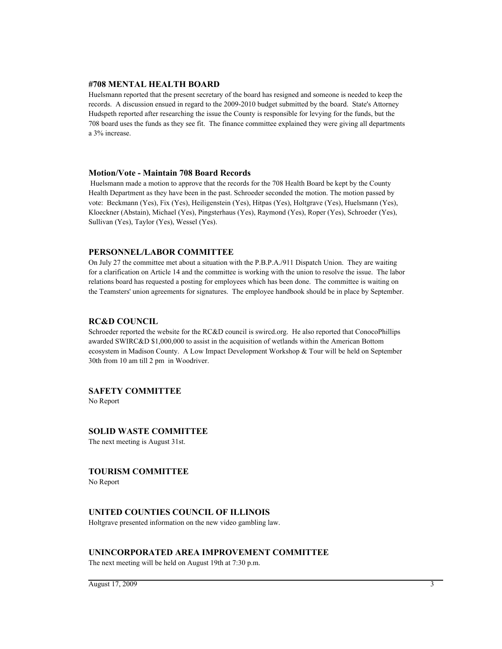#### **#708 MENTAL HEALTH BOARD**

Huelsmann reported that the present secretary of the board has resigned and someone is needed to keep the records. A discussion ensued in regard to the 2009-2010 budget submitted by the board. State's Attorney Hudspeth reported after researching the issue the County is responsible for levying for the funds, but the 708 board uses the funds as they see fit. The finance committee explained they were giving all departments a 3% increase.

#### **Motion/Vote - Maintain 708 Board Records**

 Huelsmann made a motion to approve that the records for the 708 Health Board be kept by the County Health Department as they have been in the past. Schroeder seconded the motion. The motion passed by vote: Beckmann (Yes), Fix (Yes), Heiligenstein (Yes), Hitpas (Yes), Holtgrave (Yes), Huelsmann (Yes), Kloeckner (Abstain), Michael (Yes), Pingsterhaus (Yes), Raymond (Yes), Roper (Yes), Schroeder (Yes), Sullivan (Yes), Taylor (Yes), Wessel (Yes).

# **PERSONNEL/LABOR COMMITTEE**

On July 27 the committee met about a situation with the P.B.P.A./911 Dispatch Union. They are waiting for a clarification on Article 14 and the committee is working with the union to resolve the issue. The labor relations board has requested a posting for employees which has been done. The committee is waiting on the Teamsters' union agreements for signatures. The employee handbook should be in place by September.

#### **RC&D COUNCIL**

Schroeder reported the website for the RC&D council is swircd.org. He also reported that ConocoPhillips awarded SWIRC&D \$1,000,000 to assist in the acquisition of wetlands within the American Bottom ecosystem in Madison County. A Low Impact Development Workshop & Tour will be held on September 30th from 10 am till 2 pm in Woodriver.

#### **SAFETY COMMITTEE**

No Report

#### **SOLID WASTE COMMITTEE**

The next meeting is August 31st.

#### **TOURISM COMMITTEE**

No Report

#### **UNITED COUNTIES COUNCIL OF ILLINOIS**

Holtgrave presented information on the new video gambling law.

#### **UNINCORPORATED AREA IMPROVEMENT COMMITTEE**

The next meeting will be held on August 19th at 7:30 p.m.

 $\overline{\text{August 17}, 2009}$  3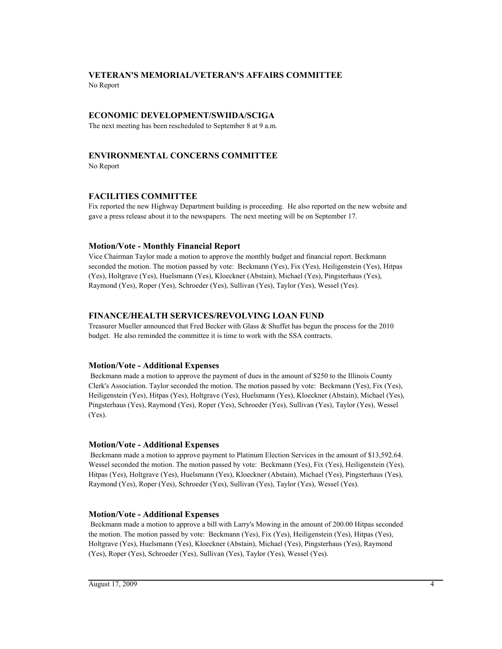# **VETERAN'S MEMORIAL/VETERAN'S AFFAIRS COMMITTEE**

No Report

# **ECONOMIC DEVELOPMENT/SWIIDA/SCIGA**

The next meeting has been rescheduled to September 8 at 9 a.m.

# **ENVIRONMENTAL CONCERNS COMMITTEE**

No Report

# **FACILITIES COMMITTEE**

Fix reported the new Highway Department building is proceeding. He also reported on the new website and gave a press release about it to the newspapers. The next meeting will be on September 17.

# **Motion/Vote - Monthly Financial Report**

Vice Chairman Taylor made a motion to approve the monthly budget and financial report. Beckmann seconded the motion. The motion passed by vote: Beckmann (Yes), Fix (Yes), Heiligenstein (Yes), Hitpas (Yes), Holtgrave (Yes), Huelsmann (Yes), Kloeckner (Abstain), Michael (Yes), Pingsterhaus (Yes), Raymond (Yes), Roper (Yes), Schroeder (Yes), Sullivan (Yes), Taylor (Yes), Wessel (Yes).

# **FINANCE/HEALTH SERVICES/REVOLVING LOAN FUND**

Treasurer Mueller announced that Fred Becker with Glass & Shuffet has begun the process for the 2010 budget. He also reminded the committee it is time to work with the SSA contracts.

# **Motion/Vote - Additional Expenses**

 Beckmann made a motion to approve the payment of dues in the amount of \$250 to the Illinois County Clerk's Association. Taylor seconded the motion. The motion passed by vote: Beckmann (Yes), Fix (Yes), Heiligenstein (Yes), Hitpas (Yes), Holtgrave (Yes), Huelsmann (Yes), Kloeckner (Abstain), Michael (Yes), Pingsterhaus (Yes), Raymond (Yes), Roper (Yes), Schroeder (Yes), Sullivan (Yes), Taylor (Yes), Wessel (Yes).

# **Motion/Vote - Additional Expenses**

 Beckmann made a motion to approve payment to Platinum Election Services in the amount of \$13,592.64. Wessel seconded the motion. The motion passed by vote: Beckmann (Yes), Fix (Yes), Heiligenstein (Yes), Hitpas (Yes), Holtgrave (Yes), Huelsmann (Yes), Kloeckner (Abstain), Michael (Yes), Pingsterhaus (Yes), Raymond (Yes), Roper (Yes), Schroeder (Yes), Sullivan (Yes), Taylor (Yes), Wessel (Yes).

# **Motion/Vote - Additional Expenses**

 Beckmann made a motion to approve a bill with Larry's Mowing in the amount of 200.00 Hitpas seconded the motion. The motion passed by vote: Beckmann (Yes), Fix (Yes), Heiligenstein (Yes), Hitpas (Yes), Holtgrave (Yes), Huelsmann (Yes), Kloeckner (Abstain), Michael (Yes), Pingsterhaus (Yes), Raymond (Yes), Roper (Yes), Schroeder (Yes), Sullivan (Yes), Taylor (Yes), Wessel (Yes).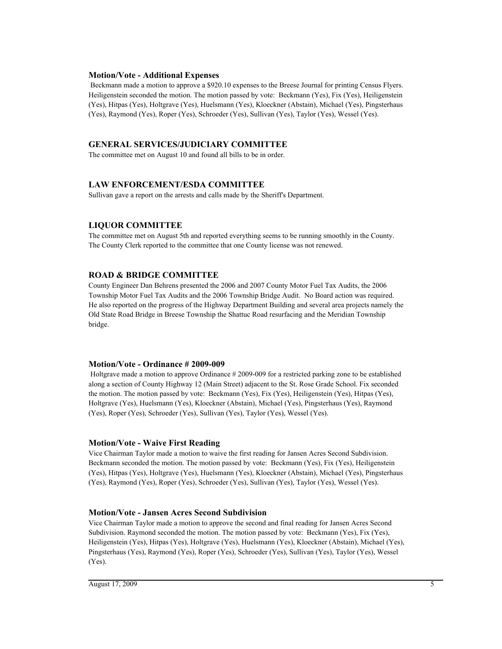#### **Motion/Vote - Additional Expenses**

 Beckmann made a motion to approve a \$920.10 expenses to the Breese Journal for printing Census Flyers. Heiligenstein seconded the motion. The motion passed by vote: Beckmann (Yes), Fix (Yes), Heiligenstein (Yes), Hitpas (Yes), Holtgrave (Yes), Huelsmann (Yes), Kloeckner (Abstain), Michael (Yes), Pingsterhaus (Yes), Raymond (Yes), Roper (Yes), Schroeder (Yes), Sullivan (Yes), Taylor (Yes), Wessel (Yes).

# **GENERAL SERVICES/JUDICIARY COMMITTEE**

The committee met on August 10 and found all bills to be in order.

# **LAW ENFORCEMENT/ESDA COMMITTEE**

Sullivan gave a report on the arrests and calls made by the Sheriff's Department.

# **LIQUOR COMMITTEE**

The committee met on August 5th and reported everything seems to be running smoothly in the County. The County Clerk reported to the committee that one County license was not renewed.

# **ROAD & BRIDGE COMMITTEE**

County Engineer Dan Behrens presented the 2006 and 2007 County Motor Fuel Tax Audits, the 2006 Township Motor Fuel Tax Audits and the 2006 Township Bridge Audit. No Board action was required. He also reported on the progress of the Highway Department Building and several area projects namely the Old State Road Bridge in Breese Township the Shattuc Road resurfacing and the Meridian Township bridge.

# **Motion/Vote - Ordinance # 2009-009**

 Holtgrave made a motion to approve Ordinance # 2009-009 for a restricted parking zone to be established along a section of County Highway 12 (Main Street) adjacent to the St. Rose Grade School. Fix seconded the motion. The motion passed by vote: Beckmann (Yes), Fix (Yes), Heiligenstein (Yes), Hitpas (Yes), Holtgrave (Yes), Huelsmann (Yes), Kloeckner (Abstain), Michael (Yes), Pingsterhaus (Yes), Raymond (Yes), Roper (Yes), Schroeder (Yes), Sullivan (Yes), Taylor (Yes), Wessel (Yes).

# **Motion/Vote - Waive First Reading**

Vice Chairman Taylor made a motion to waive the first reading for Jansen Acres Second Subdivision. Beckmann seconded the motion. The motion passed by vote: Beckmann (Yes), Fix (Yes), Heiligenstein (Yes), Hitpas (Yes), Holtgrave (Yes), Huelsmann (Yes), Kloeckner (Abstain), Michael (Yes), Pingsterhaus (Yes), Raymond (Yes), Roper (Yes), Schroeder (Yes), Sullivan (Yes), Taylor (Yes), Wessel (Yes).

# **Motion/Vote - Jansen Acres Second Subdivision**

Vice Chairman Taylor made a motion to approve the second and final reading for Jansen Acres Second Subdivision. Raymond seconded the motion. The motion passed by vote: Beckmann (Yes), Fix (Yes), Heiligenstein (Yes), Hitpas (Yes), Holtgrave (Yes), Huelsmann (Yes), Kloeckner (Abstain), Michael (Yes), Pingsterhaus (Yes), Raymond (Yes), Roper (Yes), Schroeder (Yes), Sullivan (Yes), Taylor (Yes), Wessel (Yes).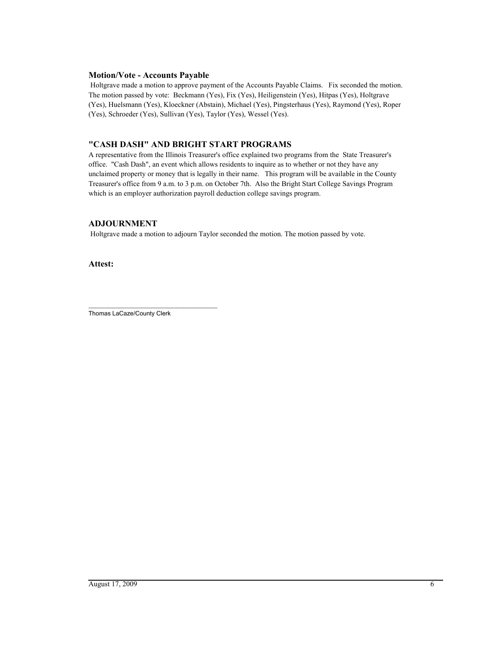# **Motion/Vote - Accounts Payable**

 Holtgrave made a motion to approve payment of the Accounts Payable Claims. Fix seconded the motion. The motion passed by vote: Beckmann (Yes), Fix (Yes), Heiligenstein (Yes), Hitpas (Yes), Holtgrave (Yes), Huelsmann (Yes), Kloeckner (Abstain), Michael (Yes), Pingsterhaus (Yes), Raymond (Yes), Roper (Yes), Schroeder (Yes), Sullivan (Yes), Taylor (Yes), Wessel (Yes).

# **"CASH DASH" AND BRIGHT START PROGRAMS**

A representative from the Illinois Treasurer's office explained two programs from the State Treasurer's office. "Cash Dash", an event which allows residents to inquire as to whether or not they have any unclaimed property or money that is legally in their name. This program will be available in the County Treasurer's office from 9 a.m. to 3 p.m. on October 7th. Also the Bright Start College Savings Program which is an employer authorization payroll deduction college savings program.

# **ADJOURNMENT**

Holtgrave made a motion to adjourn Taylor seconded the motion. The motion passed by vote.

**Attest:**

\_\_\_\_\_\_\_\_\_\_\_\_\_\_\_\_\_\_\_\_\_\_\_\_\_\_\_\_\_\_\_\_\_\_\_\_\_\_ Thomas LaCaze/County Clerk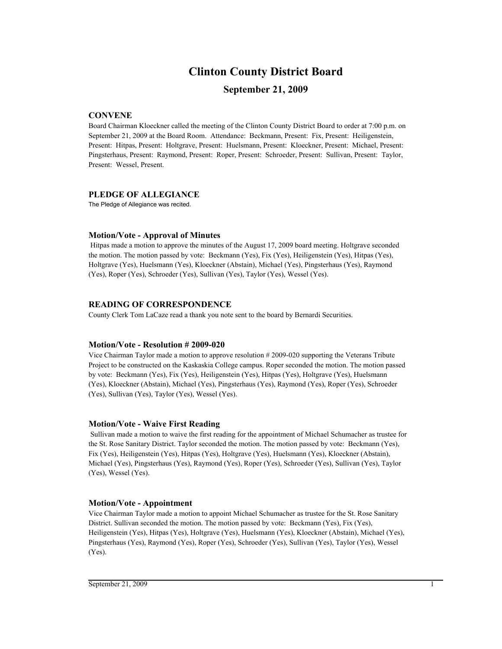# **Clinton County District Board**

# **September 21, 2009**

# **CONVENE**

Board Chairman Kloeckner called the meeting of the Clinton County District Board to order at 7:00 p.m. on September 21, 2009 at the Board Room. Attendance: Beckmann, Present: Fix, Present: Heiligenstein, Present: Hitpas, Present: Holtgrave, Present: Huelsmann, Present: Kloeckner, Present: Michael, Present: Pingsterhaus, Present: Raymond, Present: Roper, Present: Schroeder, Present: Sullivan, Present: Taylor, Present: Wessel, Present.

#### **PLEDGE OF ALLEGIANCE**

The Pledge of Allegiance was recited.

# **Motion/Vote - Approval of Minutes**

 Hitpas made a motion to approve the minutes of the August 17, 2009 board meeting. Holtgrave seconded the motion. The motion passed by vote: Beckmann (Yes), Fix (Yes), Heiligenstein (Yes), Hitpas (Yes), Holtgrave (Yes), Huelsmann (Yes), Kloeckner (Abstain), Michael (Yes), Pingsterhaus (Yes), Raymond (Yes), Roper (Yes), Schroeder (Yes), Sullivan (Yes), Taylor (Yes), Wessel (Yes).

# **READING OF CORRESPONDENCE**

County Clerk Tom LaCaze read a thank you note sent to the board by Bernardi Securities.

# **Motion/Vote - Resolution # 2009-020**

Vice Chairman Taylor made a motion to approve resolution # 2009-020 supporting the Veterans Tribute Project to be constructed on the Kaskaskia College campus. Roper seconded the motion. The motion passed by vote: Beckmann (Yes), Fix (Yes), Heiligenstein (Yes), Hitpas (Yes), Holtgrave (Yes), Huelsmann (Yes), Kloeckner (Abstain), Michael (Yes), Pingsterhaus (Yes), Raymond (Yes), Roper (Yes), Schroeder (Yes), Sullivan (Yes), Taylor (Yes), Wessel (Yes).

# **Motion/Vote - Waive First Reading**

 Sullivan made a motion to waive the first reading for the appointment of Michael Schumacher as trustee for the St. Rose Sanitary District. Taylor seconded the motion. The motion passed by vote: Beckmann (Yes), Fix (Yes), Heiligenstein (Yes), Hitpas (Yes), Holtgrave (Yes), Huelsmann (Yes), Kloeckner (Abstain), Michael (Yes), Pingsterhaus (Yes), Raymond (Yes), Roper (Yes), Schroeder (Yes), Sullivan (Yes), Taylor (Yes), Wessel (Yes).

# **Motion/Vote - Appointment**

Vice Chairman Taylor made a motion to appoint Michael Schumacher as trustee for the St. Rose Sanitary District. Sullivan seconded the motion. The motion passed by vote: Beckmann (Yes), Fix (Yes), Heiligenstein (Yes), Hitpas (Yes), Holtgrave (Yes), Huelsmann (Yes), Kloeckner (Abstain), Michael (Yes), Pingsterhaus (Yes), Raymond (Yes), Roper (Yes), Schroeder (Yes), Sullivan (Yes), Taylor (Yes), Wessel (Yes).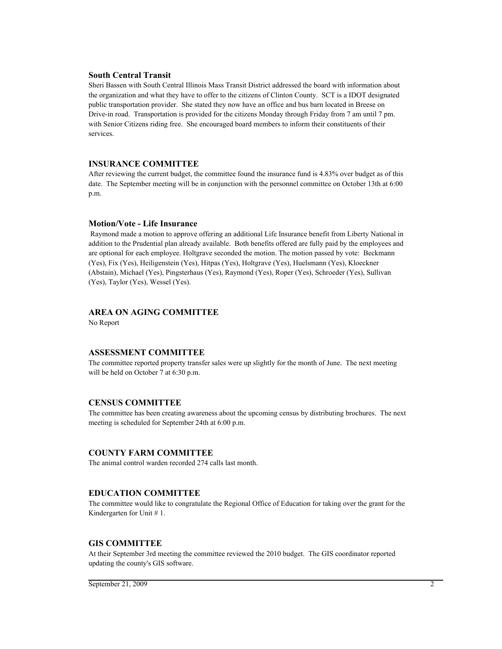#### **South Central Transit**

Sheri Bassen with South Central Illinois Mass Transit District addressed the board with information about the organization and what they have to offer to the citizens of Clinton County. SCT is a IDOT designated public transportation provider. She stated they now have an office and bus barn located in Breese on Drive-in road. Transportation is provided for the citizens Monday through Friday from 7 am until 7 pm. with Senior Citizens riding free. She encouraged board members to inform their constituents of their services.

#### **INSURANCE COMMITTEE**

After reviewing the current budget, the committee found the insurance fund is 4.83% over budget as of this date. The September meeting will be in conjunction with the personnel committee on October 13th at 6:00 p.m.

#### **Motion/Vote - Life Insurance**

 Raymond made a motion to approve offering an additional Life Insurance benefit from Liberty National in addition to the Prudential plan already available. Both benefits offered are fully paid by the employees and are optional for each employee. Holtgrave seconded the motion. The motion passed by vote: Beckmann (Yes), Fix (Yes), Heiligenstein (Yes), Hitpas (Yes), Holtgrave (Yes), Huelsmann (Yes), Kloeckner (Abstain), Michael (Yes), Pingsterhaus (Yes), Raymond (Yes), Roper (Yes), Schroeder (Yes), Sullivan (Yes), Taylor (Yes), Wessel (Yes).

# **AREA ON AGING COMMITTEE**

No Report

# **ASSESSMENT COMMITTEE**

The committee reported property transfer sales were up slightly for the month of June. The next meeting will be held on October 7 at 6:30 p.m.

# **CENSUS COMMITTEE**

The committee has been creating awareness about the upcoming census by distributing brochures. The next meeting is scheduled for September 24th at 6:00 p.m.

# **COUNTY FARM COMMITTEE**

The animal control warden recorded 274 calls last month.

# **EDUCATION COMMITTEE**

The committee would like to congratulate the Regional Office of Education for taking over the grant for the Kindergarten for Unit # 1.

# **GIS COMMITTEE**

At their September 3rd meeting the committee reviewed the 2010 budget. The GIS coordinator reported updating the county's GIS software.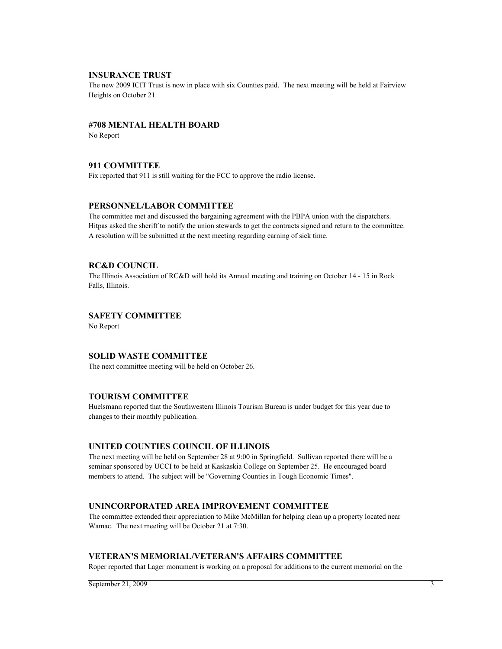#### **INSURANCE TRUST**

The new 2009 ICIT Trust is now in place with six Counties paid. The next meeting will be held at Fairview Heights on October 21.

#### **#708 MENTAL HEALTH BOARD**

No Report

# **911 COMMITTEE**

Fix reported that 911 is still waiting for the FCC to approve the radio license.

#### **PERSONNEL/LABOR COMMITTEE**

The committee met and discussed the bargaining agreement with the PBPA union with the dispatchers. Hitpas asked the sheriff to notify the union stewards to get the contracts signed and return to the committee. A resolution will be submitted at the next meeting regarding earning of sick time.

#### **RC&D COUNCIL**

The Illinois Association of RC&D will hold its Annual meeting and training on October 14 - 15 in Rock Falls, Illinois.

# **SAFETY COMMITTEE**

No Report

# **SOLID WASTE COMMITTEE**

The next committee meeting will be held on October 26.

# **TOURISM COMMITTEE**

Huelsmann reported that the Southwestern Illinois Tourism Bureau is under budget for this year due to changes to their monthly publication.

# **UNITED COUNTIES COUNCIL OF ILLINOIS**

The next meeting will be held on September 28 at 9:00 in Springfield. Sullivan reported there will be a seminar sponsored by UCCI to be held at Kaskaskia College on September 25. He encouraged board members to attend. The subject will be "Governing Counties in Tough Economic Times".

# **UNINCORPORATED AREA IMPROVEMENT COMMITTEE**

The committee extended their appreciation to Mike McMillan for helping clean up a property located near Wamac. The next meeting will be October 21 at 7:30.

# **VETERAN'S MEMORIAL/VETERAN'S AFFAIRS COMMITTEE**

Roper reported that Lager monument is working on a proposal for additions to the current memorial on the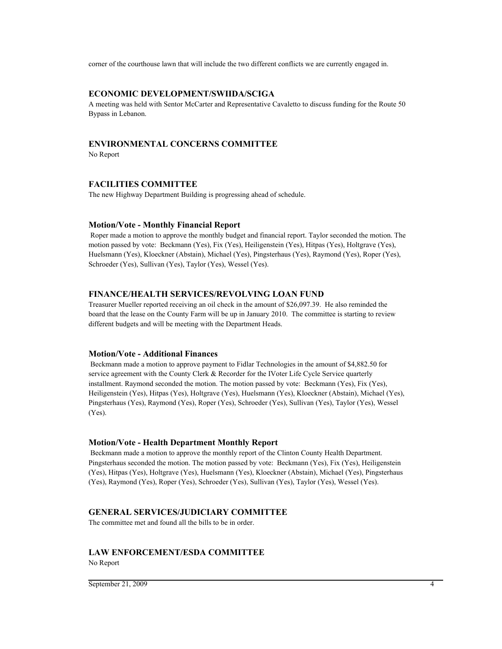corner of the courthouse lawn that will include the two different conflicts we are currently engaged in.

# **ECONOMIC DEVELOPMENT/SWIIDA/SCIGA**

A meeting was held with Sentor McCarter and Representative Cavaletto to discuss funding for the Route 50 Bypass in Lebanon.

# **ENVIRONMENTAL CONCERNS COMMITTEE**

No Report

# **FACILITIES COMMITTEE**

The new Highway Department Building is progressing ahead of schedule.

#### **Motion/Vote - Monthly Financial Report**

 Roper made a motion to approve the monthly budget and financial report. Taylor seconded the motion. The motion passed by vote: Beckmann (Yes), Fix (Yes), Heiligenstein (Yes), Hitpas (Yes), Holtgrave (Yes), Huelsmann (Yes), Kloeckner (Abstain), Michael (Yes), Pingsterhaus (Yes), Raymond (Yes), Roper (Yes), Schroeder (Yes), Sullivan (Yes), Taylor (Yes), Wessel (Yes).

#### **FINANCE/HEALTH SERVICES/REVOLVING LOAN FUND**

Treasurer Mueller reported receiving an oil check in the amount of \$26,097.39. He also reminded the board that the lease on the County Farm will be up in January 2010. The committee is starting to review different budgets and will be meeting with the Department Heads.

#### **Motion/Vote - Additional Finances**

 Beckmann made a motion to approve payment to Fidlar Technologies in the amount of \$4,882.50 for service agreement with the County Clerk & Recorder for the IVoter Life Cycle Service quarterly installment. Raymond seconded the motion. The motion passed by vote: Beckmann (Yes), Fix (Yes), Heiligenstein (Yes), Hitpas (Yes), Holtgrave (Yes), Huelsmann (Yes), Kloeckner (Abstain), Michael (Yes), Pingsterhaus (Yes), Raymond (Yes), Roper (Yes), Schroeder (Yes), Sullivan (Yes), Taylor (Yes), Wessel (Yes).

#### **Motion/Vote - Health Department Monthly Report**

 Beckmann made a motion to approve the monthly report of the Clinton County Health Department. Pingsterhaus seconded the motion. The motion passed by vote: Beckmann (Yes), Fix (Yes), Heiligenstein (Yes), Hitpas (Yes), Holtgrave (Yes), Huelsmann (Yes), Kloeckner (Abstain), Michael (Yes), Pingsterhaus (Yes), Raymond (Yes), Roper (Yes), Schroeder (Yes), Sullivan (Yes), Taylor (Yes), Wessel (Yes).

#### **GENERAL SERVICES/JUDICIARY COMMITTEE**

The committee met and found all the bills to be in order.

#### **LAW ENFORCEMENT/ESDA COMMITTEE**

No Report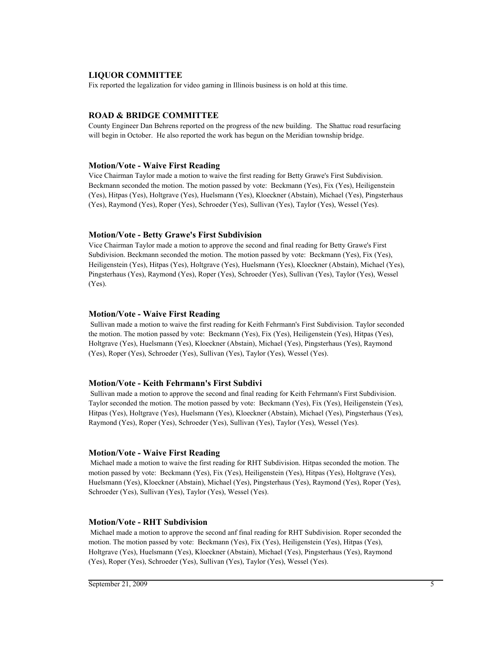# **LIQUOR COMMITTEE**

Fix reported the legalization for video gaming in Illinois business is on hold at this time.

# **ROAD & BRIDGE COMMITTEE**

County Engineer Dan Behrens reported on the progress of the new building. The Shattuc road resurfacing will begin in October. He also reported the work has begun on the Meridian township bridge.

#### **Motion/Vote - Waive First Reading**

Vice Chairman Taylor made a motion to waive the first reading for Betty Grawe's First Subdivision. Beckmann seconded the motion. The motion passed by vote: Beckmann (Yes), Fix (Yes), Heiligenstein (Yes), Hitpas (Yes), Holtgrave (Yes), Huelsmann (Yes), Kloeckner (Abstain), Michael (Yes), Pingsterhaus (Yes), Raymond (Yes), Roper (Yes), Schroeder (Yes), Sullivan (Yes), Taylor (Yes), Wessel (Yes).

# **Motion/Vote - Betty Grawe's First Subdivision**

Vice Chairman Taylor made a motion to approve the second and final reading for Betty Grawe's First Subdivision. Beckmann seconded the motion. The motion passed by vote: Beckmann (Yes), Fix (Yes), Heiligenstein (Yes), Hitpas (Yes), Holtgrave (Yes), Huelsmann (Yes), Kloeckner (Abstain), Michael (Yes), Pingsterhaus (Yes), Raymond (Yes), Roper (Yes), Schroeder (Yes), Sullivan (Yes), Taylor (Yes), Wessel (Yes).

#### **Motion/Vote - Waive First Reading**

 Sullivan made a motion to waive the first reading for Keith Fehrmann's First Subdivision. Taylor seconded the motion. The motion passed by vote: Beckmann (Yes), Fix (Yes), Heiligenstein (Yes), Hitpas (Yes), Holtgrave (Yes), Huelsmann (Yes), Kloeckner (Abstain), Michael (Yes), Pingsterhaus (Yes), Raymond (Yes), Roper (Yes), Schroeder (Yes), Sullivan (Yes), Taylor (Yes), Wessel (Yes).

# **Motion/Vote - Keith Fehrmann's First Subdivi**

 Sullivan made a motion to approve the second and final reading for Keith Fehrmann's First Subdivision. Taylor seconded the motion. The motion passed by vote: Beckmann (Yes), Fix (Yes), Heiligenstein (Yes), Hitpas (Yes), Holtgrave (Yes), Huelsmann (Yes), Kloeckner (Abstain), Michael (Yes), Pingsterhaus (Yes), Raymond (Yes), Roper (Yes), Schroeder (Yes), Sullivan (Yes), Taylor (Yes), Wessel (Yes).

#### **Motion/Vote - Waive First Reading**

 Michael made a motion to waive the first reading for RHT Subdivision. Hitpas seconded the motion. The motion passed by vote: Beckmann (Yes), Fix (Yes), Heiligenstein (Yes), Hitpas (Yes), Holtgrave (Yes), Huelsmann (Yes), Kloeckner (Abstain), Michael (Yes), Pingsterhaus (Yes), Raymond (Yes), Roper (Yes), Schroeder (Yes), Sullivan (Yes), Taylor (Yes), Wessel (Yes).

#### **Motion/Vote - RHT Subdivision**

 Michael made a motion to approve the second anf final reading for RHT Subdivision. Roper seconded the motion. The motion passed by vote: Beckmann (Yes), Fix (Yes), Heiligenstein (Yes), Hitpas (Yes), Holtgrave (Yes), Huelsmann (Yes), Kloeckner (Abstain), Michael (Yes), Pingsterhaus (Yes), Raymond (Yes), Roper (Yes), Schroeder (Yes), Sullivan (Yes), Taylor (Yes), Wessel (Yes).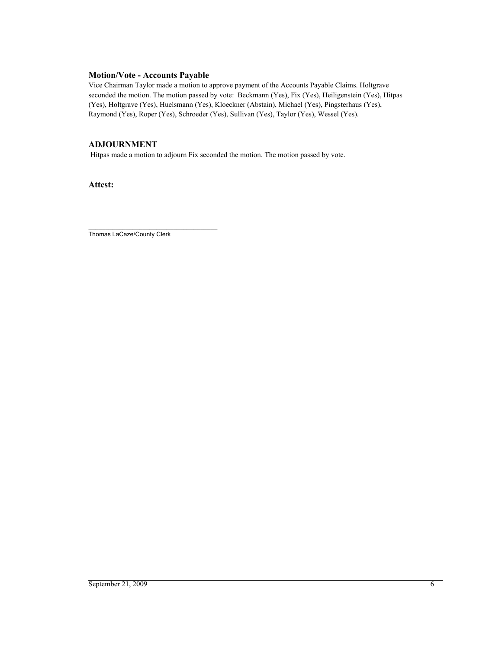# **Motion/Vote - Accounts Payable**

Vice Chairman Taylor made a motion to approve payment of the Accounts Payable Claims. Holtgrave seconded the motion. The motion passed by vote: Beckmann (Yes), Fix (Yes), Heiligenstein (Yes), Hitpas (Yes), Holtgrave (Yes), Huelsmann (Yes), Kloeckner (Abstain), Michael (Yes), Pingsterhaus (Yes), Raymond (Yes), Roper (Yes), Schroeder (Yes), Sullivan (Yes), Taylor (Yes), Wessel (Yes).

# **ADJOURNMENT**

Hitpas made a motion to adjourn Fix seconded the motion. The motion passed by vote.

**Attest:**

\_\_\_\_\_\_\_\_\_\_\_\_\_\_\_\_\_\_\_\_\_\_\_\_\_\_\_\_\_\_\_\_\_\_\_\_\_\_ Thomas LaCaze/County Clerk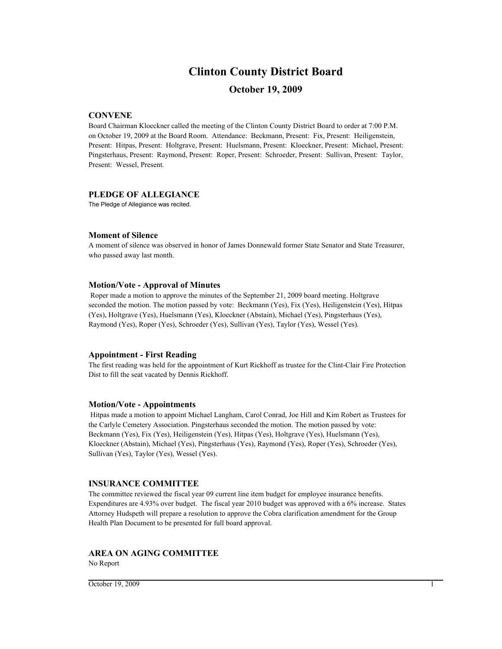# **Clinton County District Board**

# **October 19, 2009**

# **CONVENE**

Board Chairman Kloeckner called the meeting of the Clinton County District Board to order at 7:00 P.M. on October 19, 2009 at the Board Room. Attendance: Beckmann, Present: Fix, Present: Heiligenstein, Present: Hitpas, Present: Holtgrave, Present: Huelsmann, Present: Kloeckner, Present: Michael, Present: Pingsterhaus, Present: Raymond, Present: Roper, Present: Schroeder, Present: Sullivan, Present: Taylor, Present: Wessel, Present.

#### **PLEDGE OF ALLEGIANCE**

The Pledge of Allegiance was recited.

#### **Moment of Silence**

A moment of silence was observed in honor of James Donnewald former State Senator and State Treasurer, who passed away last month.

#### **Motion/Vote - Approval of Minutes**

 Roper made a motion to approve the minutes of the September 21, 2009 board meeting. Holtgrave seconded the motion. The motion passed by vote: Beckmann (Yes), Fix (Yes), Heiligenstein (Yes), Hitpas (Yes), Holtgrave (Yes), Huelsmann (Yes), Kloeckner (Abstain), Michael (Yes), Pingsterhaus (Yes), Raymond (Yes), Roper (Yes), Schroeder (Yes), Sullivan (Yes), Taylor (Yes), Wessel (Yes).

# **Appointment - First Reading**

The first reading was held for the appointment of Kurt Rickhoff as trustee for the Clint-Clair Fire Protection Dist to fill the seat vacated by Dennis Rickhoff.

# **Motion/Vote - Appointments**

 Hitpas made a motion to appoint Michael Langham, Carol Conrad, Joe Hill and Kim Robert as Trustees for the Carlyle Cemetery Association. Pingsterhaus seconded the motion. The motion passed by vote: Beckmann (Yes), Fix (Yes), Heiligenstein (Yes), Hitpas (Yes), Holtgrave (Yes), Huelsmann (Yes), Kloeckner (Abstain), Michael (Yes), Pingsterhaus (Yes), Raymond (Yes), Roper (Yes), Schroeder (Yes), Sullivan (Yes), Taylor (Yes), Wessel (Yes).

# **INSURANCE COMMITTEE**

The committee reviewed the fiscal year 09 current line item budget for employee insurance benefits. Expenditures are 4.93% over budget. The fiscal year 2010 budget was approved with a 6% increase. States Attorney Hudspeth will prepare a resolution to approve the Cobra clarification amendment for the Group Health Plan Document to be presented for full board approval.

# **AREA ON AGING COMMITTEE**

No Report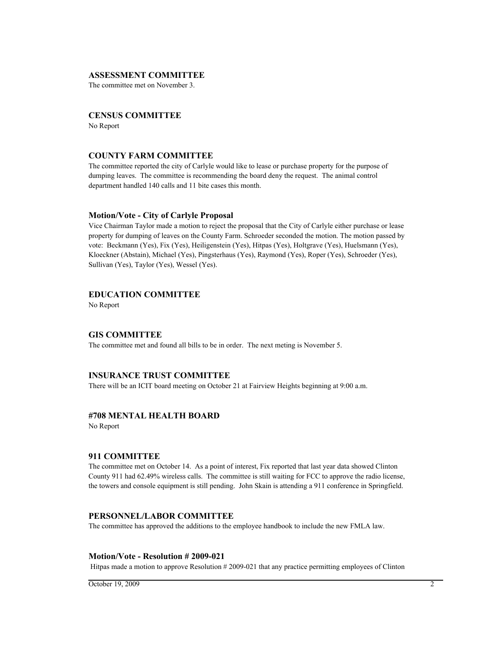#### **ASSESSMENT COMMITTEE**

The committee met on November 3.

#### **CENSUS COMMITTEE**

No Report

#### **COUNTY FARM COMMITTEE**

The committee reported the city of Carlyle would like to lease or purchase property for the purpose of dumping leaves. The committee is recommending the board deny the request. The animal control department handled 140 calls and 11 bite cases this month.

#### **Motion/Vote - City of Carlyle Proposal**

Vice Chairman Taylor made a motion to reject the proposal that the City of Carlyle either purchase or lease property for dumping of leaves on the County Farm. Schroeder seconded the motion. The motion passed by vote: Beckmann (Yes), Fix (Yes), Heiligenstein (Yes), Hitpas (Yes), Holtgrave (Yes), Huelsmann (Yes), Kloeckner (Abstain), Michael (Yes), Pingsterhaus (Yes), Raymond (Yes), Roper (Yes), Schroeder (Yes), Sullivan (Yes), Taylor (Yes), Wessel (Yes).

#### **EDUCATION COMMITTEE**

No Report

#### **GIS COMMITTEE**

The committee met and found all bills to be in order. The next meting is November 5.

#### **INSURANCE TRUST COMMITTEE**

There will be an ICIT board meeting on October 21 at Fairview Heights beginning at 9:00 a.m.

#### **#708 MENTAL HEALTH BOARD**

No Report

#### **911 COMMITTEE**

The committee met on October 14. As a point of interest, Fix reported that last year data showed Clinton County 911 had 62.49% wireless calls. The committee is still waiting for FCC to approve the radio license, the towers and console equipment is still pending. John Skain is attending a 911 conference in Springfield.

#### **PERSONNEL/LABOR COMMITTEE**

The committee has approved the additions to the employee handbook to include the new FMLA law.

#### **Motion/Vote - Resolution # 2009-021**

Hitpas made a motion to approve Resolution # 2009-021 that any practice permitting employees of Clinton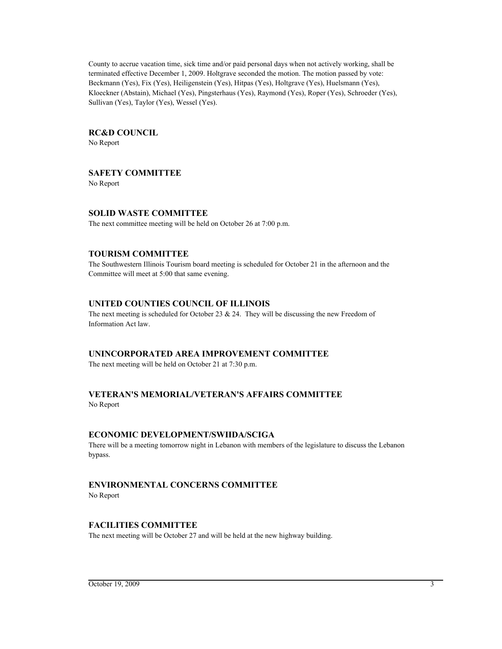County to accrue vacation time, sick time and/or paid personal days when not actively working, shall be terminated effective December 1, 2009. Holtgrave seconded the motion. The motion passed by vote: Beckmann (Yes), Fix (Yes), Heiligenstein (Yes), Hitpas (Yes), Holtgrave (Yes), Huelsmann (Yes), Kloeckner (Abstain), Michael (Yes), Pingsterhaus (Yes), Raymond (Yes), Roper (Yes), Schroeder (Yes), Sullivan (Yes), Taylor (Yes), Wessel (Yes).

#### **RC&D COUNCIL**

No Report

# **SAFETY COMMITTEE**

No Report

# **SOLID WASTE COMMITTEE**

The next committee meeting will be held on October 26 at 7:00 p.m.

# **TOURISM COMMITTEE**

The Southwestern Illinois Tourism board meeting is scheduled for October 21 in the afternoon and the Committee will meet at 5:00 that same evening.

# **UNITED COUNTIES COUNCIL OF ILLINOIS**

The next meeting is scheduled for October 23 & 24. They will be discussing the new Freedom of Information Act law.

#### **UNINCORPORATED AREA IMPROVEMENT COMMITTEE**

The next meeting will be held on October 21 at 7:30 p.m.

#### **VETERAN'S MEMORIAL/VETERAN'S AFFAIRS COMMITTEE** No Report

#### **ECONOMIC DEVELOPMENT/SWIIDA/SCIGA**

There will be a meeting tomorrow night in Lebanon with members of the legislature to discuss the Lebanon bypass.

# **ENVIRONMENTAL CONCERNS COMMITTEE**

No Report

# **FACILITIES COMMITTEE**

The next meeting will be October 27 and will be held at the new highway building.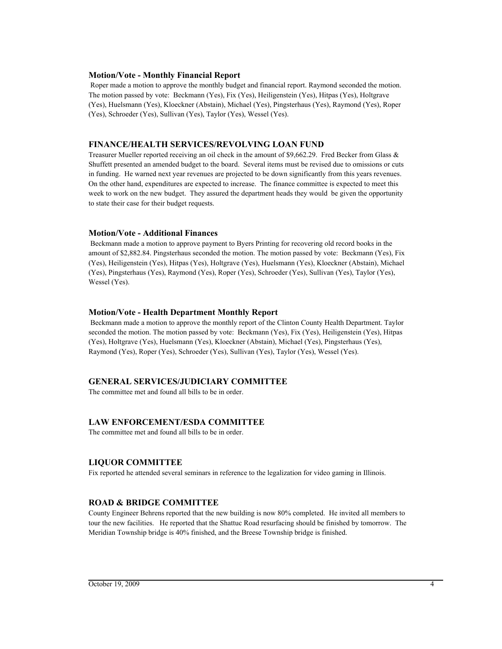#### **Motion/Vote - Monthly Financial Report**

 Roper made a motion to approve the monthly budget and financial report. Raymond seconded the motion. The motion passed by vote: Beckmann (Yes), Fix (Yes), Heiligenstein (Yes), Hitpas (Yes), Holtgrave (Yes), Huelsmann (Yes), Kloeckner (Abstain), Michael (Yes), Pingsterhaus (Yes), Raymond (Yes), Roper (Yes), Schroeder (Yes), Sullivan (Yes), Taylor (Yes), Wessel (Yes).

# **FINANCE/HEALTH SERVICES/REVOLVING LOAN FUND**

Treasurer Mueller reported receiving an oil check in the amount of \$9,662.29. Fred Becker from Glass & Shuffett presented an amended budget to the board. Several items must be revised due to omissions or cuts in funding. He warned next year revenues are projected to be down significantly from this years revenues. On the other hand, expenditures are expected to increase. The finance committee is expected to meet this week to work on the new budget. They assured the department heads they would be given the opportunity to state their case for their budget requests.

#### **Motion/Vote - Additional Finances**

 Beckmann made a motion to approve payment to Byers Printing for recovering old record books in the amount of \$2,882.84. Pingsterhaus seconded the motion. The motion passed by vote: Beckmann (Yes), Fix (Yes), Heiligenstein (Yes), Hitpas (Yes), Holtgrave (Yes), Huelsmann (Yes), Kloeckner (Abstain), Michael (Yes), Pingsterhaus (Yes), Raymond (Yes), Roper (Yes), Schroeder (Yes), Sullivan (Yes), Taylor (Yes), Wessel (Yes).

#### **Motion/Vote - Health Department Monthly Report**

 Beckmann made a motion to approve the monthly report of the Clinton County Health Department. Taylor seconded the motion. The motion passed by vote: Beckmann (Yes), Fix (Yes), Heiligenstein (Yes), Hitpas (Yes), Holtgrave (Yes), Huelsmann (Yes), Kloeckner (Abstain), Michael (Yes), Pingsterhaus (Yes), Raymond (Yes), Roper (Yes), Schroeder (Yes), Sullivan (Yes), Taylor (Yes), Wessel (Yes).

# **GENERAL SERVICES/JUDICIARY COMMITTEE**

The committee met and found all bills to be in order.

# **LAW ENFORCEMENT/ESDA COMMITTEE**

The committee met and found all bills to be in order.

# **LIQUOR COMMITTEE**

Fix reported he attended several seminars in reference to the legalization for video gaming in Illinois.

# **ROAD & BRIDGE COMMITTEE**

County Engineer Behrens reported that the new building is now 80% completed. He invited all members to tour the new facilities. He reported that the Shattuc Road resurfacing should be finished by tomorrow. The Meridian Township bridge is 40% finished, and the Breese Township bridge is finished.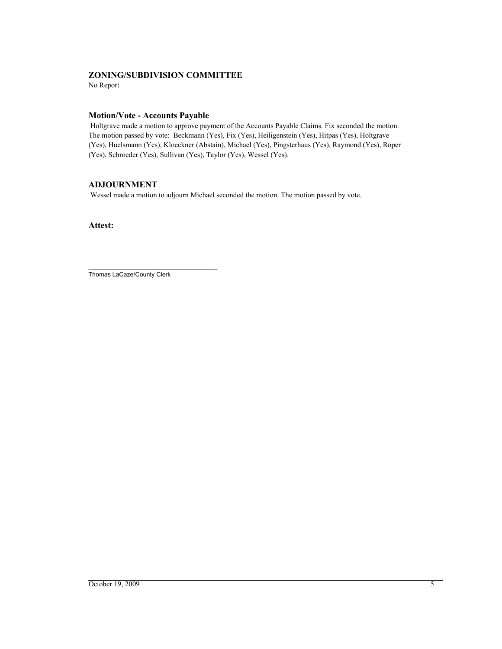# **ZONING/SUBDIVISION COMMITTEE**

No Report

# **Motion/Vote - Accounts Payable**

 Holtgrave made a motion to approve payment of the Accounts Payable Claims. Fix seconded the motion. The motion passed by vote: Beckmann (Yes), Fix (Yes), Heiligenstein (Yes), Hitpas (Yes), Holtgrave (Yes), Huelsmann (Yes), Kloeckner (Abstain), Michael (Yes), Pingsterhaus (Yes), Raymond (Yes), Roper (Yes), Schroeder (Yes), Sullivan (Yes), Taylor (Yes), Wessel (Yes).

# **ADJOURNMENT**

Wessel made a motion to adjourn Michael seconded the motion. The motion passed by vote.

**Attest:**

\_\_\_\_\_\_\_\_\_\_\_\_\_\_\_\_\_\_\_\_\_\_\_\_\_\_\_\_\_\_\_\_\_\_\_\_\_\_ Thomas LaCaze/County Clerk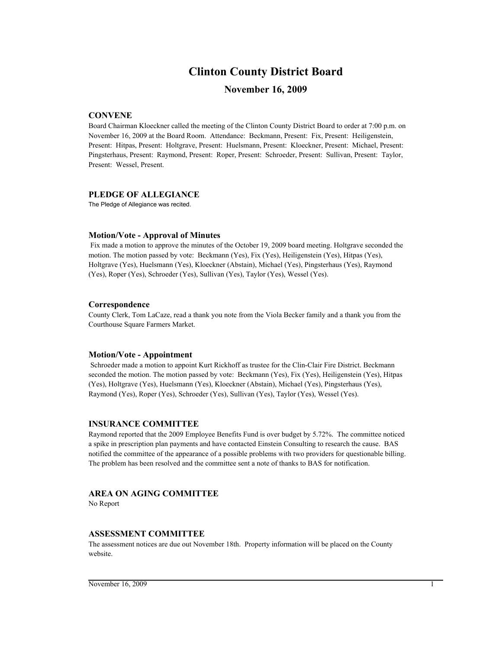# **Clinton County District Board**

# **November 16, 2009**

# **CONVENE**

Board Chairman Kloeckner called the meeting of the Clinton County District Board to order at 7:00 p.m. on November 16, 2009 at the Board Room. Attendance: Beckmann, Present: Fix, Present: Heiligenstein, Present: Hitpas, Present: Holtgrave, Present: Huelsmann, Present: Kloeckner, Present: Michael, Present: Pingsterhaus, Present: Raymond, Present: Roper, Present: Schroeder, Present: Sullivan, Present: Taylor, Present: Wessel, Present.

#### **PLEDGE OF ALLEGIANCE**

The Pledge of Allegiance was recited.

#### **Motion/Vote - Approval of Minutes**

 Fix made a motion to approve the minutes of the October 19, 2009 board meeting. Holtgrave seconded the motion. The motion passed by vote: Beckmann (Yes), Fix (Yes), Heiligenstein (Yes), Hitpas (Yes), Holtgrave (Yes), Huelsmann (Yes), Kloeckner (Abstain), Michael (Yes), Pingsterhaus (Yes), Raymond (Yes), Roper (Yes), Schroeder (Yes), Sullivan (Yes), Taylor (Yes), Wessel (Yes).

#### **Correspondence**

County Clerk, Tom LaCaze, read a thank you note from the Viola Becker family and a thank you from the Courthouse Square Farmers Market.

#### **Motion/Vote - Appointment**

 Schroeder made a motion to appoint Kurt Rickhoff as trustee for the Clin-Clair Fire District. Beckmann seconded the motion. The motion passed by vote: Beckmann (Yes), Fix (Yes), Heiligenstein (Yes), Hitpas (Yes), Holtgrave (Yes), Huelsmann (Yes), Kloeckner (Abstain), Michael (Yes), Pingsterhaus (Yes), Raymond (Yes), Roper (Yes), Schroeder (Yes), Sullivan (Yes), Taylor (Yes), Wessel (Yes).

#### **INSURANCE COMMITTEE**

Raymond reported that the 2009 Employee Benefits Fund is over budget by 5.72%. The committee noticed a spike in prescription plan payments and have contacted Einstein Consulting to research the cause. BAS notified the committee of the appearance of a possible problems with two providers for questionable billing. The problem has been resolved and the committee sent a note of thanks to BAS for notification.

# **AREA ON AGING COMMITTEE**

No Report

#### **ASSESSMENT COMMITTEE**

The assessment notices are due out November 18th. Property information will be placed on the County website.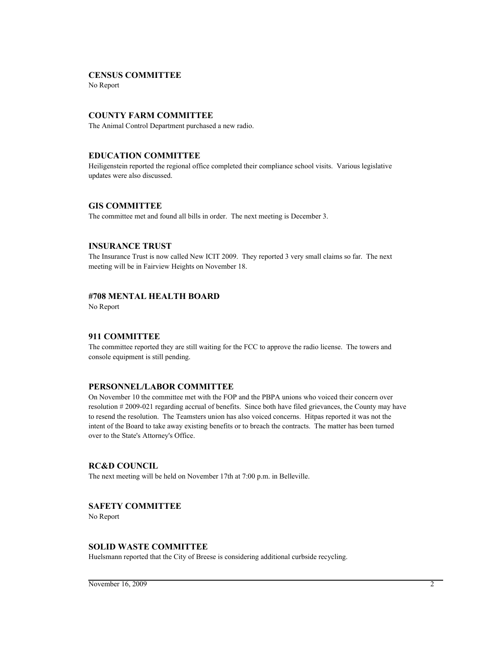#### **CENSUS COMMITTEE**

No Report

# **COUNTY FARM COMMITTEE**

The Animal Control Department purchased a new radio.

# **EDUCATION COMMITTEE**

Heiligenstein reported the regional office completed their compliance school visits. Various legislative updates were also discussed.

#### **GIS COMMITTEE**

The committee met and found all bills in order. The next meeting is December 3.

#### **INSURANCE TRUST**

The Insurance Trust is now called New ICIT 2009. They reported 3 very small claims so far. The next meeting will be in Fairview Heights on November 18.

# **#708 MENTAL HEALTH BOARD**

No Report

#### **911 COMMITTEE**

The committee reported they are still waiting for the FCC to approve the radio license. The towers and console equipment is still pending.

#### **PERSONNEL/LABOR COMMITTEE**

On November 10 the committee met with the FOP and the PBPA unions who voiced their concern over resolution # 2009-021 regarding accrual of benefits. Since both have filed grievances, the County may have to resend the resolution. The Teamsters union has also voiced concerns. Hitpas reported it was not the intent of the Board to take away existing benefits or to breach the contracts. The matter has been turned over to the State's Attorney's Office.

# **RC&D COUNCIL**

The next meeting will be held on November 17th at 7:00 p.m. in Belleville.

# **SAFETY COMMITTEE**

No Report

# **SOLID WASTE COMMITTEE**

Huelsmann reported that the City of Breese is considering additional curbside recycling.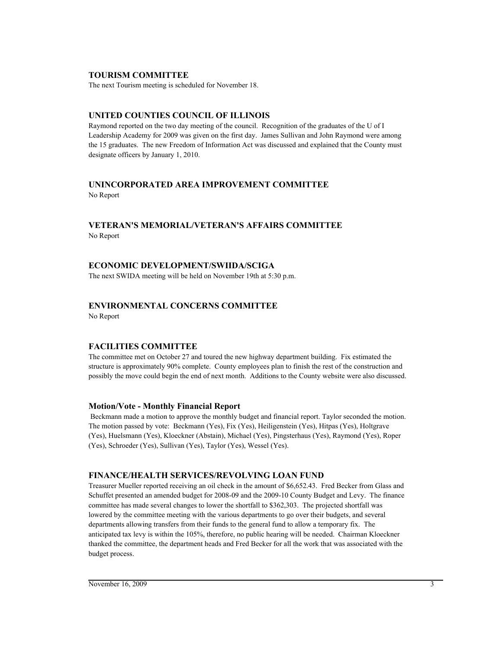# **TOURISM COMMITTEE**

The next Tourism meeting is scheduled for November 18.

# **UNITED COUNTIES COUNCIL OF ILLINOIS**

Raymond reported on the two day meeting of the council. Recognition of the graduates of the U of I Leadership Academy for 2009 was given on the first day. James Sullivan and John Raymond were among the 15 graduates. The new Freedom of Information Act was discussed and explained that the County must designate officers by January 1, 2010.

# **UNINCORPORATED AREA IMPROVEMENT COMMITTEE**

No Report

# **VETERAN'S MEMORIAL/VETERAN'S AFFAIRS COMMITTEE** No Report

# **ECONOMIC DEVELOPMENT/SWIIDA/SCIGA**

The next SWIDA meeting will be held on November 19th at 5:30 p.m.

# **ENVIRONMENTAL CONCERNS COMMITTEE**

No Report

# **FACILITIES COMMITTEE**

The committee met on October 27 and toured the new highway department building. Fix estimated the structure is approximately 90% complete. County employees plan to finish the rest of the construction and possibly the move could begin the end of next month. Additions to the County website were also discussed.

# **Motion/Vote - Monthly Financial Report**

 Beckmann made a motion to approve the monthly budget and financial report. Taylor seconded the motion. The motion passed by vote: Beckmann (Yes), Fix (Yes), Heiligenstein (Yes), Hitpas (Yes), Holtgrave (Yes), Huelsmann (Yes), Kloeckner (Abstain), Michael (Yes), Pingsterhaus (Yes), Raymond (Yes), Roper (Yes), Schroeder (Yes), Sullivan (Yes), Taylor (Yes), Wessel (Yes).

# **FINANCE/HEALTH SERVICES/REVOLVING LOAN FUND**

Treasurer Mueller reported receiving an oil check in the amount of \$6,652.43. Fred Becker from Glass and Schuffet presented an amended budget for 2008-09 and the 2009-10 County Budget and Levy. The finance committee has made several changes to lower the shortfall to \$362,303. The projected shortfall was lowered by the committee meeting with the various departments to go over their budgets, and several departments allowing transfers from their funds to the general fund to allow a temporary fix. The anticipated tax levy is within the 105%, therefore, no public hearing will be needed. Chairman Kloeckner thanked the committee, the department heads and Fred Becker for all the work that was associated with the budget process.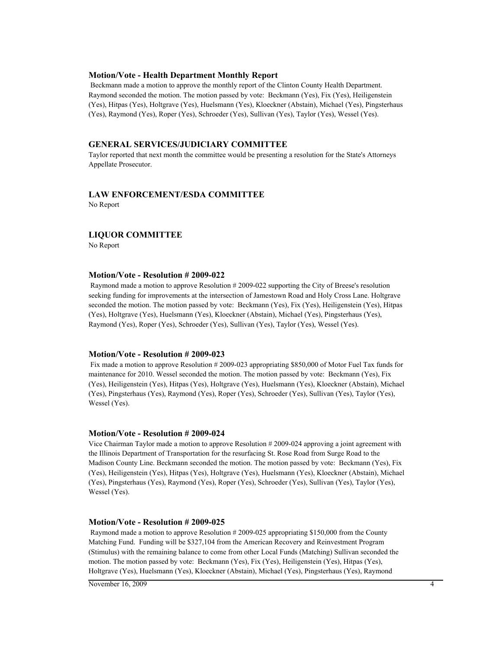#### **Motion/Vote - Health Department Monthly Report**

 Beckmann made a motion to approve the monthly report of the Clinton County Health Department. Raymond seconded the motion. The motion passed by vote: Beckmann (Yes), Fix (Yes), Heiligenstein (Yes), Hitpas (Yes), Holtgrave (Yes), Huelsmann (Yes), Kloeckner (Abstain), Michael (Yes), Pingsterhaus (Yes), Raymond (Yes), Roper (Yes), Schroeder (Yes), Sullivan (Yes), Taylor (Yes), Wessel (Yes).

# **GENERAL SERVICES/JUDICIARY COMMITTEE**

Taylor reported that next month the committee would be presenting a resolution for the State's Attorneys Appellate Prosecutor.

# **LAW ENFORCEMENT/ESDA COMMITTEE**

No Report

# **LIQUOR COMMITTEE**

No Report

#### **Motion/Vote - Resolution # 2009-022**

 Raymond made a motion to approve Resolution # 2009-022 supporting the City of Breese's resolution seeking funding for improvements at the intersection of Jamestown Road and Holy Cross Lane. Holtgrave seconded the motion. The motion passed by vote: Beckmann (Yes), Fix (Yes), Heiligenstein (Yes), Hitpas (Yes), Holtgrave (Yes), Huelsmann (Yes), Kloeckner (Abstain), Michael (Yes), Pingsterhaus (Yes), Raymond (Yes), Roper (Yes), Schroeder (Yes), Sullivan (Yes), Taylor (Yes), Wessel (Yes).

#### **Motion/Vote - Resolution # 2009-023**

 Fix made a motion to approve Resolution # 2009-023 appropriating \$850,000 of Motor Fuel Tax funds for maintenance for 2010. Wessel seconded the motion. The motion passed by vote: Beckmann (Yes), Fix (Yes), Heiligenstein (Yes), Hitpas (Yes), Holtgrave (Yes), Huelsmann (Yes), Kloeckner (Abstain), Michael (Yes), Pingsterhaus (Yes), Raymond (Yes), Roper (Yes), Schroeder (Yes), Sullivan (Yes), Taylor (Yes), Wessel (Yes).

#### **Motion/Vote - Resolution # 2009-024**

Vice Chairman Taylor made a motion to approve Resolution # 2009-024 approving a joint agreement with the Illinois Department of Transportation for the resurfacing St. Rose Road from Surge Road to the Madison County Line. Beckmann seconded the motion. The motion passed by vote: Beckmann (Yes), Fix (Yes), Heiligenstein (Yes), Hitpas (Yes), Holtgrave (Yes), Huelsmann (Yes), Kloeckner (Abstain), Michael (Yes), Pingsterhaus (Yes), Raymond (Yes), Roper (Yes), Schroeder (Yes), Sullivan (Yes), Taylor (Yes), Wessel (Yes).

#### **Motion/Vote - Resolution # 2009-025**

 Raymond made a motion to approve Resolution # 2009-025 appropriating \$150,000 from the County Matching Fund. Funding will be \$327,104 from the American Recovery and Reinvestment Program (Stimulus) with the remaining balance to come from other Local Funds (Matching) Sullivan seconded the motion. The motion passed by vote: Beckmann (Yes), Fix (Yes), Heiligenstein (Yes), Hitpas (Yes), Holtgrave (Yes), Huelsmann (Yes), Kloeckner (Abstain), Michael (Yes), Pingsterhaus (Yes), Raymond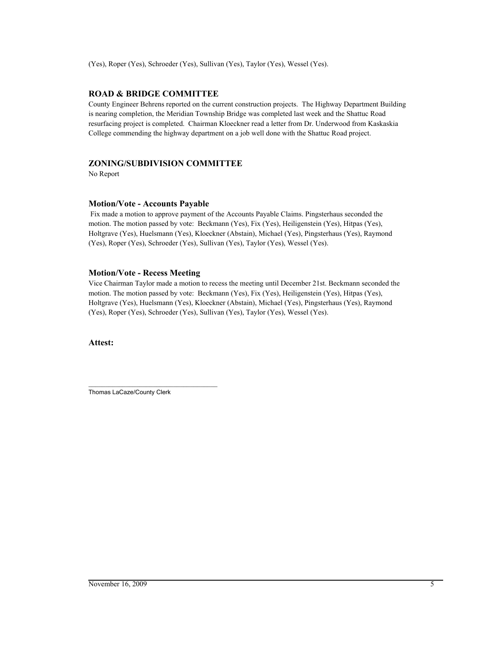# **ROAD & BRIDGE COMMITTEE**

County Engineer Behrens reported on the current construction projects. The Highway Department Building is nearing completion, the Meridian Township Bridge was completed last week and the Shattuc Road resurfacing project is completed. Chairman Kloeckner read a letter from Dr. Underwood from Kaskaskia College commending the highway department on a job well done with the Shattuc Road project.

# **ZONING/SUBDIVISION COMMITTEE**

No Report

#### **Motion/Vote - Accounts Payable**

 Fix made a motion to approve payment of the Accounts Payable Claims. Pingsterhaus seconded the motion. The motion passed by vote: Beckmann (Yes), Fix (Yes), Heiligenstein (Yes), Hitpas (Yes), Holtgrave (Yes), Huelsmann (Yes), Kloeckner (Abstain), Michael (Yes), Pingsterhaus (Yes), Raymond (Yes), Roper (Yes), Schroeder (Yes), Sullivan (Yes), Taylor (Yes), Wessel (Yes).

# **Motion/Vote - Recess Meeting**

Vice Chairman Taylor made a motion to recess the meeting until December 21st. Beckmann seconded the motion. The motion passed by vote: Beckmann (Yes), Fix (Yes), Heiligenstein (Yes), Hitpas (Yes), Holtgrave (Yes), Huelsmann (Yes), Kloeckner (Abstain), Michael (Yes), Pingsterhaus (Yes), Raymond (Yes), Roper (Yes), Schroeder (Yes), Sullivan (Yes), Taylor (Yes), Wessel (Yes).

**Attest:**

\_\_\_\_\_\_\_\_\_\_\_\_\_\_\_\_\_\_\_\_\_\_\_\_\_\_\_\_\_\_\_\_\_\_\_\_\_\_ Thomas LaCaze/County Clerk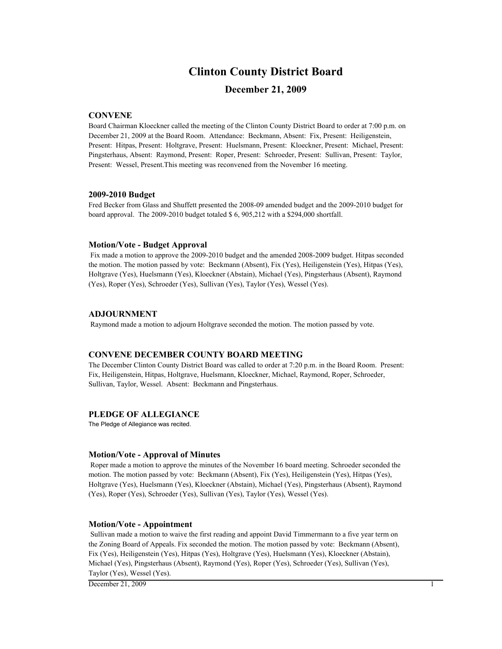# **Clinton County District Board**

# **December 21, 2009**

#### **CONVENE**

Board Chairman Kloeckner called the meeting of the Clinton County District Board to order at 7:00 p.m. on December 21, 2009 at the Board Room. Attendance: Beckmann, Absent: Fix, Present: Heiligenstein, Present: Hitpas, Present: Holtgrave, Present: Huelsmann, Present: Kloeckner, Present: Michael, Present: Pingsterhaus, Absent: Raymond, Present: Roper, Present: Schroeder, Present: Sullivan, Present: Taylor, Present: Wessel, Present.This meeting was reconvened from the November 16 meeting.

#### **2009-2010 Budget**

Fred Becker from Glass and Shuffett presented the 2008-09 amended budget and the 2009-2010 budget for board approval. The 2009-2010 budget totaled \$ 6, 905,212 with a \$294,000 shortfall.

#### **Motion/Vote - Budget Approval**

 Fix made a motion to approve the 2009-2010 budget and the amended 2008-2009 budget. Hitpas seconded the motion. The motion passed by vote: Beckmann (Absent), Fix (Yes), Heiligenstein (Yes), Hitpas (Yes), Holtgrave (Yes), Huelsmann (Yes), Kloeckner (Abstain), Michael (Yes), Pingsterhaus (Absent), Raymond (Yes), Roper (Yes), Schroeder (Yes), Sullivan (Yes), Taylor (Yes), Wessel (Yes).

#### **ADJOURNMENT**

Raymond made a motion to adjourn Holtgrave seconded the motion. The motion passed by vote.

#### **CONVENE DECEMBER COUNTY BOARD MEETING**

The December Clinton County District Board was called to order at 7:20 p.m. in the Board Room. Present: Fix, Heiligenstein, Hitpas, Holtgrave, Huelsmann, Kloeckner, Michael, Raymond, Roper, Schroeder, Sullivan, Taylor, Wessel. Absent: Beckmann and Pingsterhaus.

#### **PLEDGE OF ALLEGIANCE**

The Pledge of Allegiance was recited.

#### **Motion/Vote - Approval of Minutes**

 Roper made a motion to approve the minutes of the November 16 board meeting. Schroeder seconded the motion. The motion passed by vote: Beckmann (Absent), Fix (Yes), Heiligenstein (Yes), Hitpas (Yes), Holtgrave (Yes), Huelsmann (Yes), Kloeckner (Abstain), Michael (Yes), Pingsterhaus (Absent), Raymond (Yes), Roper (Yes), Schroeder (Yes), Sullivan (Yes), Taylor (Yes), Wessel (Yes).

#### **Motion/Vote - Appointment**

 Sullivan made a motion to waive the first reading and appoint David Timmermann to a five year term on the Zoning Board of Appeals. Fix seconded the motion. The motion passed by vote: Beckmann (Absent), Fix (Yes), Heiligenstein (Yes), Hitpas (Yes), Holtgrave (Yes), Huelsmann (Yes), Kloeckner (Abstain), Michael (Yes), Pingsterhaus (Absent), Raymond (Yes), Roper (Yes), Schroeder (Yes), Sullivan (Yes), Taylor (Yes), Wessel (Yes).

 $D$  December 21, 2009 1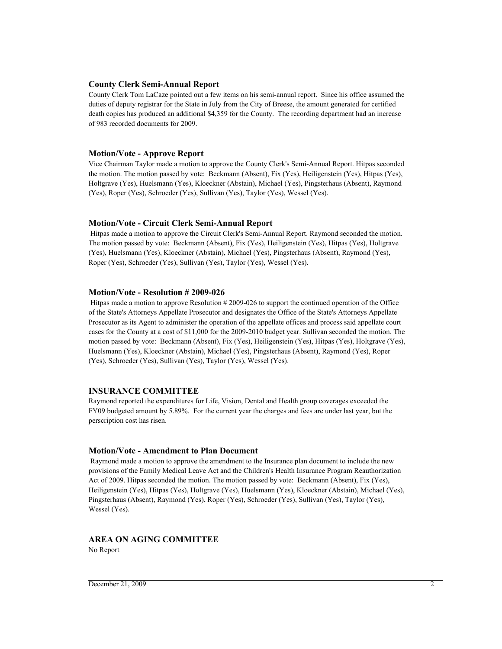## **County Clerk Semi-Annual Report**

County Clerk Tom LaCaze pointed out a few items on his semi-annual report. Since his office assumed the duties of deputy registrar for the State in July from the City of Breese, the amount generated for certified death copies has produced an additional \$4,359 for the County. The recording department had an increase of 983 recorded documents for 2009.

#### **Motion/Vote - Approve Report**

Vice Chairman Taylor made a motion to approve the County Clerk's Semi-Annual Report. Hitpas seconded the motion. The motion passed by vote: Beckmann (Absent), Fix (Yes), Heiligenstein (Yes), Hitpas (Yes), Holtgrave (Yes), Huelsmann (Yes), Kloeckner (Abstain), Michael (Yes), Pingsterhaus (Absent), Raymond (Yes), Roper (Yes), Schroeder (Yes), Sullivan (Yes), Taylor (Yes), Wessel (Yes).

#### **Motion/Vote - Circuit Clerk Semi-Annual Report**

 Hitpas made a motion to approve the Circuit Clerk's Semi-Annual Report. Raymond seconded the motion. The motion passed by vote: Beckmann (Absent), Fix (Yes), Heiligenstein (Yes), Hitpas (Yes), Holtgrave (Yes), Huelsmann (Yes), Kloeckner (Abstain), Michael (Yes), Pingsterhaus (Absent), Raymond (Yes), Roper (Yes), Schroeder (Yes), Sullivan (Yes), Taylor (Yes), Wessel (Yes).

#### **Motion/Vote - Resolution # 2009-026**

 Hitpas made a motion to approve Resolution # 2009-026 to support the continued operation of the Office of the State's Attorneys Appellate Prosecutor and designates the Office of the State's Attorneys Appellate Prosecutor as its Agent to administer the operation of the appellate offices and process said appellate court cases for the County at a cost of \$11,000 for the 2009-2010 budget year. Sullivan seconded the motion. The motion passed by vote: Beckmann (Absent), Fix (Yes), Heiligenstein (Yes), Hitpas (Yes), Holtgrave (Yes), Huelsmann (Yes), Kloeckner (Abstain), Michael (Yes), Pingsterhaus (Absent), Raymond (Yes), Roper (Yes), Schroeder (Yes), Sullivan (Yes), Taylor (Yes), Wessel (Yes).

#### **INSURANCE COMMITTEE**

Raymond reported the expenditures for Life, Vision, Dental and Health group coverages exceeded the FY09 budgeted amount by 5.89%. For the current year the charges and fees are under last year, but the perscription cost has risen.

## **Motion/Vote - Amendment to Plan Document**

 Raymond made a motion to approve the amendment to the Insurance plan document to include the new provisions of the Family Medical Leave Act and the Children's Health Insurance Program Reauthorization Act of 2009. Hitpas seconded the motion. The motion passed by vote: Beckmann (Absent), Fix (Yes), Heiligenstein (Yes), Hitpas (Yes), Holtgrave (Yes), Huelsmann (Yes), Kloeckner (Abstain), Michael (Yes), Pingsterhaus (Absent), Raymond (Yes), Roper (Yes), Schroeder (Yes), Sullivan (Yes), Taylor (Yes), Wessel (Yes).

# **AREA ON AGING COMMITTEE**

No Report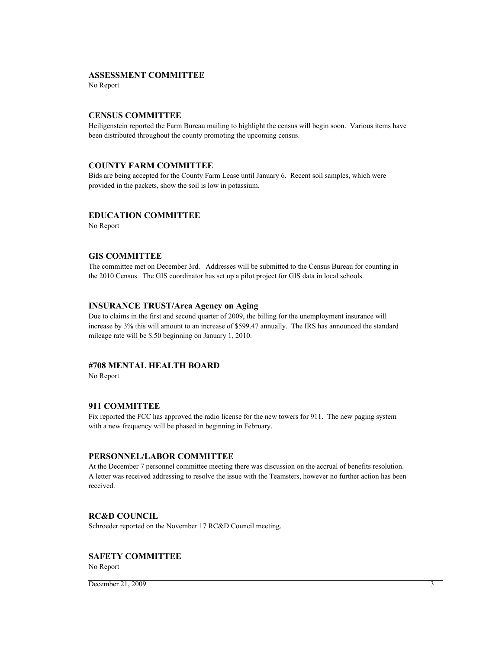## **ASSESSMENT COMMITTEE**

No Report

## **CENSUS COMMITTEE**

Heiligenstein reported the Farm Bureau mailing to highlight the census will begin soon. Various items have been distributed throughout the county promoting the upcoming census.

#### **COUNTY FARM COMMITTEE**

Bids are being accepted for the County Farm Lease until January 6. Recent soil samples, which were provided in the packets, show the soil is low in potassium.

#### **EDUCATION COMMITTEE**

No Report

#### **GIS COMMITTEE**

The committee met on December 3rd. Addresses will be submitted to the Census Bureau for counting in the 2010 Census. The GIS coordinator has set up a pilot project for GIS data in local schools.

## **INSURANCE TRUST/Area Agency on Aging**

Due to claims in the first and second quarter of 2009, the billing for the unemployment insurance will increase by 3% this will amount to an increase of \$599.47 annually. The IRS has announced the standard mileage rate will be \$.50 beginning on January 1, 2010.

# **#708 MENTAL HEALTH BOARD**

No Report

### **911 COMMITTEE**

Fix reported the FCC has approved the radio license for the new towers for 911. The new paging system with a new frequency will be phased in beginning in February.

#### **PERSONNEL/LABOR COMMITTEE**

At the December 7 personnel committee meeting there was discussion on the accrual of benefits resolution. A letter was received addressing to resolve the issue with the Teamsters, however no further action has been received.

#### **RC&D COUNCIL**

Schroeder reported on the November 17 RC&D Council meeting.

## **SAFETY COMMITTEE**

No Report

 $December 21, 2009$  3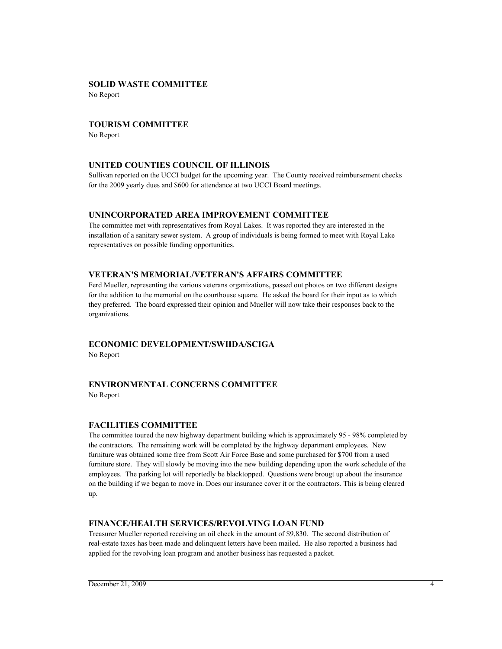# **SOLID WASTE COMMITTEE**

No Report

# **TOURISM COMMITTEE**

No Report

# **UNITED COUNTIES COUNCIL OF ILLINOIS**

Sullivan reported on the UCCI budget for the upcoming year. The County received reimbursement checks for the 2009 yearly dues and \$600 for attendance at two UCCI Board meetings.

# **UNINCORPORATED AREA IMPROVEMENT COMMITTEE**

The committee met with representatives from Royal Lakes. It was reported they are interested in the installation of a sanitary sewer system. A group of individuals is being formed to meet with Royal Lake representatives on possible funding opportunities.

# **VETERAN'S MEMORIAL/VETERAN'S AFFAIRS COMMITTEE**

Ferd Mueller, representing the various veterans organizations, passed out photos on two different designs for the addition to the memorial on the courthouse square. He asked the board for their input as to which they preferred. The board expressed their opinion and Mueller will now take their responses back to the organizations.

# **ECONOMIC DEVELOPMENT/SWIIDA/SCIGA**

No Report

# **ENVIRONMENTAL CONCERNS COMMITTEE**

No Report

# **FACILITIES COMMITTEE**

The committee toured the new highway department building which is approximately 95 - 98% completed by the contractors. The remaining work will be completed by the highway department employees. New furniture was obtained some free from Scott Air Force Base and some purchased for \$700 from a used furniture store. They will slowly be moving into the new building depending upon the work schedule of the employees. The parking lot will reportedly be blacktopped. Questions were brougt up about the insurance on the building if we began to move in. Does our insurance cover it or the contractors. This is being cleared up.

# **FINANCE/HEALTH SERVICES/REVOLVING LOAN FUND**

Treasurer Mueller reported receiving an oil check in the amount of \$9,830. The second distribution of real-estate taxes has been made and delinquent letters have been mailed. He also reported a business had applied for the revolving loan program and another business has requested a packet.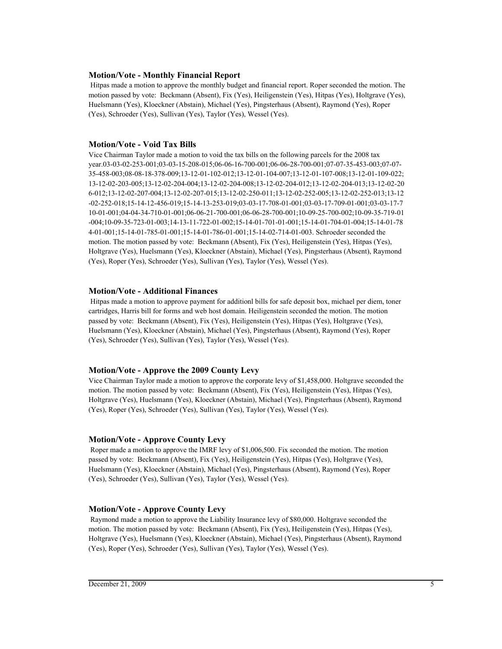## **Motion/Vote - Monthly Financial Report**

 Hitpas made a motion to approve the monthly budget and financial report. Roper seconded the motion. The motion passed by vote: Beckmann (Absent), Fix (Yes), Heiligenstein (Yes), Hitpas (Yes), Holtgrave (Yes), Huelsmann (Yes), Kloeckner (Abstain), Michael (Yes), Pingsterhaus (Absent), Raymond (Yes), Roper (Yes), Schroeder (Yes), Sullivan (Yes), Taylor (Yes), Wessel (Yes).

## **Motion/Vote - Void Tax Bills**

Vice Chairman Taylor made a motion to void the tax bills on the following parcels for the 2008 tax year.03-03-02-253-001;03-03-15-208-015;06-06-16-700-001;06-06-28-700-001;07-07-35-453-003;07-07- 35-458-003;08-08-18-378-009;13-12-01-102-012;13-12-01-104-007;13-12-01-107-008;13-12-01-109-022; 13-12-02-203-005;13-12-02-204-004;13-12-02-204-008;13-12-02-204-012;13-12-02-204-013;13-12-02-20 6-012;13-12-02-207-004;13-12-02-207-015;13-12-02-250-011;13-12-02-252-005;13-12-02-252-013;13-12 -02-252-018;15-14-12-456-019;15-14-13-253-019;03-03-17-708-01-001;03-03-17-709-01-001;03-03-17-7 10-01-001;04-04-34-710-01-001;06-06-21-700-001;06-06-28-700-001;10-09-25-700-002;10-09-35-719-01 -004;10-09-35-723-01-003;14-13-11-722-01-002;15-14-01-701-01-001;15-14-01-704-01-004;15-14-01-78 4-01-001;15-14-01-785-01-001;15-14-01-786-01-001;15-14-02-714-01-003. Schroeder seconded the motion. The motion passed by vote: Beckmann (Absent), Fix (Yes), Heiligenstein (Yes), Hitpas (Yes), Holtgrave (Yes), Huelsmann (Yes), Kloeckner (Abstain), Michael (Yes), Pingsterhaus (Absent), Raymond (Yes), Roper (Yes), Schroeder (Yes), Sullivan (Yes), Taylor (Yes), Wessel (Yes).

## **Motion/Vote - Additional Finances**

 Hitpas made a motion to approve payment for additionl bills for safe deposit box, michael per diem, toner cartridges, Harris bill for forms and web host domain. Heiligenstein seconded the motion. The motion passed by vote: Beckmann (Absent), Fix (Yes), Heiligenstein (Yes), Hitpas (Yes), Holtgrave (Yes), Huelsmann (Yes), Kloeckner (Abstain), Michael (Yes), Pingsterhaus (Absent), Raymond (Yes), Roper (Yes), Schroeder (Yes), Sullivan (Yes), Taylor (Yes), Wessel (Yes).

# **Motion/Vote - Approve the 2009 County Levy**

Vice Chairman Taylor made a motion to approve the corporate levy of \$1,458,000. Holtgrave seconded the motion. The motion passed by vote: Beckmann (Absent), Fix (Yes), Heiligenstein (Yes), Hitpas (Yes), Holtgrave (Yes), Huelsmann (Yes), Kloeckner (Abstain), Michael (Yes), Pingsterhaus (Absent), Raymond (Yes), Roper (Yes), Schroeder (Yes), Sullivan (Yes), Taylor (Yes), Wessel (Yes).

# **Motion/Vote - Approve County Levy**

 Roper made a motion to approve the IMRF levy of \$1,006,500. Fix seconded the motion. The motion passed by vote: Beckmann (Absent), Fix (Yes), Heiligenstein (Yes), Hitpas (Yes), Holtgrave (Yes), Huelsmann (Yes), Kloeckner (Abstain), Michael (Yes), Pingsterhaus (Absent), Raymond (Yes), Roper (Yes), Schroeder (Yes), Sullivan (Yes), Taylor (Yes), Wessel (Yes).

# **Motion/Vote - Approve County Levy**

 Raymond made a motion to approve the Liability Insurance levy of \$80,000. Holtgrave seconded the motion. The motion passed by vote: Beckmann (Absent), Fix (Yes), Heiligenstein (Yes), Hitpas (Yes), Holtgrave (Yes), Huelsmann (Yes), Kloeckner (Abstain), Michael (Yes), Pingsterhaus (Absent), Raymond (Yes), Roper (Yes), Schroeder (Yes), Sullivan (Yes), Taylor (Yes), Wessel (Yes).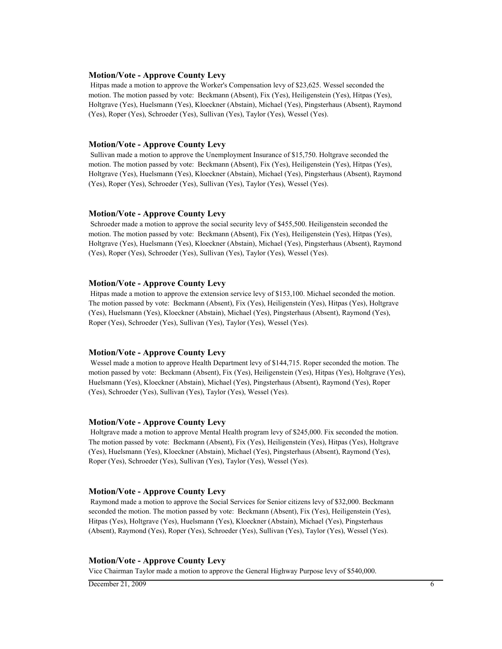#### **Motion/Vote - Approve County Levy**

 Hitpas made a motion to approve the Worker's Compensation levy of \$23,625. Wessel seconded the motion. The motion passed by vote: Beckmann (Absent), Fix (Yes), Heiligenstein (Yes), Hitpas (Yes), Holtgrave (Yes), Huelsmann (Yes), Kloeckner (Abstain), Michael (Yes), Pingsterhaus (Absent), Raymond (Yes), Roper (Yes), Schroeder (Yes), Sullivan (Yes), Taylor (Yes), Wessel (Yes).

#### **Motion/Vote - Approve County Levy**

 Sullivan made a motion to approve the Unemployment Insurance of \$15,750. Holtgrave seconded the motion. The motion passed by vote: Beckmann (Absent), Fix (Yes), Heiligenstein (Yes), Hitpas (Yes), Holtgrave (Yes), Huelsmann (Yes), Kloeckner (Abstain), Michael (Yes), Pingsterhaus (Absent), Raymond (Yes), Roper (Yes), Schroeder (Yes), Sullivan (Yes), Taylor (Yes), Wessel (Yes).

#### **Motion/Vote - Approve County Levy**

 Schroeder made a motion to approve the social security levy of \$455,500. Heiligenstein seconded the motion. The motion passed by vote: Beckmann (Absent), Fix (Yes), Heiligenstein (Yes), Hitpas (Yes), Holtgrave (Yes), Huelsmann (Yes), Kloeckner (Abstain), Michael (Yes), Pingsterhaus (Absent), Raymond (Yes), Roper (Yes), Schroeder (Yes), Sullivan (Yes), Taylor (Yes), Wessel (Yes).

## **Motion/Vote - Approve County Levy**

 Hitpas made a motion to approve the extension service levy of \$153,100. Michael seconded the motion. The motion passed by vote: Beckmann (Absent), Fix (Yes), Heiligenstein (Yes), Hitpas (Yes), Holtgrave (Yes), Huelsmann (Yes), Kloeckner (Abstain), Michael (Yes), Pingsterhaus (Absent), Raymond (Yes), Roper (Yes), Schroeder (Yes), Sullivan (Yes), Taylor (Yes), Wessel (Yes).

#### **Motion/Vote - Approve County Levy**

 Wessel made a motion to approve Health Department levy of \$144,715. Roper seconded the motion. The motion passed by vote: Beckmann (Absent), Fix (Yes), Heiligenstein (Yes), Hitpas (Yes), Holtgrave (Yes), Huelsmann (Yes), Kloeckner (Abstain), Michael (Yes), Pingsterhaus (Absent), Raymond (Yes), Roper (Yes), Schroeder (Yes), Sullivan (Yes), Taylor (Yes), Wessel (Yes).

#### **Motion/Vote - Approve County Levy**

 Holtgrave made a motion to approve Mental Health program levy of \$245,000. Fix seconded the motion. The motion passed by vote: Beckmann (Absent), Fix (Yes), Heiligenstein (Yes), Hitpas (Yes), Holtgrave (Yes), Huelsmann (Yes), Kloeckner (Abstain), Michael (Yes), Pingsterhaus (Absent), Raymond (Yes), Roper (Yes), Schroeder (Yes), Sullivan (Yes), Taylor (Yes), Wessel (Yes).

## **Motion/Vote - Approve County Levy**

 Raymond made a motion to approve the Social Services for Senior citizens levy of \$32,000. Beckmann seconded the motion. The motion passed by vote: Beckmann (Absent), Fix (Yes), Heiligenstein (Yes), Hitpas (Yes), Holtgrave (Yes), Huelsmann (Yes), Kloeckner (Abstain), Michael (Yes), Pingsterhaus (Absent), Raymond (Yes), Roper (Yes), Schroeder (Yes), Sullivan (Yes), Taylor (Yes), Wessel (Yes).

#### **Motion/Vote - Approve County Levy**

Vice Chairman Taylor made a motion to approve the General Highway Purpose levy of \$540,000.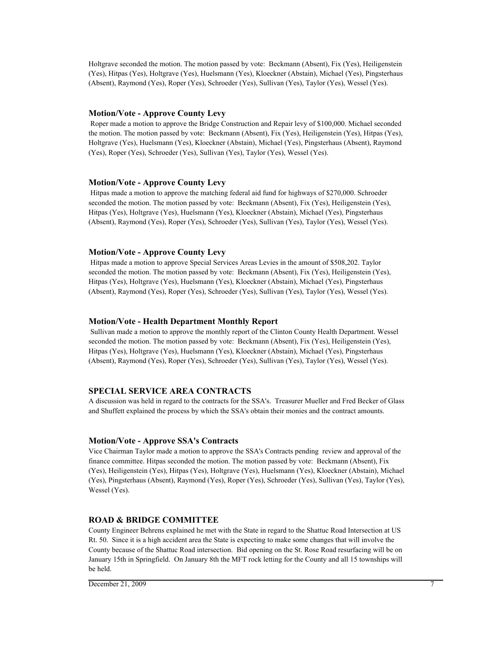Holtgrave seconded the motion. The motion passed by vote: Beckmann (Absent), Fix (Yes), Heiligenstein (Yes), Hitpas (Yes), Holtgrave (Yes), Huelsmann (Yes), Kloeckner (Abstain), Michael (Yes), Pingsterhaus (Absent), Raymond (Yes), Roper (Yes), Schroeder (Yes), Sullivan (Yes), Taylor (Yes), Wessel (Yes).

## **Motion/Vote - Approve County Levy**

 Roper made a motion to approve the Bridge Construction and Repair levy of \$100,000. Michael seconded the motion. The motion passed by vote: Beckmann (Absent), Fix (Yes), Heiligenstein (Yes), Hitpas (Yes), Holtgrave (Yes), Huelsmann (Yes), Kloeckner (Abstain), Michael (Yes), Pingsterhaus (Absent), Raymond (Yes), Roper (Yes), Schroeder (Yes), Sullivan (Yes), Taylor (Yes), Wessel (Yes).

#### **Motion/Vote - Approve County Levy**

 Hitpas made a motion to approve the matching federal aid fund for highways of \$270,000. Schroeder seconded the motion. The motion passed by vote: Beckmann (Absent), Fix (Yes), Heiligenstein (Yes), Hitpas (Yes), Holtgrave (Yes), Huelsmann (Yes), Kloeckner (Abstain), Michael (Yes), Pingsterhaus (Absent), Raymond (Yes), Roper (Yes), Schroeder (Yes), Sullivan (Yes), Taylor (Yes), Wessel (Yes).

#### **Motion/Vote - Approve County Levy**

 Hitpas made a motion to approve Special Services Areas Levies in the amount of \$508,202. Taylor seconded the motion. The motion passed by vote: Beckmann (Absent), Fix (Yes), Heiligenstein (Yes), Hitpas (Yes), Holtgrave (Yes), Huelsmann (Yes), Kloeckner (Abstain), Michael (Yes), Pingsterhaus (Absent), Raymond (Yes), Roper (Yes), Schroeder (Yes), Sullivan (Yes), Taylor (Yes), Wessel (Yes).

#### **Motion/Vote - Health Department Monthly Report**

 Sullivan made a motion to approve the monthly report of the Clinton County Health Department. Wessel seconded the motion. The motion passed by vote: Beckmann (Absent), Fix (Yes), Heiligenstein (Yes), Hitpas (Yes), Holtgrave (Yes), Huelsmann (Yes), Kloeckner (Abstain), Michael (Yes), Pingsterhaus (Absent), Raymond (Yes), Roper (Yes), Schroeder (Yes), Sullivan (Yes), Taylor (Yes), Wessel (Yes).

#### **SPECIAL SERVICE AREA CONTRACTS**

A discussion was held in regard to the contracts for the SSA's. Treasurer Mueller and Fred Becker of Glass and Shuffett explained the process by which the SSA's obtain their monies and the contract amounts.

#### **Motion/Vote - Approve SSA's Contracts**

Vice Chairman Taylor made a motion to approve the SSA's Contracts pending review and approval of the finance committee. Hitpas seconded the motion. The motion passed by vote: Beckmann (Absent), Fix (Yes), Heiligenstein (Yes), Hitpas (Yes), Holtgrave (Yes), Huelsmann (Yes), Kloeckner (Abstain), Michael (Yes), Pingsterhaus (Absent), Raymond (Yes), Roper (Yes), Schroeder (Yes), Sullivan (Yes), Taylor (Yes), Wessel (Yes).

## **ROAD & BRIDGE COMMITTEE**

County Engineer Behrens explained he met with the State in regard to the Shattuc Road Intersection at US Rt. 50. Since it is a high accident area the State is expecting to make some changes that will involve the County because of the Shattuc Road intersection. Bid opening on the St. Rose Road resurfacing will be on January 15th in Springfield. On January 8th the MFT rock letting for the County and all 15 townships will be held.